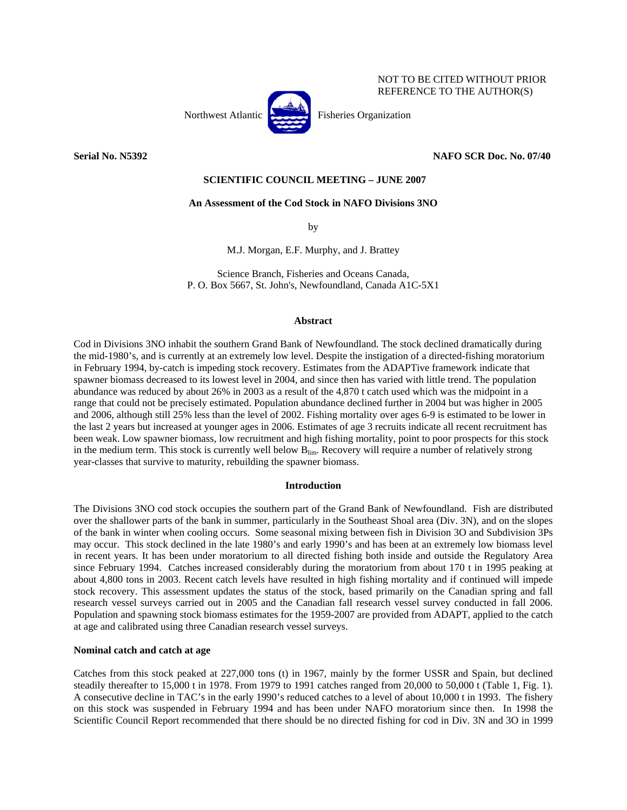

# NOT TO BE CITED WITHOUT PRIOR REFERENCE TO THE AUTHOR(S)

# **Serial No. N5392 NAFO SCR Doc. No. 07/40**

# **SCIENTIFIC COUNCIL MEETING – JUNE 2007**

# **An Assessment of the Cod Stock in NAFO Divisions 3NO**

by

M.J. Morgan, E.F. Murphy, and J. Brattey

Science Branch, Fisheries and Oceans Canada, P. O. Box 5667, St. John's, Newfoundland, Canada A1C-5X1

### **Abstract**

Cod in Divisions 3NO inhabit the southern Grand Bank of Newfoundland. The stock declined dramatically during the mid-1980's, and is currently at an extremely low level. Despite the instigation of a directed-fishing moratorium in February 1994, by-catch is impeding stock recovery. Estimates from the ADAPTive framework indicate that spawner biomass decreased to its lowest level in 2004, and since then has varied with little trend. The population abundance was reduced by about 26% in 2003 as a result of the 4,870 t catch used which was the midpoint in a range that could not be precisely estimated. Population abundance declined further in 2004 but was higher in 2005 and 2006, although still 25% less than the level of 2002. Fishing mortality over ages 6-9 is estimated to be lower in the last 2 years but increased at younger ages in 2006. Estimates of age 3 recruits indicate all recent recruitment has been weak. Low spawner biomass, low recruitment and high fishing mortality, point to poor prospects for this stock in the medium term. This stock is currently well below B<sub>lim</sub>. Recovery will require a number of relatively strong year-classes that survive to maturity, rebuilding the spawner biomass.

#### **Introduction**

The Divisions 3NO cod stock occupies the southern part of the Grand Bank of Newfoundland. Fish are distributed over the shallower parts of the bank in summer, particularly in the Southeast Shoal area (Div. 3N), and on the slopes of the bank in winter when cooling occurs. Some seasonal mixing between fish in Division 3O and Subdivision 3Ps may occur. This stock declined in the late 1980's and early 1990's and has been at an extremely low biomass level in recent years. It has been under moratorium to all directed fishing both inside and outside the Regulatory Area since February 1994. Catches increased considerably during the moratorium from about 170 t in 1995 peaking at about 4,800 tons in 2003. Recent catch levels have resulted in high fishing mortality and if continued will impede stock recovery. This assessment updates the status of the stock, based primarily on the Canadian spring and fall research vessel surveys carried out in 2005 and the Canadian fall research vessel survey conducted in fall 2006. Population and spawning stock biomass estimates for the 1959-2007 are provided from ADAPT, applied to the catch at age and calibrated using three Canadian research vessel surveys.

# **Nominal catch and catch at age**

Catches from this stock peaked at 227,000 tons (t) in 1967, mainly by the former USSR and Spain, but declined steadily thereafter to 15,000 t in 1978. From 1979 to 1991 catches ranged from 20,000 to 50,000 t (Table 1, Fig. 1). A consecutive decline in TAC's in the early 1990's reduced catches to a level of about 10,000 t in 1993. The fishery on this stock was suspended in February 1994 and has been under NAFO moratorium since then. In 1998 the Scientific Council Report recommended that there should be no directed fishing for cod in Div. 3N and 3O in 1999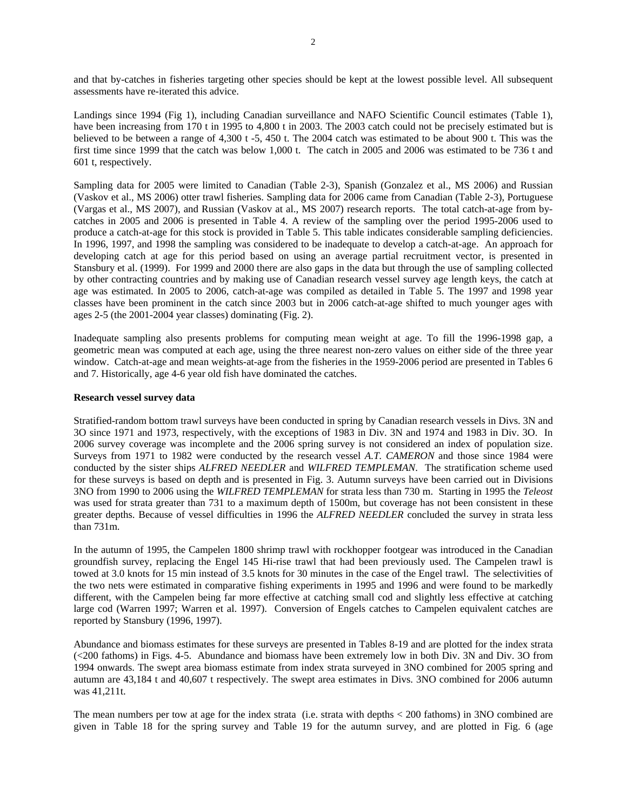and that by-catches in fisheries targeting other species should be kept at the lowest possible level. All subsequent assessments have re-iterated this advice.

Landings since 1994 (Fig 1), including Canadian surveillance and NAFO Scientific Council estimates (Table 1), have been increasing from 170 t in 1995 to 4,800 t in 2003. The 2003 catch could not be precisely estimated but is believed to be between a range of 4,300 t -5, 450 t. The 2004 catch was estimated to be about 900 t. This was the first time since 1999 that the catch was below 1,000 t. The catch in 2005 and 2006 was estimated to be 736 t and 601 t, respectively.

Sampling data for 2005 were limited to Canadian (Table 2-3), Spanish (Gonzalez et al., MS 2006) and Russian (Vaskov et al., MS 2006) otter trawl fisheries. Sampling data for 2006 came from Canadian (Table 2-3), Portuguese (Vargas et al., MS 2007), and Russian (Vaskov at al., MS 2007) research reports. The total catch-at-age from bycatches in 2005 and 2006 is presented in Table 4. A review of the sampling over the period 1995-2006 used to produce a catch-at-age for this stock is provided in Table 5. This table indicates considerable sampling deficiencies. In 1996, 1997, and 1998 the sampling was considered to be inadequate to develop a catch-at-age. An approach for developing catch at age for this period based on using an average partial recruitment vector, is presented in Stansbury et al. (1999). For 1999 and 2000 there are also gaps in the data but through the use of sampling collected by other contracting countries and by making use of Canadian research vessel survey age length keys, the catch at age was estimated. In 2005 to 2006, catch-at-age was compiled as detailed in Table 5. The 1997 and 1998 year classes have been prominent in the catch since 2003 but in 2006 catch-at-age shifted to much younger ages with ages 2-5 (the 2001-2004 year classes) dominating (Fig. 2).

Inadequate sampling also presents problems for computing mean weight at age. To fill the 1996-1998 gap, a geometric mean was computed at each age, using the three nearest non-zero values on either side of the three year window. Catch-at-age and mean weights-at-age from the fisheries in the 1959-2006 period are presented in Tables 6 and 7. Historically, age 4-6 year old fish have dominated the catches.

### **Research vessel survey data**

Stratified-random bottom trawl surveys have been conducted in spring by Canadian research vessels in Divs. 3N and 3O since 1971 and 1973, respectively, with the exceptions of 1983 in Div. 3N and 1974 and 1983 in Div. 3O. In 2006 survey coverage was incomplete and the 2006 spring survey is not considered an index of population size. Surveys from 1971 to 1982 were conducted by the research vessel *A.T. CAMERON* and those since 1984 were conducted by the sister ships *ALFRED NEEDLER* and *WILFRED TEMPLEMAN*. The stratification scheme used for these surveys is based on depth and is presented in Fig. 3. Autumn surveys have been carried out in Divisions 3NO from 1990 to 2006 using the *WILFRED TEMPLEMAN* for strata less than 730 m. Starting in 1995 the *Teleost* was used for strata greater than 731 to a maximum depth of 1500m, but coverage has not been consistent in these greater depths. Because of vessel difficulties in 1996 the *ALFRED NEEDLER* concluded the survey in strata less than 731m.

In the autumn of 1995, the Campelen 1800 shrimp trawl with rockhopper footgear was introduced in the Canadian groundfish survey, replacing the Engel 145 Hi-rise trawl that had been previously used. The Campelen trawl is towed at 3.0 knots for 15 min instead of 3.5 knots for 30 minutes in the case of the Engel trawl. The selectivities of the two nets were estimated in comparative fishing experiments in 1995 and 1996 and were found to be markedly different, with the Campelen being far more effective at catching small cod and slightly less effective at catching large cod (Warren 1997; Warren et al. 1997). Conversion of Engels catches to Campelen equivalent catches are reported by Stansbury (1996, 1997).

Abundance and biomass estimates for these surveys are presented in Tables 8-19 and are plotted for the index strata (<200 fathoms) in Figs. 4-5. Abundance and biomass have been extremely low in both Div. 3N and Div. 3O from 1994 onwards. The swept area biomass estimate from index strata surveyed in 3NO combined for 2005 spring and autumn are 43,184 t and 40,607 t respectively. The swept area estimates in Divs. 3NO combined for 2006 autumn was 41,211t.

The mean numbers per tow at age for the index strata (i.e. strata with depths < 200 fathoms) in 3NO combined are given in Table 18 for the spring survey and Table 19 for the autumn survey, and are plotted in Fig. 6 (age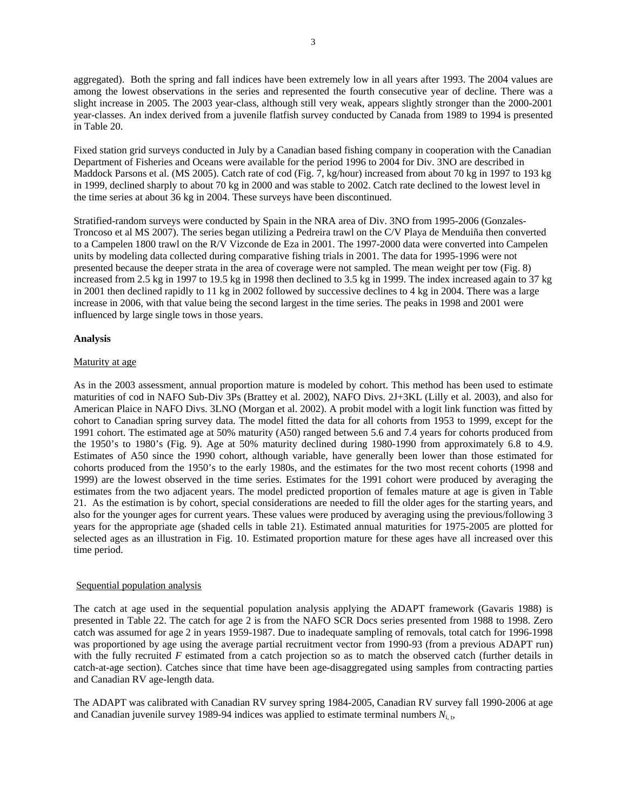aggregated). Both the spring and fall indices have been extremely low in all years after 1993. The 2004 values are among the lowest observations in the series and represented the fourth consecutive year of decline. There was a slight increase in 2005. The 2003 year-class, although still very weak, appears slightly stronger than the 2000-2001 year-classes. An index derived from a juvenile flatfish survey conducted by Canada from 1989 to 1994 is presented in Table 20.

Fixed station grid surveys conducted in July by a Canadian based fishing company in cooperation with the Canadian Department of Fisheries and Oceans were available for the period 1996 to 2004 for Div. 3NO are described in Maddock Parsons et al. (MS 2005). Catch rate of cod (Fig. 7, kg/hour) increased from about 70 kg in 1997 to 193 kg in 1999, declined sharply to about 70 kg in 2000 and was stable to 2002. Catch rate declined to the lowest level in the time series at about 36 kg in 2004. These surveys have been discontinued.

Stratified-random surveys were conducted by Spain in the NRA area of Div. 3NO from 1995-2006 (Gonzales-Troncoso et al MS 2007). The series began utilizing a Pedreira trawl on the C/V Playa de Menduiña then converted to a Campelen 1800 trawl on the R/V Vizconde de Eza in 2001. The 1997-2000 data were converted into Campelen units by modeling data collected during comparative fishing trials in 2001. The data for 1995-1996 were not presented because the deeper strata in the area of coverage were not sampled. The mean weight per tow (Fig. 8) increased from 2.5 kg in 1997 to 19.5 kg in 1998 then declined to 3.5 kg in 1999. The index increased again to 37 kg in 2001 then declined rapidly to 11 kg in 2002 followed by successive declines to 4 kg in 2004. There was a large increase in 2006, with that value being the second largest in the time series. The peaks in 1998 and 2001 were influenced by large single tows in those years.

# **Analysis**

# Maturity at age

As in the 2003 assessment, annual proportion mature is modeled by cohort. This method has been used to estimate maturities of cod in NAFO Sub-Div 3Ps (Brattey et al. 2002), NAFO Divs. 2J+3KL (Lilly et al. 2003), and also for American Plaice in NAFO Divs. 3LNO (Morgan et al. 2002). A probit model with a logit link function was fitted by cohort to Canadian spring survey data. The model fitted the data for all cohorts from 1953 to 1999, except for the 1991 cohort. The estimated age at 50% maturity (A50) ranged between 5.6 and 7.4 years for cohorts produced from the 1950's to 1980's (Fig. 9). Age at 50% maturity declined during 1980-1990 from approximately 6.8 to 4.9. Estimates of A50 since the 1990 cohort, although variable, have generally been lower than those estimated for cohorts produced from the 1950's to the early 1980s, and the estimates for the two most recent cohorts (1998 and 1999) are the lowest observed in the time series. Estimates for the 1991 cohort were produced by averaging the estimates from the two adjacent years. The model predicted proportion of females mature at age is given in Table 21. As the estimation is by cohort, special considerations are needed to fill the older ages for the starting years, and also for the younger ages for current years. These values were produced by averaging using the previous/following 3 years for the appropriate age (shaded cells in table 21). Estimated annual maturities for 1975-2005 are plotted for selected ages as an illustration in Fig. 10. Estimated proportion mature for these ages have all increased over this time period.

# Sequential population analysis

The catch at age used in the sequential population analysis applying the ADAPT framework (Gavaris 1988) is presented in Table 22. The catch for age 2 is from the NAFO SCR Docs series presented from 1988 to 1998. Zero catch was assumed for age 2 in years 1959-1987. Due to inadequate sampling of removals, total catch for 1996-1998 was proportioned by age using the average partial recruitment vector from 1990-93 (from a previous ADAPT run) with the fully recruited *F* estimated from a catch projection so as to match the observed catch (further details in catch-at-age section). Catches since that time have been age-disaggregated using samples from contracting parties and Canadian RV age-length data.

The ADAPT was calibrated with Canadian RV survey spring 1984-2005, Canadian RV survey fall 1990-2006 at age and Canadian juvenile survey 1989-94 indices was applied to estimate terminal numbers  $N_{i,t}$ ,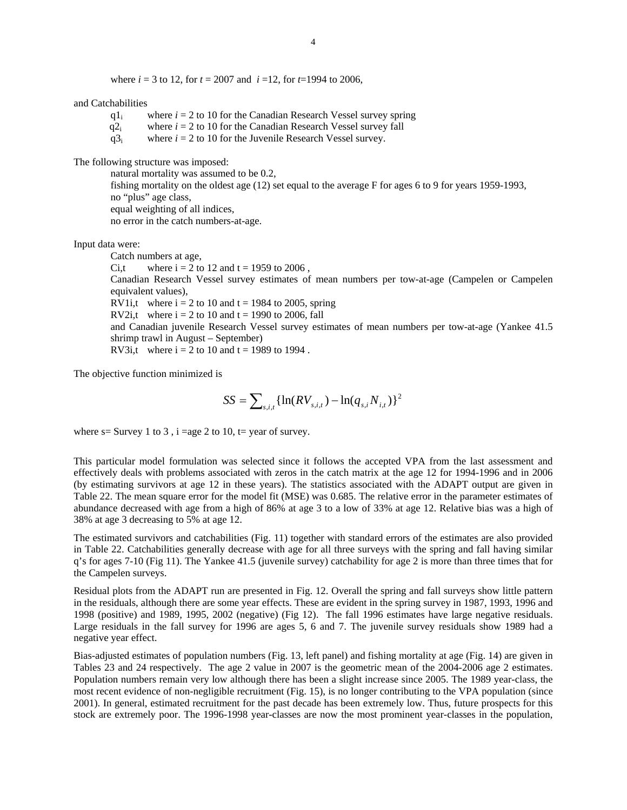where  $i = 3$  to 12, for  $t = 2007$  and  $i = 12$ , for  $t = 1994$  to 2006,

and Catchabilities

- $q_1$  where  $i = 2$  to 10 for the Canadian Research Vessel survey spring
- $q2_i$  where  $i = 2$  to 10 for the Canadian Research Vessel survey fall
- $q3<sub>i</sub>$  where  $i = 2$  to 10 for the Juvenile Research Vessel survey.

The following structure was imposed:

 natural mortality was assumed to be 0.2, fishing mortality on the oldest age (12) set equal to the average F for ages 6 to 9 for years 1959-1993, no "plus" age class, equal weighting of all indices, no error in the catch numbers-at-age.

Input data were:

Catch numbers at age, Ci,t where  $i = 2$  to 12 and  $t = 1959$  to 2006, Canadian Research Vessel survey estimates of mean numbers per tow-at-age (Campelen or Campelen equivalent values), RV1i,t where  $i = 2$  to 10 and  $t = 1984$  to 2005, spring RV2i,t where  $i = 2$  to 10 and  $t = 1990$  to 2006, fall and Canadian juvenile Research Vessel survey estimates of mean numbers per tow-at-age (Yankee 41.5 shrimp trawl in August – September) RV3i,t where  $i = 2$  to 10 and  $t = 1989$  to 1994.

The objective function minimized is

$$
SS = \sum_{s,i,t} \{ \ln(RV_{s,i,t}) - \ln(q_{s,i} N_{i,t}) \}^2
$$

where  $s =$  Survey 1 to 3, i =age 2 to 10, t= year of survey.

This particular model formulation was selected since it follows the accepted VPA from the last assessment and effectively deals with problems associated with zeros in the catch matrix at the age 12 for 1994-1996 and in 2006 (by estimating survivors at age 12 in these years). The statistics associated with the ADAPT output are given in Table 22. The mean square error for the model fit (MSE) was 0.685. The relative error in the parameter estimates of abundance decreased with age from a high of 86% at age 3 to a low of 33% at age 12. Relative bias was a high of 38% at age 3 decreasing to 5% at age 12.

The estimated survivors and catchabilities (Fig. 11) together with standard errors of the estimates are also provided in Table 22. Catchabilities generally decrease with age for all three surveys with the spring and fall having similar q's for ages 7-10 (Fig 11). The Yankee 41.5 (juvenile survey) catchability for age 2 is more than three times that for the Campelen surveys.

Residual plots from the ADAPT run are presented in Fig. 12. Overall the spring and fall surveys show little pattern in the residuals, although there are some year effects. These are evident in the spring survey in 1987, 1993, 1996 and 1998 (positive) and 1989, 1995, 2002 (negative) (Fig 12). The fall 1996 estimates have large negative residuals. Large residuals in the fall survey for 1996 are ages 5, 6 and 7. The juvenile survey residuals show 1989 had a negative year effect.

Bias-adjusted estimates of population numbers (Fig. 13, left panel) and fishing mortality at age (Fig. 14) are given in Tables 23 and 24 respectively. The age 2 value in 2007 is the geometric mean of the 2004-2006 age 2 estimates. Population numbers remain very low although there has been a slight increase since 2005. The 1989 year-class, the most recent evidence of non-negligible recruitment (Fig. 15), is no longer contributing to the VPA population (since 2001). In general, estimated recruitment for the past decade has been extremely low. Thus, future prospects for this stock are extremely poor. The 1996-1998 year-classes are now the most prominent year-classes in the population,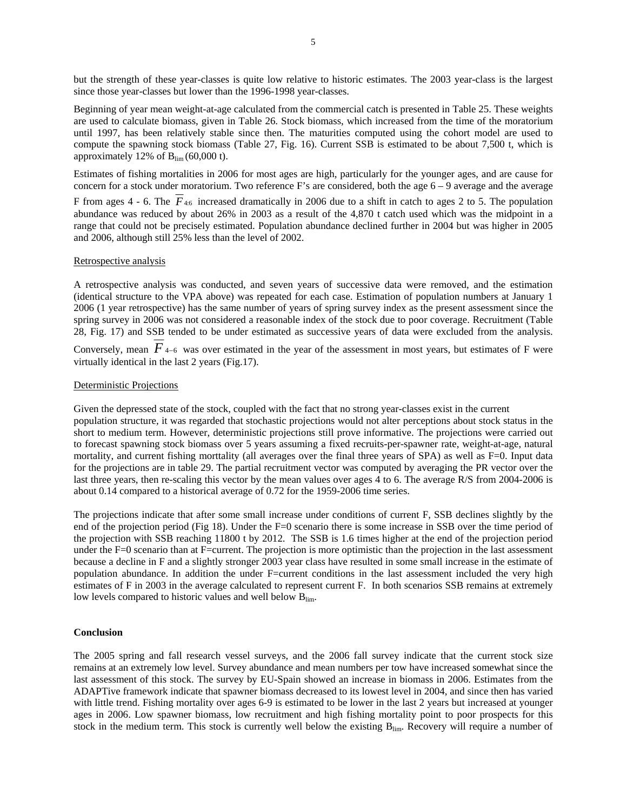but the strength of these year-classes is quite low relative to historic estimates. The 2003 year-class is the largest since those year-classes but lower than the 1996-1998 year-classes.

Beginning of year mean weight-at-age calculated from the commercial catch is presented in Table 25. These weights are used to calculate biomass, given in Table 26. Stock biomass, which increased from the time of the moratorium until 1997, has been relatively stable since then. The maturities computed using the cohort model are used to compute the spawning stock biomass (Table 27, Fig. 16). Current SSB is estimated to be about 7,500 t, which is approximately 12% of  $B_{\text{lim}}(60,000 \text{ t})$ .

Estimates of fishing mortalities in 2006 for most ages are high, particularly for the younger ages, and are cause for concern for a stock under moratorium. Two reference F's are considered, both the age  $6 - 9$  average and the average

F from ages 4 - 6. The *F*4:6 increased dramatically in 2006 due to a shift in catch to ages 2 to 5. The population abundance was reduced by about 26% in 2003 as a result of the 4,870 t catch used which was the midpoint in a range that could not be precisely estimated. Population abundance declined further in 2004 but was higher in 2005 and 2006, although still 25% less than the level of 2002.

#### Retrospective analysis

A retrospective analysis was conducted, and seven years of successive data were removed, and the estimation (identical structure to the VPA above) was repeated for each case. Estimation of population numbers at January 1 2006 (1 year retrospective) has the same number of years of spring survey index as the present assessment since the spring survey in 2006 was not considered a reasonable index of the stock due to poor coverage. Recruitment (Table 28, Fig. 17) and SSB tended to be under estimated as successive years of data were excluded from the analysis. Conversely, mean  $\overline{F}_{4-6}$  was over estimated in the year of the assessment in most years, but estimates of F were

virtually identical in the last 2 years (Fig.17).

#### Deterministic Projections

Given the depressed state of the stock, coupled with the fact that no strong year-classes exist in the current population structure, it was regarded that stochastic projections would not alter perceptions about stock status in the short to medium term. However, deterministic projections still prove informative. The projections were carried out to forecast spawning stock biomass over 5 years assuming a fixed recruits-per-spawner rate, weight-at-age, natural mortality, and current fishing morttality (all averages over the final three years of SPA) as well as F=0. Input data for the projections are in table 29. The partial recruitment vector was computed by averaging the PR vector over the last three years, then re-scaling this vector by the mean values over ages 4 to 6. The average R/S from 2004-2006 is about 0.14 compared to a historical average of 0.72 for the 1959-2006 time series.

The projections indicate that after some small increase under conditions of current F, SSB declines slightly by the end of the projection period (Fig 18). Under the F=0 scenario there is some increase in SSB over the time period of the projection with SSB reaching 11800 t by 2012. The SSB is 1.6 times higher at the end of the projection period under the F=0 scenario than at F=current. The projection is more optimistic than the projection in the last assessment because a decline in F and a slightly stronger 2003 year class have resulted in some small increase in the estimate of population abundance. In addition the under F=current conditions in the last assessment included the very high estimates of F in 2003 in the average calculated to represent current F. In both scenarios SSB remains at extremely low levels compared to historic values and well below Blim.

#### **Conclusion**

The 2005 spring and fall research vessel surveys, and the 2006 fall survey indicate that the current stock size remains at an extremely low level. Survey abundance and mean numbers per tow have increased somewhat since the last assessment of this stock. The survey by EU-Spain showed an increase in biomass in 2006. Estimates from the ADAPTive framework indicate that spawner biomass decreased to its lowest level in 2004, and since then has varied with little trend. Fishing mortality over ages 6-9 is estimated to be lower in the last 2 years but increased at younger ages in 2006. Low spawner biomass, low recruitment and high fishing mortality point to poor prospects for this stock in the medium term. This stock is currently well below the existing  $B_{\text{lim}}$ . Recovery will require a number of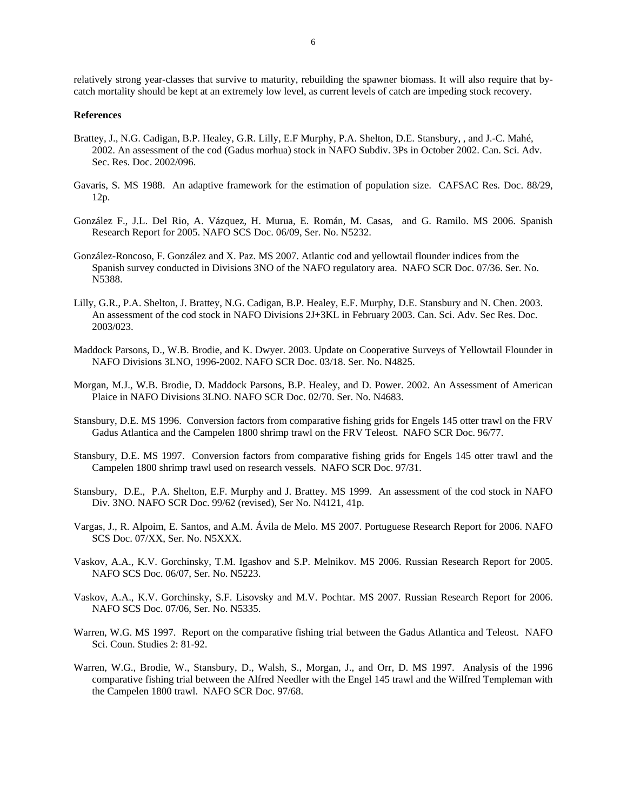relatively strong year-classes that survive to maturity, rebuilding the spawner biomass. It will also require that bycatch mortality should be kept at an extremely low level, as current levels of catch are impeding stock recovery.

#### **References**

- Brattey, J., N.G. Cadigan, B.P. Healey, G.R. Lilly, E.F Murphy, P.A. Shelton, D.E. Stansbury, , and J.-C. Mahé, 2002. An assessment of the cod (Gadus morhua) stock in NAFO Subdiv. 3Ps in October 2002. Can. Sci. Adv. Sec. Res. Doc. 2002/096.
- Gavaris, S. MS 1988. An adaptive framework for the estimation of population size. CAFSAC Res. Doc. 88/29, 12p.
- González F., J.L. Del Rio, A. Vázquez, H. Murua, E. Román, M. Casas, and G. Ramilo. MS 2006. Spanish Research Report for 2005. NAFO SCS Doc. 06/09, Ser. No. N5232.
- González-Roncoso, F. González and X. Paz. MS 2007. Atlantic cod and yellowtail flounder indices from the Spanish survey conducted in Divisions 3NO of the NAFO regulatory area. NAFO SCR Doc. 07/36. Ser. No. N5388.
- Lilly, G.R., P.A. Shelton, J. Brattey, N.G. Cadigan, B.P. Healey, E.F. Murphy, D.E. Stansbury and N. Chen. 2003. An assessment of the cod stock in NAFO Divisions 2J+3KL in February 2003. Can. Sci. Adv. Sec Res. Doc. 2003/023.
- Maddock Parsons, D., W.B. Brodie, and K. Dwyer. 2003. Update on Cooperative Surveys of Yellowtail Flounder in NAFO Divisions 3LNO, 1996-2002. NAFO SCR Doc. 03/18. Ser. No. N4825.
- Morgan, M.J., W.B. Brodie, D. Maddock Parsons, B.P. Healey, and D. Power. 2002. An Assessment of American Plaice in NAFO Divisions 3LNO. NAFO SCR Doc. 02/70. Ser. No. N4683.
- Stansbury, D.E. MS 1996. Conversion factors from comparative fishing grids for Engels 145 otter trawl on the FRV Gadus Atlantica and the Campelen 1800 shrimp trawl on the FRV Teleost. NAFO SCR Doc. 96/77.
- Stansbury, D.E. MS 1997. Conversion factors from comparative fishing grids for Engels 145 otter trawl and the Campelen 1800 shrimp trawl used on research vessels. NAFO SCR Doc. 97/31.
- Stansbury, D.E., P.A. Shelton, E.F. Murphy and J. Brattey. MS 1999. An assessment of the cod stock in NAFO Div. 3NO. NAFO SCR Doc. 99/62 (revised), Ser No. N4121, 41p.
- Vargas, J., R. Alpoim, E. Santos, and A.M. Ávila de Melo. MS 2007. Portuguese Research Report for 2006. NAFO SCS Doc. 07/XX, Ser. No. N5XXX.
- Vaskov, A.A., K.V. Gorchinsky, T.M. Igashov and S.P. Melnikov. MS 2006. Russian Research Report for 2005. NAFO SCS Doc. 06/07, Ser. No. N5223.
- Vaskov, A.A., K.V. Gorchinsky, S.F. Lisovsky and M.V. Pochtar. MS 2007. Russian Research Report for 2006. NAFO SCS Doc. 07/06, Ser. No. N5335.
- Warren, W.G. MS 1997. Report on the comparative fishing trial between the Gadus Atlantica and Teleost. NAFO Sci. Coun. Studies 2: 81-92.
- Warren, W.G., Brodie, W., Stansbury, D., Walsh, S., Morgan, J., and Orr, D. MS 1997. Analysis of the 1996 comparative fishing trial between the Alfred Needler with the Engel 145 trawl and the Wilfred Templeman with the Campelen 1800 trawl. NAFO SCR Doc. 97/68.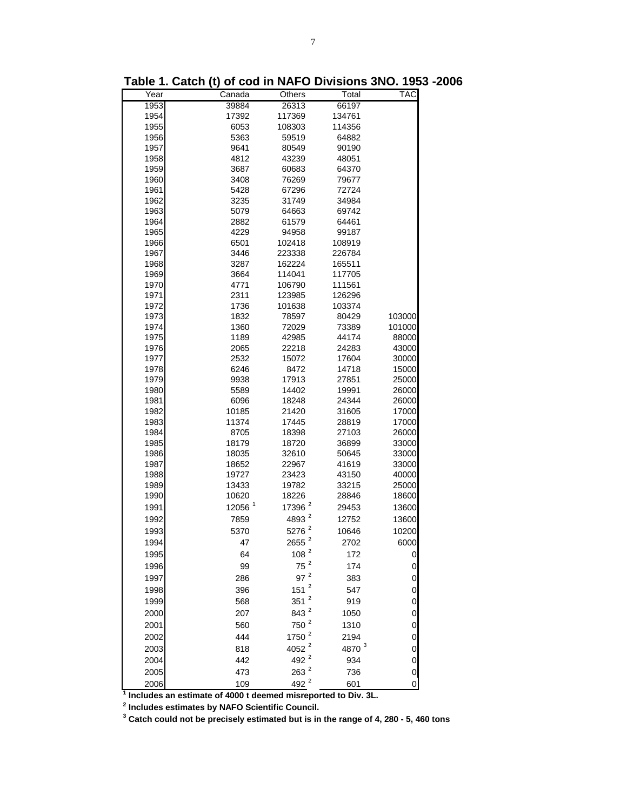| Year | Canada             | Others             | Total     | TAC    |
|------|--------------------|--------------------|-----------|--------|
| 1953 | 39884              | 26313              | 66197     |        |
| 1954 | 17392              | 117369             | 134761    |        |
| 1955 | 6053               | 108303             | 114356    |        |
| 1956 | 5363               | 59519              | 64882     |        |
| 1957 | 9641               | 80549              | 90190     |        |
| 1958 | 4812               | 43239              | 48051     |        |
| 1959 | 3687               | 60683              | 64370     |        |
| 1960 | 3408               | 76269              | 79677     |        |
| 1961 | 5428               | 67296              | 72724     |        |
| 1962 | 3235               | 31749              | 34984     |        |
| 1963 | 5079               | 64663              | 69742     |        |
| 1964 | 2882               | 61579              | 64461     |        |
| 1965 | 4229               | 94958              | 99187     |        |
| 1966 | 6501               | 102418             | 108919    |        |
| 1967 | 3446               | 223338             | 226784    |        |
| 1968 | 3287               | 162224             | 165511    |        |
| 1969 | 3664               | 114041             | 117705    |        |
| 1970 | 4771               | 106790             | 111561    |        |
| 1971 | 2311               | 123985             | 126296    |        |
| 1972 | 1736               | 101638             | 103374    |        |
| 1973 | 1832               | 78597              | 80429     | 103000 |
| 1974 | 1360               | 72029              | 73389     | 101000 |
| 1975 | 1189               | 42985              | 44174     | 88000  |
| 1976 | 2065               | 22218              | 24283     | 43000  |
| 1977 | 2532               | 15072              | 17604     | 30000  |
| 1978 | 6246               | 8472               | 14718     | 15000  |
| 1979 | 9938               | 17913              | 27851     | 25000  |
| 1980 | 5589               | 14402              | 19991     | 26000  |
| 1981 | 6096               | 18248              | 24344     | 26000  |
| 1982 | 10185              | 21420              | 31605     | 17000  |
| 1983 | 11374              | 17445              | 28819     | 17000  |
| 1984 | 8705               | 18398              | 27103     | 26000  |
| 1985 | 18179              | 18720              | 36899     | 33000  |
| 1986 | 18035              | 32610              | 50645     | 33000  |
| 1987 | 18652              | 22967              | 41619     | 33000  |
| 1988 | 19727              | 23423              | 43150     | 40000  |
| 1989 | 13433              | 19782              | 33215     | 25000  |
| 1990 | 10620              | 18226              | 28846     | 18600  |
| 1991 | 12056 <sup>1</sup> | 17396 <sup>2</sup> | 29453     | 13600  |
| 1992 | 7859               | 4893 <sup>2</sup>  | 12752     | 13600  |
| 1993 | 5370               | 5276 <sup>2</sup>  | 10646     | 10200  |
| 1994 | 47                 | $2655$ $^{2}$      | 2702      | 6000   |
| 1995 | 64                 | 108 <sup>2</sup>   | 172       | 0      |
| 1996 | 99                 | $75$ $^2$          | 174       | 0      |
| 1997 | 286                | $97$ $^2$          | 383       | 0      |
|      |                    | 151 $^2$           | 547       |        |
| 1998 | 396                |                    |           | 0      |
| 1999 | 568                | $351^2$            | 919       | 0      |
| 2000 | 207                | 843 <sup>2</sup>   | 1050      | 0      |
| 2001 | 560                | $750^2$            | 1310      | 0      |
| 2002 | 444                | 1750 <sup>2</sup>  | 2194      | 0      |
| 2003 | 818                | 4052 <sup>2</sup>  | 4870 $^3$ | 0      |
| 2004 | 442                | 492 <sup>2</sup>   | 934       | 0      |
| 2005 | 473                | 263 $^2$           | 736       | 0      |
| 2006 | 100                | $492^2$            | 601       |        |

**Table 1. Catch (t) of cod in NAFO Divisions 3NO. 1953 -2006**

2006 109 492 <sup>2</sup> 601 0 **1 Includes an estimate of 4000 t deemed misreported to Div. 3L.**

**2 Includes estimates by NAFO Scientific Council. 3 Catch could not be precisely estimated but is in the range of 4, 280 - 5, 460 tons**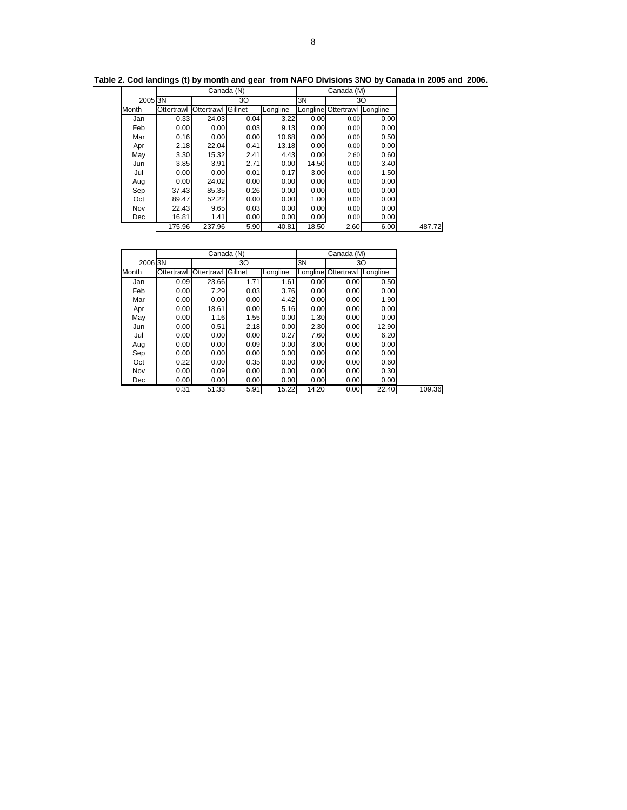|         |            | Canada (N) |         |          | Canada (M)<br>30 |                     |          |  |  |
|---------|------------|------------|---------|----------|------------------|---------------------|----------|--|--|
| 2005 3N |            |            | 30      |          | 3N               |                     |          |  |  |
| Month   | Ottertrawl | Ottertrawl | Gillnet | Longline |                  | Longline Ottertrawl | Longline |  |  |
| Jan     | 0.33       | 24.03      | 0.04    | 3.22     | 0.00             | 0.00                | 0.00     |  |  |
| Feb     | 0.00       | 0.00       | 0.03    | 9.13     | 0.00             | 0.00                | 0.00     |  |  |
| Mar     | 0.16       | 0.00       | 0.00    | 10.68    | 0.00             | 0.00                | 0.50     |  |  |
| Apr     | 2.18       | 22.04      | 0.41    | 13.18    | 0.00             | 0.00                | 0.00     |  |  |
| May     | 3.30       | 15.32      | 2.41    | 4.43     | 0.00             | 2.60                | 0.60     |  |  |
| Jun     | 3.85       | 3.91       | 2.71    | 0.00     | 14.50            | 0.00                | 3.40     |  |  |
| Jul     | 0.00       | 0.00       | 0.01    | 0.17     | 3.00             | 0.00                | 1.50     |  |  |
| Aug     | 0.00       | 24.02      | 0.00    | 0.00     | 0.00             | 0.00                | 0.00     |  |  |
| Sep     | 37.43      | 85.35      | 0.26    | 0.00     | 0.00             | 0.00                | 0.00     |  |  |
| Oct     | 89.47      | 52.22      | 0.00    | 0.00     | 1.00             | 0.00                | 0.00     |  |  |
| Nov     | 22.43      | 9.65       | 0.03    | 0.00     | 0.00             | 0.00                | 0.00     |  |  |
| Dec     | 16.81      | 1.41       | 0.00    | 0.00     | 0.00             | 0.00                | 0.00     |  |  |
|         | 175.96     | 237.96     | 5.90    | 40.81    | 18.50            | 2.60                | 6.00     |  |  |

**Table 2. Cod landings (t) by month and gear from NAFO Divisions 3NO by Canada in 2005 and 2006.**

|         |            |                    | Canada (N) |          |       | Canada (M)                      |       |
|---------|------------|--------------------|------------|----------|-------|---------------------------------|-------|
| 2006 3N |            |                    | 30         |          | 3N    |                                 | 30    |
| Month   | Ottertrawl | Ottertrawl Gillnet |            | Longline |       | Longline Ottertrawl<br>Longline |       |
| Jan     | 0.09       | 23.66              | 1.71       | 1.61     | 0.00  | 0.00                            | 0.50  |
| Feb     | 0.00       | 7.29               | 0.03       | 3.76     | 0.00  | 0.00                            | 0.00  |
| Mar     | 0.00       | 0.00               | 0.00       | 4.42     | 0.00  | 0.00                            | 1.90  |
| Apr     | 0.00       | 18.61              | 0.00       | 5.16     | 0.00  | 0.00                            | 0.00  |
| May     | 0.00       | 1.16               | 1.55       | 0.00     | 1.30  | 0.00                            | 0.00  |
| Jun     | 0.00       | 0.51               | 2.18       | 0.00     | 2.30  | 0.00                            | 12.90 |
| Jul     | 0.00       | 0.00               | 0.00       | 0.27     | 7.60  | 0.00                            | 6.20  |
| Aug     | 0.00       | 0.00               | 0.09       | 0.00     | 3.00  | 0.00                            | 0.00  |
| Sep     | 0.00       | 0.00               | 0.00       | 0.00     | 0.00  | 0.00                            | 0.00  |
| Oct     | 0.22       | 0.00               | 0.35       | 0.00     | 0.00  | 0.00                            | 0.60  |
| Nov     | 0.00       | 0.09               | 0.00       | 0.00     | 0.00  | 0.00                            | 0.30  |
| Dec     | 0.00       | 0.00               | 0.00       | 0.00     | 0.00  | 0.00                            | 0.00  |
|         | 0.31       | 51.33              | 5.91       | 15.22    | 14.20 | 0.00                            | 22.40 |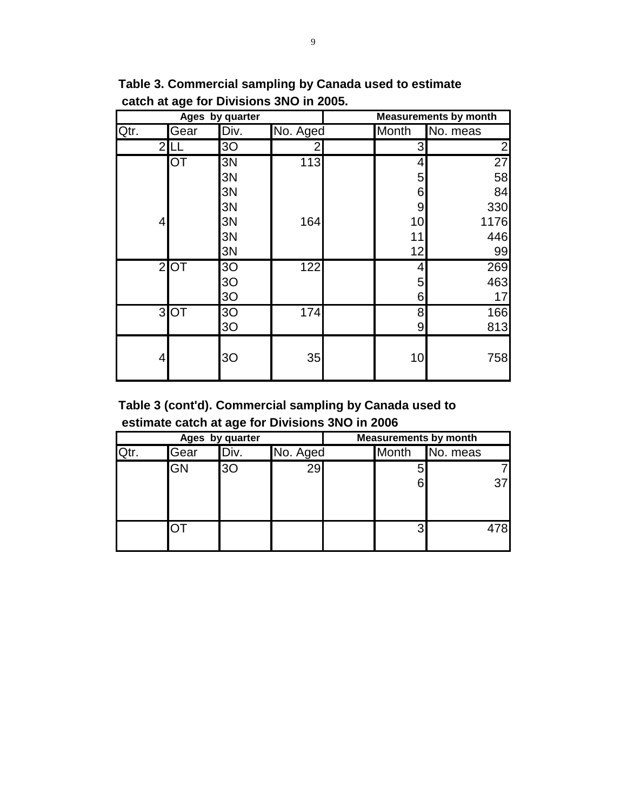|      |           | Ages by quarter |          | <b>Measurements by month</b> |    |                 |  |  |  |
|------|-----------|-----------------|----------|------------------------------|----|-----------------|--|--|--|
| Qtr. | Gear      | Div.            | No. Aged | No. meas<br><b>Month</b>     |    |                 |  |  |  |
| 2    |           | 3O              | 2        |                              | 3  | 2               |  |  |  |
|      | <b>OT</b> | 3N              | 113      |                              | 4  | $\overline{27}$ |  |  |  |
|      |           | 3N              |          |                              | 5  | 58              |  |  |  |
|      |           | 3N              |          |                              | 6  | 84              |  |  |  |
|      |           | 3N              |          |                              | 9  | 330             |  |  |  |
| 4    |           | 3N              | 164      |                              | 10 | 1176            |  |  |  |
|      |           | 3N              |          |                              | 11 | 446             |  |  |  |
|      |           | 3N              |          |                              | 12 | 99              |  |  |  |
|      | $2$ OT    | 3O              | 122      |                              | 4  | 269             |  |  |  |
|      |           | 3 <sub>O</sub>  |          |                              | 5  | 463             |  |  |  |
|      |           | 3 <sub>O</sub>  |          |                              | 6  | 17              |  |  |  |
|      | 3OT       | 3 <sub>O</sub>  | 174      |                              | 8  | 166             |  |  |  |
|      |           | 3O              |          |                              | 9  | 813             |  |  |  |
| 4    |           | 3 <sub>O</sub>  | 35       |                              | 10 | 758             |  |  |  |

**Table 3. Commercial sampling by Canada used to estimate catch at age for Divisions 3NO in 2005.**

**Table 3 (cont'd). Commercial sampling by Canada used to estimate catch at age for Divisions 3NO in 2006**

|           | Ages by quarter |          |                          |  | <b>Measurements by month</b> |  |  |
|-----------|-----------------|----------|--------------------------|--|------------------------------|--|--|
| Gear      | "Div.           | No. Aged | <b>Month</b><br>No. meas |  |                              |  |  |
| <b>GN</b> | 30              | 29       |                          |  |                              |  |  |
|           |                 |          |                          |  | 37                           |  |  |
|           |                 |          |                          |  |                              |  |  |
|           |                 |          |                          |  | 478                          |  |  |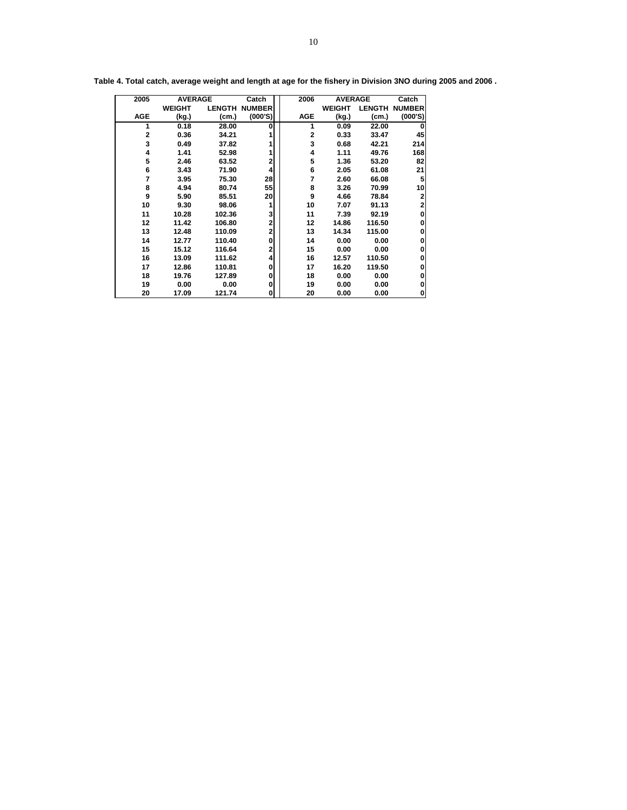| 2005       |               | <b>AVERAGE</b> | Catch         | 2006         | <b>AVERAGE</b> |               | Catch         |
|------------|---------------|----------------|---------------|--------------|----------------|---------------|---------------|
|            | <b>WEIGHT</b> | <b>LENGTH</b>  | <b>NUMBER</b> |              | <b>WEIGHT</b>  | <b>LENGTH</b> | <b>NUMBER</b> |
| <b>AGE</b> | (kg.)         | (cm.)          | (000'S)       | <b>AGE</b>   | (kg.)          | (cm.)         | (000'S)       |
| 1          | 0.18          | 28.00          | 0             | 1            | 0.09           | 22.00         |               |
| 2          | 0.36          | 34.21          |               | $\mathbf{2}$ | 0.33           | 33.47         | 45            |
| 3          | 0.49          | 37.82          |               | 3            | 0.68           | 42.21         | 214           |
| 4          | 1.41          | 52.98          |               | 4            | 1.11           | 49.76         | 168           |
| 5          | 2.46          | 63.52          | 2             | 5            | 1.36           | 53.20         | 82            |
| 6          | 3.43          | 71.90          | 4             | 6            | 2.05           | 61.08         | 21            |
| 7          | 3.95          | 75.30          | 28            | 7            | 2.60           | 66.08         | 5             |
| 8          | 4.94          | 80.74          | 55            | 8            | 3.26           | 70.99         | 10            |
| 9          | 5.90          | 85.51          | 20            | 9            | 4.66           | 78.84         | 2             |
| 10         | 9.30          | 98.06          |               | 10           | 7.07           | 91.13         | 2             |
| 11         | 10.28         | 102.36         | 3             | 11           | 7.39           | 92.19         | 0             |
| 12         | 11.42         | 106.80         | 2             | 12           | 14.86          | 116.50        | 0             |
| 13         | 12.48         | 110.09         | 2             | 13           | 14.34          | 115.00        | 0             |
| 14         | 12.77         | 110.40         | 0             | 14           | 0.00           | 0.00          | O             |
| 15         | 15.12         | 116.64         | 2             | 15           | 0.00           | 0.00          | Ω             |
| 16         | 13.09         | 111.62         | 4             | 16           | 12.57          | 110.50        | 0             |
| 17         | 12.86         | 110.81         | 0             | 17           | 16.20          | 119.50        | 0             |
| 18         | 19.76         | 127.89         | 0             | 18           | 0.00           | 0.00          | O             |
| 19         | 0.00          | 0.00           | 0             | 19           | 0.00           | 0.00          | O             |
| 20         | 17.09         | 121.74         | 0             | 20           | 0.00           | 0.00          | 0             |

**Table 4. Total catch, average weight and length at age for the fishery in Division 3NO during 2005 and 2006 .**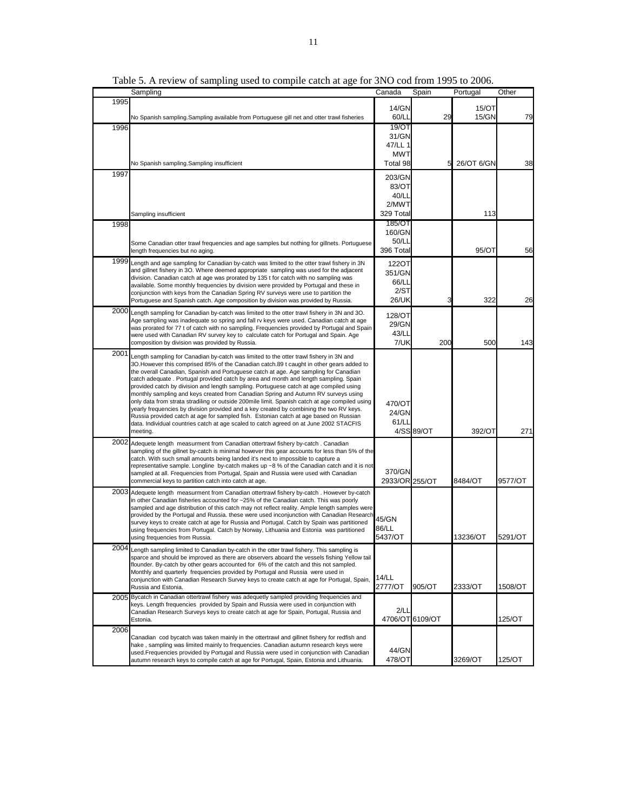|      | Sampling                                                                                                                                                                               | Canada         | Spain           | Portugal   | Other   |
|------|----------------------------------------------------------------------------------------------------------------------------------------------------------------------------------------|----------------|-----------------|------------|---------|
| 1995 |                                                                                                                                                                                        |                |                 |            |         |
|      |                                                                                                                                                                                        | 14/GN          |                 | 15/OT      |         |
|      | No Spanish sampling.Sampling available from Portuguese gill net and otter trawl fisheries                                                                                              | 60/LL          | 29              | 15/GN      | 79      |
| 1996 |                                                                                                                                                                                        | 19/OT          |                 |            |         |
|      |                                                                                                                                                                                        | 31/GN          |                 |            |         |
|      |                                                                                                                                                                                        | 47/LL 1        |                 |            |         |
|      |                                                                                                                                                                                        | <b>MWT</b>     |                 |            |         |
|      | No Spanish sampling.Sampling insufficient                                                                                                                                              | Total 98       | 5               | 26/OT 6/GN | 38      |
| 1997 |                                                                                                                                                                                        | 203/GN         |                 |            |         |
|      |                                                                                                                                                                                        | 83/OT          |                 |            |         |
|      |                                                                                                                                                                                        | 40/LL          |                 |            |         |
|      |                                                                                                                                                                                        | 2/MWT          |                 |            |         |
|      | Sampling insufficient                                                                                                                                                                  | 329 Total      |                 | 113        |         |
| 1998 |                                                                                                                                                                                        | 185/OT         |                 |            |         |
|      |                                                                                                                                                                                        | 160/GN         |                 |            |         |
|      | Some Canadian otter trawl frequencies and age samples but nothing for gillnets. Portuguese                                                                                             | 50/LL          |                 |            |         |
|      | length frequencies but no aging.                                                                                                                                                       | 396 Total      |                 | 95/OT      | 56      |
|      | 1999 Length and age sampling for Canadian by-catch was limited to the otter trawl fishery in 3N                                                                                        | 122OT          |                 |            |         |
|      | and gillnet fishery in 3O. Where deemed appropriate sampling was used for the adjacent                                                                                                 | 351/GN         |                 |            |         |
|      | division. Canadian catch at age was prorated by 135 t for catch with no sampling was                                                                                                   | 66/LL          |                 |            |         |
|      | available. Some monthly frequencies by division were provided by Portugal and these in<br>conjunction with keys from the Canadian Spring RV surveys were use to partition the          | 2/ST           |                 |            |         |
|      | Portuguese and Spanish catch. Age composition by division was provided by Russia.                                                                                                      | 26/UK          | 3               | 322        | 26      |
| 2000 | Length sampling for Canadian by-catch was limited to the otter trawl fishery in 3N and 3O.                                                                                             |                |                 |            |         |
|      | Age sampling was inadequate so spring and fall ry keys were used. Canadian catch at age                                                                                                | 128/OT         |                 |            |         |
|      | was prorated for 77 t of catch with no sampling. Frequencies provided by Portugal and Spain                                                                                            | 29/GN          |                 |            |         |
|      | were used with Canadian RV survey key to calculate catch for Portugal and Spain. Age                                                                                                   | 43/LL          |                 |            |         |
|      | composition by division was provided by Russia.                                                                                                                                        | 7/UK           | 200             | 500        | 143     |
| 2001 | Length sampling for Canadian by-catch was limited to the otter trawl fishery in 3N and                                                                                                 |                |                 |            |         |
|      | 3O. However this comprised 85% of the Canadian catch.89 t caught in other gears added to                                                                                               |                |                 |            |         |
|      | the overall Canadian, Spanish and Portuguese catch at age. Age sampling for Canadian                                                                                                   |                |                 |            |         |
|      | catch adequate . Portugal provided catch by area and month and length sampling. Spain<br>provided catch by division and length sampling. Portuguese catch at age compiled using        |                |                 |            |         |
|      | monthly sampling and keys created from Canadian Spring and Autumn RV surveys using                                                                                                     |                |                 |            |         |
|      | only data from strata stradiling or outside 200mile limit. Spanish catch at age compiled using                                                                                         | 470/OT         |                 |            |         |
|      | yearly frequencies by division provided and a key created by combining the two RV keys.                                                                                                | 24/GN          |                 |            |         |
|      | Russia provided catch at age for sampled fish. Estonian catch at age based on Russian<br>data. Individual countries catch at age scaled to catch agreed on at June 2002 STACFIS        | 61/LL          |                 |            |         |
|      | meeting.                                                                                                                                                                               |                | 4/SS 89/OT      | 392/OT     | 271     |
|      | 2002 Adequete length measurment from Canadian ottertrawl fishery by-catch. Canadian                                                                                                    |                |                 |            |         |
|      | sampling of the gillnet by-catch is minimal however this gear accounts for less than 5% of the                                                                                         |                |                 |            |         |
|      | catch. With such small amounts being landed it's next to impossible to capture a                                                                                                       |                |                 |            |         |
|      | representative sample. Longline by-catch makes up $\sim8$ % of the Canadian catch and it is not<br>sampled at all. Frequencies from Portugal, Spain and Russia were used with Canadian | 370/GN         |                 |            |         |
|      | commercial keys to partition catch into catch at age.                                                                                                                                  | 2933/OR 255/OT |                 | 8484/OT    | 9577/OT |
|      | 2003 Adequete length measurment from Canadian ottertrawl fishery by-catch . However by-catch                                                                                           |                |                 |            |         |
|      | in other Canadian fisheries accounted for ~25% of the Canadian catch. This was poorly                                                                                                  |                |                 |            |         |
|      | sampled and age distribution of this catch may not reflect reality. Ample length samples were                                                                                          |                |                 |            |         |
|      | provided by the Portugal and Russia. these were used inconjunction with Canadian Research                                                                                              | 45/GN          |                 |            |         |
|      | survey keys to create catch at age for Russia and Portugal. Catch by Spain was partitioned<br>using frequencies from Portugal. Catch by Norway, Lithuania and Estonia was partitioned  | 86/LL          |                 |            |         |
|      | using frequencies from Russia.                                                                                                                                                         | 5437/OT        |                 | 13236/OT   | 5291/OT |
|      | 2004 Length sampling limited to Canadian by-catch in the otter trawl fishery. This sampling is                                                                                         |                |                 |            |         |
|      | sparce and should be improved as there are observers aboard the vessels fishing Yellow tail                                                                                            |                |                 |            |         |
|      | flounder. By-catch by other gears accounted for 6% of the catch and this not sampled.                                                                                                  |                |                 |            |         |
|      | Monthly and quarterly frequencies provided by Portugal and Russia were used in                                                                                                         | 14/LL          |                 |            |         |
|      | conjunction with Canadian Research Survey keys to create catch at age for Portugal, Spain,<br>Russia and Estonia.                                                                      | 2777/OT        | 905/OT          | 2333/OT    | 1508/OT |
|      | 2005 Bycatch in Canadian ottertrawl fishery was adequetly sampled providing frequencies and                                                                                            |                |                 |            |         |
|      | keys. Length frequencies provided by Spain and Russia were used in conjunction with                                                                                                    |                |                 |            |         |
|      | Canadian Research Surveys keys to create catch at age for Spain, Portugal, Russia and                                                                                                  | 2/LL           |                 |            |         |
|      | Estonia.                                                                                                                                                                               |                | 4706/OT 6109/OT |            | 125/OT  |
| 2006 |                                                                                                                                                                                        |                |                 |            |         |
|      | Canadian cod bycatch was taken mainly in the ottertrawl and gillnet fishery for redfish and<br>hake , sampling was limited mainly to frequencies. Canadian autumn research keys were   |                |                 |            |         |
|      | used.Frequencies provided by Portugal and Russia were used in conjunction with Canadian                                                                                                | 44/GN          |                 |            |         |
|      | autumn research keys to compile catch at age for Portugal, Spain, Estonia and Lithuania.                                                                                               | 478/OT         |                 | 3269/OT    | 125/OT  |

Table 5. A review of sampling used to compile catch at age for 3NO cod from 1995 to 2006.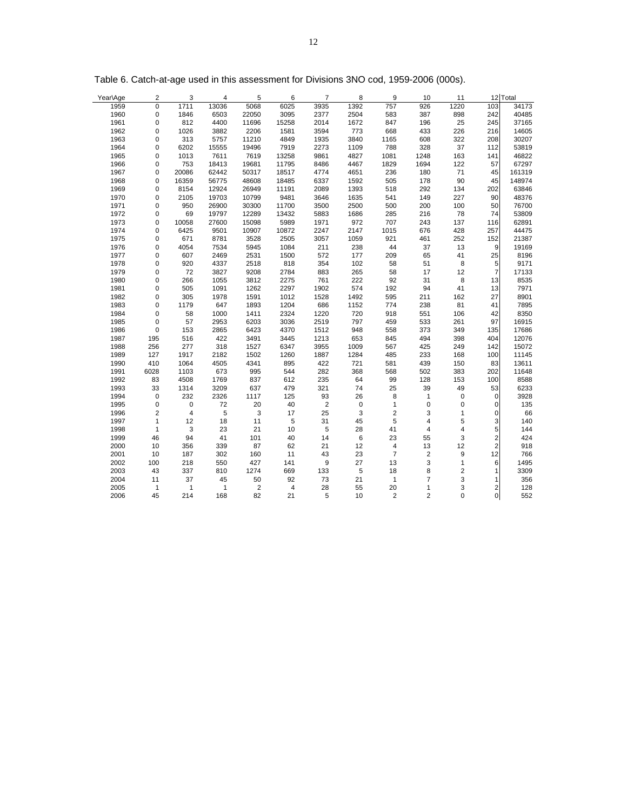| Year\Age | 2              | 3              | 4            | 5              | 6              | 7              | 8           | 9              | 10             | 11           |                | 12 Total |
|----------|----------------|----------------|--------------|----------------|----------------|----------------|-------------|----------------|----------------|--------------|----------------|----------|
| 1959     | $\mathbf 0$    | 1711           | 13036        | 5068           | 6025           | 3935           | 1392        | 757            | 926            | 1220         | 103            | 34173    |
| 1960     | $\mathbf 0$    | 1846           | 6503         | 22050          | 3095           | 2377           | 2504        | 583            | 387            | 898          | 242            | 40485    |
| 1961     | 0              | 812            | 4400         | 11696          | 15258          | 2014           | 1672        | 847            | 196            | 25           | 245            | 37165    |
| 1962     | $\mathbf 0$    | 1026           | 3882         | 2206           | 1581           | 3594           | 773         | 668            | 433            | 226          | 216            | 14605    |
| 1963     | $\mathbf 0$    | 313            | 5757         | 11210          | 4849           | 1935           | 3840        | 1165           | 608            | 322          | 208            | 30207    |
| 1964     | 0              | 6202           | 15555        | 19496          | 7919           | 2273           | 1109        | 788            | 328            | 37           | 112            | 53819    |
| 1965     | 0              | 1013           | 7611         | 7619           | 13258          | 9861           | 4827        | 1081           | 1248           | 163          | 141            | 46822    |
| 1966     | $\mathbf 0$    | 753            | 18413        | 19681          | 11795          | 8486           | 4467        | 1829           | 1694           | 122          | 57             | 67297    |
| 1967     | 0              | 20086          | 62442        | 50317          | 18517          | 4774           | 4651        | 236            | 180            | 71           | 45             | 161319   |
| 1968     | $\mathbf 0$    | 16359          | 56775        | 48608          | 18485          | 6337           | 1592        | 505            | 178            | 90           | 45             | 148974   |
| 1969     | 0              | 8154           | 12924        | 26949          | 11191          | 2089           | 1393        | 518            | 292            | 134          | 202            | 63846    |
| 1970     | 0              | 2105           | 19703        | 10799          | 9481           | 3646           | 1635        | 541            | 149            | 227          | 90             | 48376    |
| 1971     | $\mathbf 0$    | 950            | 26900        | 30300          | 11700          | 3500           | 2500        | 500            | 200            | 100          | 50             | 76700    |
| 1972     | 0              | 69             | 19797        | 12289          | 13432          | 5883           | 1686        | 285            | 216            | 78           | 74             | 53809    |
| 1973     | $\mathbf 0$    | 10058          | 27600        | 15098          | 5989           | 1971           | 972         | 707            | 243            | 137          | 116            | 62891    |
| 1974     | 0              | 6425           | 9501         | 10907          | 10872          | 2247           | 2147        | 1015           | 676            | 428          | 257            | 44475    |
| 1975     | $\mathbf 0$    | 671            | 8781         | 3528           | 2505           | 3057           | 1059        | 921            | 461            | 252          | 152            | 21387    |
| 1976     | $\mathbf 0$    | 4054           | 7534         | 5945           | 1084           | 211            | 238         | 44             | 37             | 13           | 9              | 19169    |
| 1977     | $\mathbf 0$    | 607            | 2469         | 2531           | 1500           | 572            | 177         | 209            | 65             | 41           | 25             | 8196     |
| 1978     | $\mathbf 0$    | 920            | 4337         | 2518           | 818            | 354            | 102         | 58             | 51             | 8            | 5 <sup>1</sup> | 9171     |
| 1979     | 0              | 72             | 3827         | 9208           | 2784           | 883            | 265         | 58             | 17             | 12           | $\overline{7}$ | 17133    |
| 1980     | 0              | 266            | 1055         | 3812           | 2275           | 761            | 222         | 92             | 31             | $\,8\,$      | 13             | 8535     |
| 1981     | 0              | 505            | 1091         | 1262           | 2297           | 1902           | 574         | 192            | 94             | 41           | 13             | 7971     |
| 1982     | $\mathbf 0$    | 305            | 1978         | 1591           | 1012           | 1528           | 1492        | 595            | 211            | 162          | 27             | 8901     |
| 1983     | 0              | 1179           | 647          | 1893           | 1204           | 686            | 1152        | 774            | 238            | 81           | 41             | 7895     |
| 1984     | 0              | 58             | 1000         | 1411           | 2324           | 1220           | 720         | 918            | 551            | 106          | 42             | 8350     |
| 1985     | $\mathbf 0$    | 57             | 2953         | 6203           | 3036           | 2519           | 797         | 459            | 533            | 261          | 97             | 16915    |
| 1986     | $\mathbf 0$    | 153            | 2865         | 6423           | 4370           | 1512           | 948         | 558            | 373            | 349          | 135            | 17686    |
| 1987     | 195            | 516            | 422          | 3491           | 3445           | 1213           | 653         | 845            | 494            | 398          | 404            | 12076    |
| 1988     | 256            | 277            | 318          | 1527           | 6347           | 3955           | 1009        | 567            | 425            | 249          | 142            | 15072    |
| 1989     | 127            | 1917           | 2182         | 1502           | 1260           | 1887           | 1284        | 485            | 233            | 168          | 100            | 11145    |
| 1990     | 410            | 1064           | 4505         | 4341           | 895            | 422            | 721         | 581            | 439            | 150          | 83             | 13611    |
| 1991     | 6028           | 1103           | 673          | 995            | 544            | 282            | 368         | 568            | 502            | 383          | 202            | 11648    |
| 1992     | 83             | 4508           | 1769         | 837            | 612            | 235            | 64          | 99             | 128            | 153          | 100            | 8588     |
| 1993     | 33             | 1314           | 3209         | 637            | 479            | 321            | 74          | 25             | 39             | 49           | 53             | 6233     |
| 1994     | $\mathbf 0$    | 232            | 2326         | 1117           | 125            | 93             | 26          | 8              | $\mathbf{1}$   | $\mathbf 0$  | $\overline{0}$ | 3928     |
| 1995     | $\mathbf 0$    | $\mathbf 0$    | 72           | 20             | 40             | $\overline{2}$ | $\mathbf 0$ | $\mathbf{1}$   | $\mathbf 0$    | $\mathbf 0$  | $\Omega$       | 135      |
| 1996     | $\overline{c}$ | $\overline{4}$ | 5            | 3              | 17             | 25             | 3           | 2              | 3              | $\mathbf{1}$ | 0              | 66       |
| 1997     | $\mathbf{1}$   | 12             | 18           | 11             | 5              | 31             | 45          | 5              | $\overline{4}$ | 5            | $\overline{3}$ | 140      |
| 1998     | $\mathbf{1}$   | 3              | 23           | 21             | 10             | $\,$ 5         | 28          | 41             | 4              | 4            | 5 <sup>1</sup> | 144      |
| 1999     | 46             | 94             | 41           | 101            | 40             | 14             | 6           | 23             | 55             | 3            | $\overline{2}$ | 424      |
| 2000     | 10             | 356            | 339          | 87             | 62             | 21             | 12          | 4              | 13             | 12           | $\overline{2}$ | 918      |
| 2001     | 10             | 187            | 302          | 160            | 11             | 43             | 23          | $\overline{7}$ | 2              | 9            | 12             | 766      |
| 2002     | 100            | 218            | 550          | 427            | 141            | 9              | 27          | 13             | 3              | $\mathbf{1}$ | $6 \mid$       | 1495     |
| 2003     | 43             | 337            | 810          | 1274           | 669            | 133            | 5           | 18             | 8              | 2            | 1              | 3309     |
| 2004     | 11             | 37             | 45           | 50             | 92             | 73             | 21          | $\mathbf{1}$   | $\overline{7}$ | 3            | $\mathbf{1}$   | 356      |
| 2005     | $\overline{1}$ | $\overline{1}$ | $\mathbf{1}$ | $\overline{2}$ | $\overline{4}$ | 28             | 55          | 20             | $\mathbf{1}$   | 3            | $\overline{2}$ | 128      |
| 2006     | 45             | 214            | 168          | 82             | 21             | 5              | 10          | 2              | 2              | $\mathbf 0$  | $\overline{0}$ | 552      |
|          |                |                |              |                |                |                |             |                |                |              |                |          |

Table 6. Catch-at-age used in this assessment for Divisions 3NO cod, 1959-2006 (000s).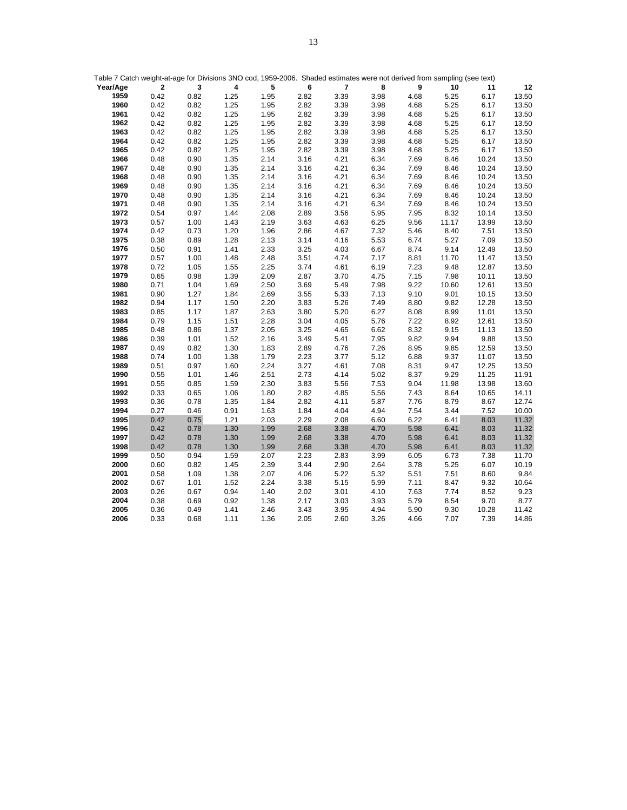|              | Table 7 Catch weight-at-age for Divisions 3NO cod, 1959-2006. Shaded estimates were not derived from sampling (see text) |              |              |              |              |                |              |              |              |                |                |
|--------------|--------------------------------------------------------------------------------------------------------------------------|--------------|--------------|--------------|--------------|----------------|--------------|--------------|--------------|----------------|----------------|
| Year/Age     | $\mathbf{2}$                                                                                                             | 3            | 4            | 5            | 6            | $\overline{7}$ | 8            | 9            | 10           | 11             | 12             |
| 1959         | 0.42                                                                                                                     | 0.82         | 1.25         | 1.95         | 2.82         | 3.39           | 3.98         | 4.68         | 5.25         | 6.17           | 13.50          |
| 1960         | 0.42                                                                                                                     | 0.82         | 1.25         | 1.95         | 2.82         | 3.39           | 3.98         | 4.68         | 5.25         | 6.17           | 13.50          |
| 1961         | 0.42                                                                                                                     | 0.82         | 1.25         | 1.95         | 2.82         | 3.39           | 3.98         | 4.68         | 5.25         | 6.17           | 13.50          |
| 1962         | 0.42                                                                                                                     | 0.82         | 1.25         | 1.95         | 2.82         | 3.39           | 3.98         | 4.68         | 5.25         | 6.17           | 13.50          |
| 1963         | 0.42                                                                                                                     | 0.82         | 1.25         | 1.95         | 2.82         | 3.39           | 3.98         | 4.68         | 5.25         | 6.17           | 13.50          |
| 1964         | 0.42                                                                                                                     | 0.82         | 1.25         | 1.95         | 2.82         | 3.39           | 3.98         | 4.68         | 5.25         | 6.17           | 13.50          |
| 1965         | 0.42                                                                                                                     | 0.82         | 1.25         | 1.95         | 2.82         | 3.39           | 3.98         | 4.68         | 5.25         | 6.17           | 13.50          |
| 1966         | 0.48                                                                                                                     | 0.90         | 1.35         | 2.14         | 3.16         | 4.21           | 6.34         | 7.69         | 8.46         | 10.24          | 13.50          |
| 1967         | 0.48                                                                                                                     | 0.90         | 1.35         | 2.14         | 3.16         | 4.21           | 6.34         | 7.69         | 8.46         | 10.24          | 13.50          |
| 1968         | 0.48                                                                                                                     | 0.90         | 1.35         | 2.14         | 3.16         | 4.21           | 6.34         | 7.69         | 8.46         | 10.24          | 13.50          |
| 1969         | 0.48                                                                                                                     | 0.90         | 1.35         | 2.14         | 3.16         | 4.21           | 6.34         | 7.69         | 8.46         | 10.24          | 13.50          |
| 1970         | 0.48                                                                                                                     | 0.90         | 1.35         | 2.14         | 3.16         | 4.21           | 6.34         | 7.69         | 8.46         | 10.24          | 13.50          |
| 1971         | 0.48                                                                                                                     | 0.90         | 1.35         | 2.14         | 3.16         | 4.21           | 6.34         | 7.69         | 8.46         | 10.24          | 13.50          |
| 1972         | 0.54                                                                                                                     | 0.97         | 1.44         | 2.08         | 2.89         | 3.56           | 5.95         | 7.95         | 8.32         | 10.14          | 13.50          |
| 1973         | 0.57                                                                                                                     | 1.00         | 1.43         | 2.19         | 3.63         | 4.63           | 6.25         | 9.56         | 11.17        | 13.99          | 13.50          |
| 1974         | 0.42                                                                                                                     | 0.73         | 1.20         | 1.96         | 2.86         | 4.67           | 7.32         | 5.46         | 8.40         | 7.51           | 13.50          |
| 1975         | 0.38                                                                                                                     | 0.89         | 1.28         | 2.13         | 3.14         | 4.16           | 5.53         | 6.74         | 5.27         | 7.09           | 13.50          |
| 1976         | 0.50                                                                                                                     | 0.91         | 1.41         | 2.33         | 3.25         | 4.03           | 6.67         | 8.74         | 9.14         | 12.49          | 13.50          |
| 1977         | 0.57                                                                                                                     | 1.00         | 1.48         | 2.48         | 3.51         | 4.74           | 7.17         | 8.81         | 11.70        | 11.47          | 13.50          |
| 1978         | 0.72                                                                                                                     | 1.05         | 1.55         | 2.25         | 3.74         | 4.61           | 6.19         | 7.23         | 9.48         | 12.87          | 13.50          |
| 1979         | 0.65                                                                                                                     | 0.98         | 1.39         | 2.09         | 2.87         | 3.70           | 4.75         | 7.15         | 7.98         | 10.11          | 13.50          |
| 1980         | 0.71                                                                                                                     | 1.04         | 1.69         | 2.50         | 3.69         | 5.49           | 7.98         | 9.22         | 10.60        | 12.61          | 13.50          |
| 1981         | 0.90                                                                                                                     | 1.27         | 1.84         | 2.69         | 3.55         | 5.33           | 7.13         | 9.10         | 9.01         | 10.15          | 13.50          |
| 1982<br>1983 | 0.94<br>0.85                                                                                                             | 1.17<br>1.17 | 1.50<br>1.87 | 2.20<br>2.63 | 3.83<br>3.80 | 5.26<br>5.20   | 7.49<br>6.27 | 8.80<br>8.08 | 9.82<br>8.99 | 12.28<br>11.01 | 13.50<br>13.50 |
| 1984         | 0.79                                                                                                                     | 1.15         | 1.51         | 2.28         | 3.04         | 4.05           | 5.76         | 7.22         | 8.92         | 12.61          | 13.50          |
| 1985         | 0.48                                                                                                                     | 0.86         | 1.37         | 2.05         | 3.25         | 4.65           | 6.62         | 8.32         | 9.15         | 11.13          | 13.50          |
| 1986         | 0.39                                                                                                                     | 1.01         | 1.52         | 2.16         | 3.49         | 5.41           | 7.95         | 9.82         | 9.94         | 9.88           | 13.50          |
| 1987         | 0.49                                                                                                                     | 0.82         | 1.30         | 1.83         | 2.89         | 4.76           | 7.26         | 8.95         | 9.85         | 12.59          | 13.50          |
| 1988         | 0.74                                                                                                                     | 1.00         | 1.38         | 1.79         | 2.23         | 3.77           | 5.12         | 6.88         | 9.37         | 11.07          | 13.50          |
| 1989         | 0.51                                                                                                                     | 0.97         | 1.60         | 2.24         | 3.27         | 4.61           | 7.08         | 8.31         | 9.47         | 12.25          | 13.50          |
| 1990         | 0.55                                                                                                                     | 1.01         | 1.46         | 2.51         | 2.73         | 4.14           | 5.02         | 8.37         | 9.29         | 11.25          | 11.91          |
| 1991         | 0.55                                                                                                                     | 0.85         | 1.59         | 2.30         | 3.83         | 5.56           | 7.53         | 9.04         | 11.98        | 13.98          | 13.60          |
| 1992         | 0.33                                                                                                                     | 0.65         | 1.06         | 1.80         | 2.82         | 4.85           | 5.56         | 7.43         | 8.64         | 10.65          | 14.11          |
| 1993         | 0.36                                                                                                                     | 0.78         | 1.35         | 1.84         | 2.82         | 4.11           | 5.87         | 7.76         | 8.79         | 8.67           | 12.74          |
| 1994         | 0.27                                                                                                                     | 0.46         | 0.91         | 1.63         | 1.84         | 4.04           | 4.94         | 7.54         | 3.44         | 7.52           | 10.00          |
| 1995         | 0.42                                                                                                                     | 0.75         | 1.21         | 2.03         | 2.29         | 2.08           | 6.60         | 6.22         | 6.41         | 8.03           | 11.32          |
| 1996         | 0.42                                                                                                                     | 0.78         | 1.30         | 1.99         | 2.68         | 3.38           | 4.70         | 5.98         | 6.41         | 8.03           | 11.32          |
| 1997         | 0.42                                                                                                                     | 0.78         | 1.30         | 1.99         | 2.68         | 3.38           | 4.70         | 5.98         | 6.41         | 8.03           | 11.32          |
| 1998         | 0.42                                                                                                                     | 0.78         | 1.30         | 1.99         | 2.68         | 3.38           | 4.70         | 5.98         | 6.41         | 8.03           | 11.32          |
| 1999         | 0.50                                                                                                                     | 0.94         | 1.59         | 2.07         | 2.23         | 2.83           | 3.99         | 6.05         | 6.73         | 7.38           | 11.70          |
| 2000         | 0.60                                                                                                                     | 0.82         | 1.45         | 2.39         | 3.44         | 2.90           | 2.64         | 3.78         | 5.25         | 6.07           | 10.19          |
| 2001         | 0.58                                                                                                                     | 1.09         | 1.38         | 2.07         | 4.06         | 5.22           | 5.32         | 5.51         | 7.51         | 8.60           | 9.84           |
| 2002         | 0.67                                                                                                                     | 1.01         | 1.52         | 2.24         | 3.38         | 5.15           | 5.99         | 7.11         | 8.47         | 9.32           | 10.64          |
| 2003         | 0.26                                                                                                                     | 0.67         | 0.94         | 1.40         | 2.02         | 3.01           | 4.10         | 7.63         | 7.74         | 8.52           | 9.23           |
| 2004         | 0.38                                                                                                                     | 0.69         | 0.92         | 1.38         | 2.17         | 3.03           | 3.93         | 5.79         | 8.54         | 9.70           | 8.77           |
| 2005         | 0.36                                                                                                                     | 0.49         | 1.41         | 2.46         | 3.43         | 3.95           | 4.94         | 5.90         | 9.30         | 10.28          | 11.42          |
| 2006         | 0.33                                                                                                                     | 0.68         | 1.11         | 1.36         | 2.05         | 2.60           | 3.26         | 4.66         | 7.07         | 7.39           | 14.86          |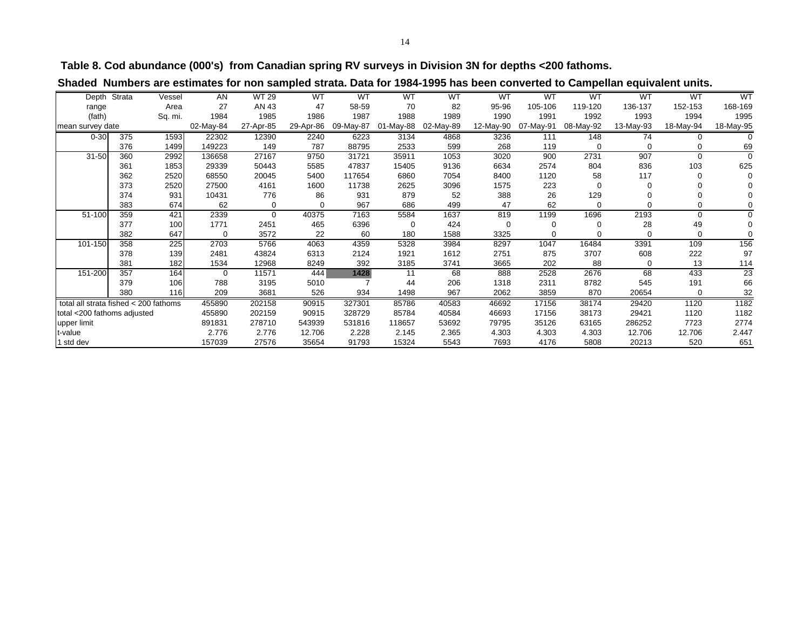**Table 8. Cod abundance (000's) from Canadian spring RV surveys in Division 3N for depths <200 fathoms.**

|  | Shaded Numbers are estimates for non sampled strata. Data for 1984-1995 has been converted to Campellan equivalent units. |  |
|--|---------------------------------------------------------------------------------------------------------------------------|--|
|  |                                                                                                                           |  |

|                                       | Depth Strata | Vessel  | AN        | <b>WT 29</b> | <b>WT</b> | <b>WT</b> | <b>WT</b> | <b>WT</b> | <b>WT</b> | <b>WT</b> | <b>WT</b> | <b>WT</b> | <b>WT</b> | WT        |
|---------------------------------------|--------------|---------|-----------|--------------|-----------|-----------|-----------|-----------|-----------|-----------|-----------|-----------|-----------|-----------|
| range                                 |              | Area    | 27        | AN 43        | 47        | 58-59     | 70        | 82        | 95-96     | 105-106   | 119-120   | 136-137   | 152-153   | 168-169   |
| (fath)                                |              | Sq. mi. | 1984      | 1985         | 1986      | 1987      | 1988      | 1989      | 1990      | 1991      | 1992      | 1993      | 1994      | 1995      |
| mean survey date                      |              |         | 02-May-84 | 27-Apr-85    | 29-Apr-86 | 09-May-87 | 01-May-88 | 02-May-89 | 12-May-90 | 07-May-91 | 08-May-92 | 13-May-93 | 18-May-94 | 18-May-95 |
| $0 - 30$                              | 375          | 1593    | 22302     | 12390        | 2240      | 6223      | 3134      | 4868      | 3236      | 111       | 148       | 74        |           |           |
|                                       | 376          | 1499    | 149223    | 149          | 787       | 88795     | 2533      | 599       | 268       | 119       | 0         |           |           | 69        |
| 31-50                                 | 360          | 2992    | 136658    | 27167        | 9750      | 31721     | 35911     | 1053      | 3020      | 900       | 2731      | 907       | $\Omega$  | $\Omega$  |
|                                       | 361          | 1853    | 29339     | 50443        | 5585      | 47837     | 15405     | 9136      | 6634      | 2574      | 804       | 836       | 103       | 625       |
|                                       | 362          | 2520    | 68550     | 20045        | 5400      | 117654    | 6860      | 7054      | 8400      | 1120      | 58        | 117       |           |           |
|                                       | 373          | 2520    | 27500     | 4161         | 1600      | 11738     | 2625      | 3096      | 1575      | 223       | $\Omega$  |           |           |           |
|                                       | 374          | 931     | 10431     | 776          | 86        | 931       | 879       | 52        | 388       | 26        | 129       |           |           |           |
|                                       | 383          | 674     | 62        | 0            |           | 967       | 686       | 499       | 47        | 62        | $\Omega$  |           |           |           |
| 51-100                                | 359          | 421     | 2339      | $\Omega$     | 40375     | 7163      | 5584      | 1637      | 819       | 1199      | 1696      | 2193      | $\Omega$  |           |
|                                       | 377          | 100     | 1771      | 2451         | 465       | 6396      | $\Omega$  | 424       | 0         | 0         | $\Omega$  | 28        | 49        |           |
|                                       | 382          | 647     | $\Omega$  | 3572         | 22        | 60        | 180       | 1588      | 3325      |           | 0         |           |           |           |
| 101-150                               | 358          | 225     | 2703      | 5766         | 4063      | 4359      | 5328      | 3984      | 8297      | 1047      | 16484     | 3391      | 109       | 156       |
|                                       | 378          | 139     | 2481      | 43824        | 6313      | 2124      | 1921      | 1612      | 2751      | 875       | 3707      | 608       | 222       | 97        |
|                                       | 381          | 182     | 1534      | 12968        | 8249      | 392       | 3185      | 3741      | 3665      | 202       | 88        | $\Omega$  | 13        | 114       |
| 151-200                               | 357          | 164     | $\Omega$  | 11571        | 444       | 1428      | 11        | 68        | 888       | 2528      | 2676      | 68        | 433       | 23        |
|                                       | 379          | 106     | 788       | 3195         | 5010      |           | 44        | 206       | 1318      | 2311      | 8782      | 545       | 191       | 66        |
|                                       | 380          | 116     | 209       | 3681         | 526       | 934       | 1498      | 967       | 2062      | 3859      | 870       | 20654     | 0         | 32        |
| total all strata fished < 200 fathoms |              |         | 455890    | 202158       | 90915     | 327301    | 85786     | 40583     | 46692     | 17156     | 38174     | 29420     | 1120      | 1182      |
| total <200 fathoms adjusted           |              |         | 455890    | 202159       | 90915     | 328729    | 85784     | 40584     | 46693     | 17156     | 38173     | 29421     | 1120      | 1182      |
| upper limit                           |              |         | 891831    | 278710       | 543939    | 531816    | 118657    | 53692     | 79795     | 35126     | 63165     | 286252    | 7723      | 2774      |
| t-value                               |              |         | 2.776     | 2.776        | 12.706    | 2.228     | 2.145     | 2.365     | 4.303     | 4.303     | 4.303     | 12.706    | 12.706    | 2.447     |
| 1 std dev                             |              |         | 157039    | 27576        | 35654     | 91793     | 15324     | 5543      | 7693      | 4176      | 5808      | 20213     | 520       | 651       |
|                                       |              |         |           |              |           |           |           |           |           |           |           |           |           |           |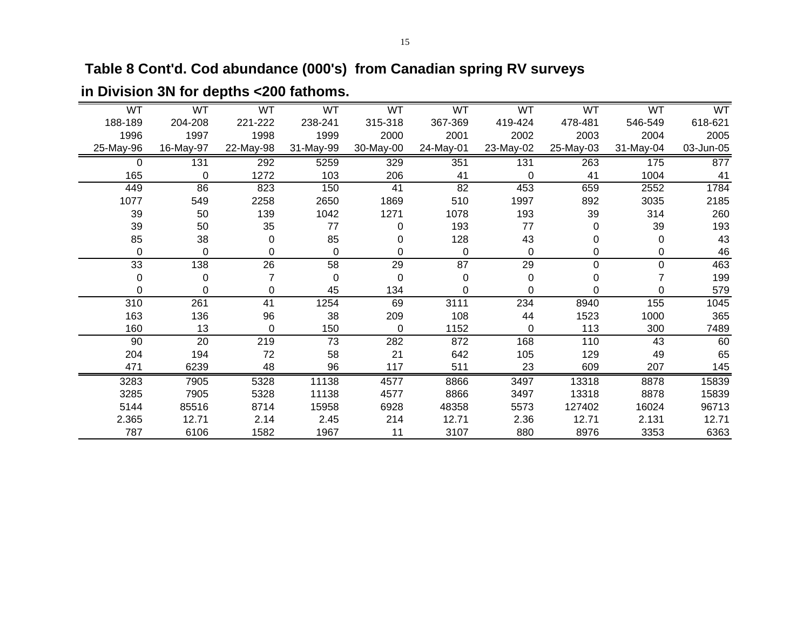# **Table 8 Cont'd. Cod abundance (000's) from Canadian spring RV surveys**

|           | WT        |             | WT        | WT        | WT        | WT        | WT          | WT        | WT        |
|-----------|-----------|-------------|-----------|-----------|-----------|-----------|-------------|-----------|-----------|
|           | 478-481   |             | 419-424   | 367-369   | 315-318   | 238-241   | 221-222     | 204-208   | 188-189   |
|           | 2003      |             | 2002      | 2001      | 2000      | 1999      | 1998        | 1997      | 1996      |
| 31-May-04 | 25-May-03 |             | 23-May-02 | 24-May-01 | 30-May-00 | 31-May-99 | 22-May-98   | 16-May-97 | 25-May-96 |
|           | 263       |             | 131       | 351       | 329       | 5259      | 292         | 131       | 0         |
|           | 41        | $\Omega$    |           | 41        | 206       | 103       | 1272        | 0         | 165       |
|           | 659       |             | 453       | 82        | 41        | 150       | 823         | 86        | 449       |
|           | 892       |             | 1997      | 510       | 1869      | 2650      | 2258        | 549       | 1077      |
|           | 39        |             | 193       | 1078      | 1271      | 1042      | 139         | 50        | 39        |
| 0         |           | 77          |           | 193       | 0         | 77        | 35          | 50        | 39        |
| 0         |           | 43          |           | 128       | 0         | 85        | $\mathbf 0$ | 38        | 85        |
| 0         |           | 0           |           | 0         | 0         | 0         | 0           | 0         | $\Omega$  |
| 0         |           | 29          |           | 87        | 29        | 58        | 26          | 138       | 33        |
| 0         |           | $\mathbf 0$ |           | 0         | 0         | 0         |             | 0         | 0         |
| 0         |           | $\Omega$    |           | $\Omega$  | 134       | 45        | 0           | $\Omega$  | $\Omega$  |
|           | 8940      |             | 234       | 3111      | 69        | 1254      | 41          | 261       | 310       |
|           | 1523      | 44          |           | 108       | 209       | 38        | 96          | 136       | 163       |
|           | 113       | $\Omega$    |           | 1152      | 0         | 150       | 0           | 13        | 160       |
|           | 110       |             | 168       | 872       | 282       | 73        | 219         | 20        | 90        |
|           | 129       |             | 105       | 642       | 21        | 58        | 72          | 194       | 204       |
|           | 609       | 23          |           | 511       | 117       | 96        | 48          | 6239      | 471       |
|           | 13318     |             | 3497      | 8866      | 4577      | 11138     | 5328        | 7905      | 3283      |
|           | 13318     |             | 3497      | 8866      | 4577      | 11138     | 5328        | 7905      | 3285      |
|           | 127402    |             | 5573      | 48358     | 6928      | 15958     | 8714        | 85516     | 5144      |
|           | 12.71     |             | 2.36      | 12.71     | 214       | 2.45      | 2.14        | 12.71     | 2.365     |
|           | 8976      |             | 880       | 3107      | 11        | 1967      | 1582        | 6106      | 787       |

# **in Division 3N for depths <200 fathoms.**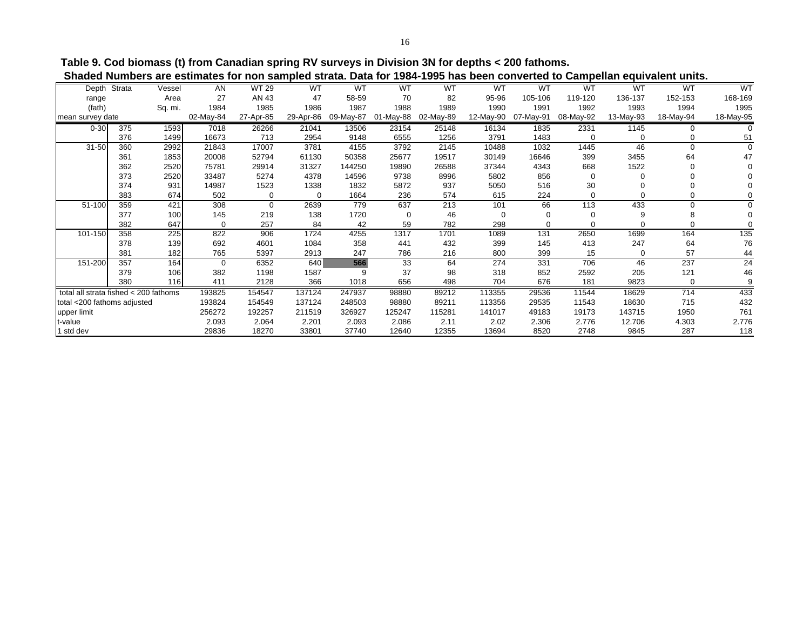**Table 9. Cod biomass (t) from Canadian spring RV surveys in Division 3N for depths < 200 fathoms. Shaded Numbers are estimates for non sampled strata. Data for 1984-1995 has been converted to Campellan equivalent units.**

| Depth                                 | Strata | Vessel  | AN        | <b>WT 29</b> | <b>WT</b> | <b>WT</b> | <b>WT</b> | <b>WT</b> | <b>WT</b> | <b>WT</b> | <b>WT</b> | <b>WT</b> | <b>WT</b> | <b>WT</b> |
|---------------------------------------|--------|---------|-----------|--------------|-----------|-----------|-----------|-----------|-----------|-----------|-----------|-----------|-----------|-----------|
| range                                 |        | Area    | 27        | AN 43        | 47        | 58-59     | 70        | 82        | 95-96     | 105-106   | 119-120   | 136-137   | 152-153   | 168-169   |
| (fath)                                |        | Sq. mi. | 1984      | 1985         | 1986      | 1987      | 1988      | 1989      | 1990      | 1991      | 1992      | 1993      | 1994      | 1995      |
| mean survey date                      |        |         | 02-May-84 | 27-Apr-85    | 29-Apr-86 | 09-May-87 | 01-May-88 | 02-May-89 | 12-May-90 | 07-May-91 | 08-May-92 | 13-May-93 | 18-May-94 | 18-May-95 |
| $0 - 30$                              | 375    | 1593    | 7018      | 26266        | 21041     | 13506     | 23154     | 25148     | 16134     | 1835      | 2331      | 1145      | 0         |           |
|                                       | 376    | 1499    | 16673     | 713          | 2954      | 9148      | 6555      | 1256      | 3791      | 1483      |           |           |           | 51        |
| 31-50                                 | 360    | 2992    | 21843     | 17007        | 3781      | 4155      | 3792      | 2145      | 10488     | 1032      | 1445      | 46        | 0         | $\Omega$  |
|                                       | 361    | 1853    | 20008     | 52794        | 61130     | 50358     | 25677     | 19517     | 30149     | 16646     | 399       | 3455      | 64        | 47        |
|                                       | 362    | 2520    | 75781     | 29914        | 31327     | 144250    | 19890     | 26588     | 37344     | 4343      | 668       | 1522      | O         |           |
|                                       | 373    | 2520    | 33487     | 5274         | 4378      | 14596     | 9738      | 8996      | 5802      | 856       | $\Omega$  | 0         |           |           |
|                                       | 374    | 931     | 14987     | 1523         | 1338      | 1832      | 5872      | 937       | 5050      | 516       | 30        |           |           |           |
|                                       | 383    | 674     | 502       | 0            | $\Omega$  | 1664      | 236       | 574       | 615       | 224       |           |           |           |           |
| 51-100                                | 359    | 421     | 308       | $\Omega$     | 2639      | 779       | 637       | 213       | 101       | 66        | 113       | 433       | 0         |           |
|                                       | 377    | 100     | 145       | 219          | 138       | 1720      | $\Omega$  | 46        | 0         | $\Omega$  |           | 9         | 8         |           |
|                                       | 382    | 647     | $\Omega$  | 257          | 84        | 42        | 59        | 782       | 298       | ∩         |           |           |           |           |
| 101-150                               | 358    | 225     | 822       | 906          | 1724      | 4255      | 1317      | 1701      | 1089      | 131       | 2650      | 1699      | 164       | 135       |
|                                       | 378    | 139     | 692       | 4601         | 1084      | 358       | 441       | 432       | 399       | 145       | 413       | 247       | 64        | 76        |
|                                       | 381    | 182     | 765       | 5397         | 2913      | 247       | 786       | 216       | 800       | 399       | 15        | 0         | 57        | 44        |
| 151-200                               | 357    | 164     | $\Omega$  | 6352         | 640       | 566       | 33        | 64        | 274       | 331       | 706       | 46        | 237       | 24        |
|                                       | 379    | 106     | 382       | 1198         | 1587      | g         | 37        | 98        | 318       | 852       | 2592      | 205       | 121       | 46        |
|                                       | 380    | 116     | 411       | 2128         | 366       | 1018      | 656       | 498       | 704       | 676       | 181       | 9823      | $\Omega$  | 9         |
| total all strata fished < 200 fathoms |        |         | 193825    | 154547       | 137124    | 247937    | 98880     | 89212     | 113355    | 29536     | 11544     | 18629     | 714       | 433       |
| total <200 fathoms adjusted           |        |         | 193824    | 154549       | 137124    | 248503    | 98880     | 89211     | 113356    | 29535     | 11543     | 18630     | 715       | 432       |
| upper limit                           |        |         | 256272    | 192257       | 211519    | 326927    | 125247    | 115281    | 141017    | 49183     | 19173     | 143715    | 1950      | 761       |
| t-value                               |        |         | 2.093     | 2.064        | 2.201     | 2.093     | 2.086     | 2.11      | 2.02      | 2.306     | 2.776     | 12.706    | 4.303     | 2.776     |
| 1 std dev                             |        |         | 29836     | 18270        | 33801     | 37740     | 12640     | 12355     | 13694     | 8520      | 2748      | 9845      | 287       | 118       |
|                                       |        |         |           |              |           |           |           |           |           |           |           |           |           |           |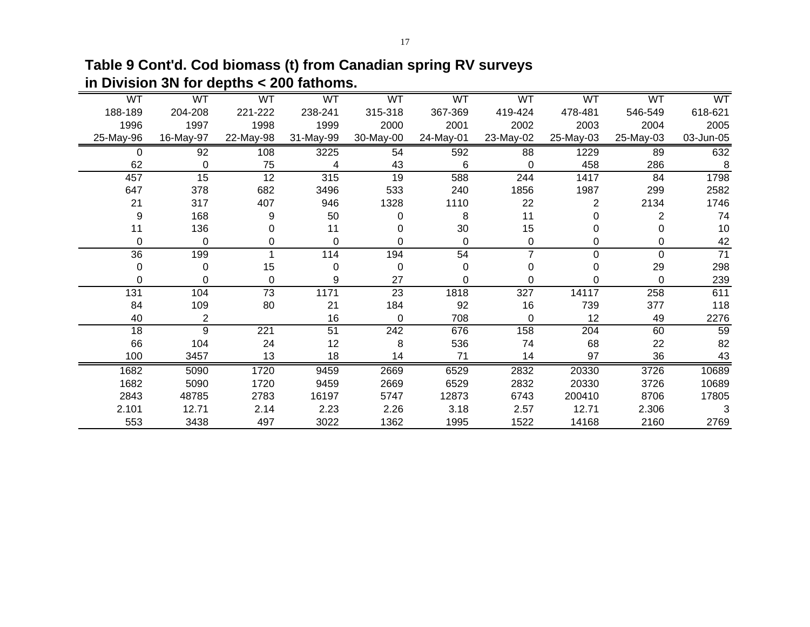**Table 9 Cont'd. Cod biomass (t) from Canadian spring RV surveys in Division 3N for depths < 200 fathoms.**

| WT        | WT        | WT        | WT        | WT        | WT        | WT             | WT        | WT        | WT              |
|-----------|-----------|-----------|-----------|-----------|-----------|----------------|-----------|-----------|-----------------|
| 188-189   | 204-208   | 221-222   | 238-241   | 315-318   | 367-369   | 419-424        | 478-481   | 546-549   | 618-621         |
| 1996      | 1997      | 1998      | 1999      | 2000      | 2001      | 2002           | 2003      | 2004      | 2005            |
| 25-May-96 | 16-May-97 | 22-May-98 | 31-May-99 | 30-May-00 | 24-May-01 | 23-May-02      | 25-May-03 | 25-May-03 | 03-Jun-05       |
| 0         | 92        | 108       | 3225      | 54        | 592       | 88             | 1229      | 89        | 632             |
| 62        | $\Omega$  | 75        | 4         | 43        | 6         | $\Omega$       | 458       | 286       | 8               |
| 457       | 15        | 12        | 315       | 19        | 588       | 244            | 1417      | 84        | 1798            |
| 647       | 378       | 682       | 3496      | 533       | 240       | 1856           | 1987      | 299       | 2582            |
| 21        | 317       | 407       | 946       | 1328      | 1110      | 22             | 2         | 2134      | 1746            |
| 9         | 168       | 9         | 50        | 0         | 8         | 11             |           | 2         | 74              |
| 11        | 136       | 0         | 11        |           | 30        | 15             |           |           | 10              |
| 0         | 0         | 0         | $\Omega$  | 0         | 0         | 0              | 0         | 0         | 42              |
| 36        | 199       |           | 114       | 194       | 54        | $\overline{7}$ | 0         | $\Omega$  | $\overline{71}$ |
| 0         | $\Omega$  | 15        | $\Omega$  | $\Omega$  | 0         | 0              | 0         | 29        | 298             |
| 0         | 0         | 0         | 9         | 27        | 0         | 0              | 0         | 0         | 239             |
| 131       | 104       | 73        | 1171      | 23        | 1818      | 327            | 14117     | 258       | 611             |
| 84        | 109       | 80        | 21        | 184       | 92        | 16             | 739       | 377       | 118             |
| 40        | 2         |           | 16        | 0         | 708       | $\Omega$       | 12        | 49        | 2276            |
| 18        | 9         | 221       | 51        | 242       | 676       | 158            | 204       | 60        | 59              |
| 66        | 104       | 24        | 12        | 8         | 536       | 74             | 68        | 22        | 82              |
| 100       | 3457      | 13        | 18        | 14        | 71        | 14             | 97        | 36        | 43              |
| 1682      | 5090      | 1720      | 9459      | 2669      | 6529      | 2832           | 20330     | 3726      | 10689           |
| 1682      | 5090      | 1720      | 9459      | 2669      | 6529      | 2832           | 20330     | 3726      | 10689           |
| 2843      | 48785     | 2783      | 16197     | 5747      | 12873     | 6743           | 200410    | 8706      | 17805           |
| 2.101     | 12.71     | 2.14      | 2.23      | 2.26      | 3.18      | 2.57           | 12.71     | 2.306     | 3               |
| 553       | 3438      | 497       | 3022      | 1362      | 1995      | 1522           | 14168     | 2160      | 2769            |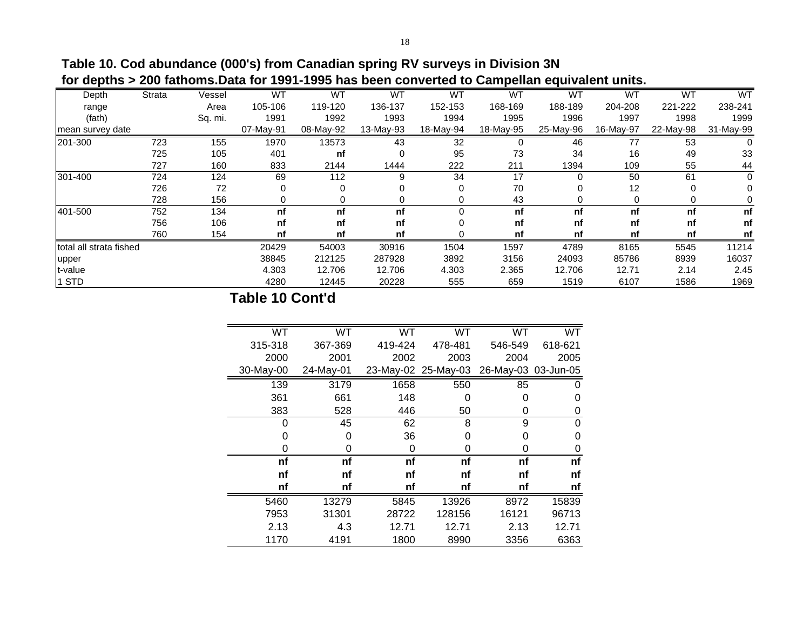**Table 10. Cod abundance (000's) from Canadian spring RV surveys in Division 3N for depths > 200 fathoms.Data for 1991-1995 has been converted to Campellan equivalent units.**

| Depth                   | Strata | Vessel  | <b>WT</b> | <b>WT</b> | <b>WT</b> | <b>WT</b> | <b>WT</b> | <b>WT</b> | <b>WT</b> | <b>WT</b> | WT        |
|-------------------------|--------|---------|-----------|-----------|-----------|-----------|-----------|-----------|-----------|-----------|-----------|
| range                   |        | Area    | 105-106   | 119-120   | 136-137   | 152-153   | 168-169   | 188-189   | 204-208   | 221-222   | 238-241   |
| (fath)                  |        | Sq. mi. | 1991      | 1992      | 1993      | 1994      | 1995      | 1996      | 1997      | 1998      | 1999      |
| mean survey date        |        |         | 07-May-91 | 08-May-92 | 13-May-93 | 18-May-94 | 18-May-95 | 25-May-96 | 16-May-97 | 22-May-98 | 31-May-99 |
| 201-300                 | 723    | 155     | 1970      | 13573     | 43        | 32        |           | 46        | 77        | 53        |           |
|                         | 725    | 105     | 401       | nf        |           | 95        | 73        | 34        | 16        | 49        | 33        |
|                         | 727    | 160     | 833       | 2144      | 1444      | 222       | 211       | 1394      | 109       | 55        | 44        |
| 301-400                 | 724    | 124     | 69        | 112       | 9         | 34        | 17        |           | 50        | 61        | 0         |
|                         | 726    | 72      | 0         | $\Omega$  |           |           | 70        |           | 12        | 0         |           |
|                         | 728    | 156     |           |           |           |           | 43        |           | 0         | 0         |           |
| 401-500                 | 752    | 134     | nf        | nf        | nf        |           | nf        | nf        | nf        | nf        | nf        |
|                         | 756    | 106     | nf        | nf        | nf        |           | nf        | nf        | nf        | nf        | nf        |
|                         | 760    | 154     | nf        | nf        | nf        |           | nf        | nf        | nf        | nf        | nf        |
| total all strata fished |        |         | 20429     | 54003     | 30916     | 1504      | 1597      | 4789      | 8165      | 5545      | 11214     |
| upper                   |        |         | 38845     | 212125    | 287928    | 3892      | 3156      | 24093     | 85786     | 8939      | 16037     |
| t-value                 |        |         | 4.303     | 12.706    | 12.706    | 4.303     | 2.365     | 12.706    | 12.71     | 2.14      | 2.45      |
| 1 STD                   |        |         | 4280      | 12445     | 20228     | 555       | 659       | 1519      | 6107      | 1586      | 1969      |

# **Table 10 Cont'd**

| WT        | <b>WT</b> | <b>WT</b> | <b>WT</b>           | <b>WT</b>           | <b>WT</b> |
|-----------|-----------|-----------|---------------------|---------------------|-----------|
| 315-318   | 367-369   | 419-424   | 478-481             | 546-549             | 618-621   |
| 2000      | 2001      | 2002      | 2003                | 2004                | 2005      |
| 30-May-00 | 24-May-01 |           | 23-May-02 25-May-03 | 26-May-03 03-Jun-05 |           |
| 139       | 3179      | 1658      | 550                 | 85                  |           |
| 361       | 661       | 148       | 0                   | 0                   | 0         |
| 383       | 528       | 446       | 50                  | 0                   | 0         |
| 0         | 45        | 62        | 8                   | 9                   | 0         |
| 0         | 0         | 36        | 0                   | 0                   | 0         |
| 0         | O         | 0         | 0                   | O                   | 0         |
| nf        | nf        | nf        | nf                  | nf                  | nf        |
| nf        | nf        | nf        | nf                  | nf                  | nf        |
| nf        | nf        | nf        | nf                  | nf                  | nf        |
| 5460      | 13279     | 5845      | 13926               | 8972                | 15839     |
| 7953      | 31301     | 28722     | 128156              | 16121               | 96713     |
| 2.13      | 4.3       | 12.71     | 12.71               | 2.13                | 12.71     |
| 1170      | 4191      | 1800      | 8990                | 3356                | 6363      |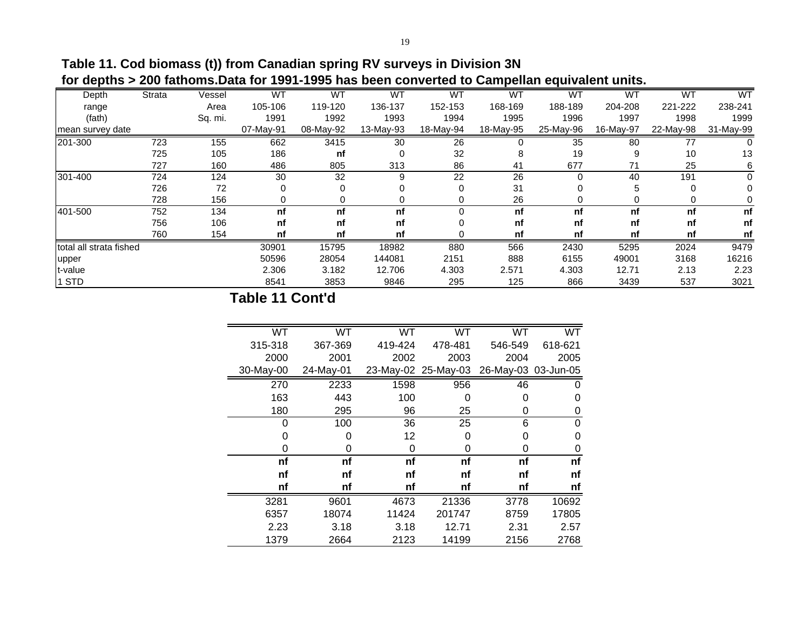**Table 11. Cod biomass (t)) from Canadian spring RV surveys in Division 3N for depths > 200 fathoms.Data for 1991-1995 has been converted to Campellan equivalent units.**

| Depth                   | Strata | Vessel  | <b>WT</b> | <b>WT</b> | <b>WT</b> | <b>WT</b> | <b>WT</b> | <b>WT</b> | <b>WT</b> | <b>WT</b> | WT        |
|-------------------------|--------|---------|-----------|-----------|-----------|-----------|-----------|-----------|-----------|-----------|-----------|
| range                   |        | Area    | 105-106   | 119-120   | 136-137   | 152-153   | 168-169   | 188-189   | 204-208   | 221-222   | 238-241   |
| (fath)                  |        | Sq. mi. | 1991      | 1992      | 1993      | 1994      | 1995      | 1996      | 1997      | 1998      | 1999      |
| mean survey date        |        |         | 07-May-91 | 08-May-92 | 13-May-93 | 18-May-94 | 18-May-95 | 25-May-96 | 16-May-97 | 22-May-98 | 31-May-99 |
| 201-300                 | 723    | 155     | 662       | 3415      | 30        | 26        |           | 35        | 80        | 77        |           |
|                         | 725    | 105     | 186       | nf        | $\Omega$  | 32        | 8         | 19        | 9         | 10        | 13        |
|                         | 727    | 160     | 486       | 805       | 313       | 86        | 41        | 677       | 71        | 25        | 6         |
| 301-400                 | 724    | 124     | 30        | 32        | 9         | 22        | 26        | 0         | 40        | 191       | 0         |
|                         | 726    | 72      | 0         | $\Omega$  |           | $\Omega$  | 31        | 0         | 5         | 0         |           |
|                         | 728    | 156     |           |           |           |           | 26        | 0         | 0         | 0         |           |
| 401-500                 | 752    | 134     | nf        | nf        | nf        | $\Omega$  | nf        | nf        | nf        | nf        | nf        |
|                         | 756    | 106     | nf        | nf        | nf        |           | nf        | nf        | nf        | nf        | nf        |
|                         | 760    | 154     | nf        | nf        | nf        |           | nf        | nf        | nf        | nf        | nf        |
| total all strata fished |        |         | 30901     | 15795     | 18982     | 880       | 566       | 2430      | 5295      | 2024      | 9479      |
| upper                   |        |         | 50596     | 28054     | 144081    | 2151      | 888       | 6155      | 49001     | 3168      | 16216     |
| t-value                 |        |         | 2.306     | 3.182     | 12.706    | 4.303     | 2.571     | 4.303     | 12.71     | 2.13      | 2.23      |
| 1 STD                   |        |         | 8541      | 3853      | 9846      | 295       | 125       | 866       | 3439      | 537       | 3021      |

# **Table 11 Cont'd**

| WT        | <b>WT</b> | <b>WT</b> | <b>WT</b>           | <b>WT</b>           | <b>WT</b> |
|-----------|-----------|-----------|---------------------|---------------------|-----------|
| 315-318   | 367-369   | 419-424   | 478-481             | 546-549             | 618-621   |
| 2000      | 2001      | 2002      | 2003                | 2004                | 2005      |
| 30-May-00 | 24-May-01 |           | 23-May-02 25-May-03 | 26-May-03 03-Jun-05 |           |
| 270       | 2233      | 1598      | 956                 | 46                  | 0         |
| 163       | 443       | 100       | 0                   | 0                   | 0         |
| 180       | 295       | 96        | 25                  | 0                   | 0         |
| 0         | 100       | 36        | 25                  | 6                   | 0         |
| 0         | 0         | 12        | 0                   | 0                   | 0         |
| 0         | 0         | 0         | 0                   | 0                   | 0         |
| nf        | nf        | nf        | nf                  | nf                  | nf        |
| nf        | nf        | nf        | nf                  | nf                  | nf        |
| nf        | nf        | nf        | nf                  | nf                  | nf        |
| 3281      | 9601      | 4673      | 21336               | 3778                | 10692     |
| 6357      | 18074     | 11424     | 201747              | 8759                | 17805     |
| 2.23      | 3.18      | 3.18      | 12.71               | 2.31                | 2.57      |
| 1379      | 2664      | 2123      | 14199               | 2156                | 2768      |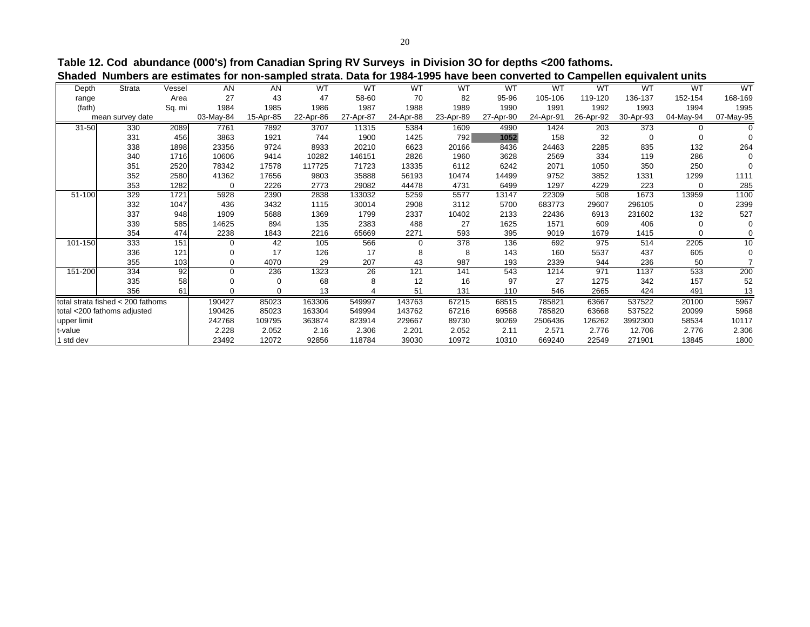| I<br>٩ |  |
|--------|--|

**Table 12. Cod abundance (000's) from Canadian Spring RV Surveys in Division 3O for depths <200 fathoms. Shaded Numbers are estimates for non-sampled strata. Data for 1984-1995 have been converted to Campellen equivalent units**

|             |                                   |        |           |           |           |           |           |           |           |           | ,,,,,,,,,,,,,,, | ,,,,,,,,,,,,,,,,, |           |           |
|-------------|-----------------------------------|--------|-----------|-----------|-----------|-----------|-----------|-----------|-----------|-----------|-----------------|-------------------|-----------|-----------|
| Depth       | <b>Strata</b>                     | Vessel | AN        | AN        | <b>WT</b> | <b>WT</b> | WT        | <b>WT</b> | <b>WT</b> | WT        | <b>WT</b>       | <b>WT</b>         | <b>WT</b> | <b>WT</b> |
| range       |                                   | Area   | 27        | 43        | 47        | 58-60     | 70        | 82        | 95-96     | 105-106   | 119-120         | 136-137           | 152-154   | 168-169   |
| (fath)      |                                   | Sq. mi | 1984      | 1985      | 1986      | 1987      | 1988      | 1989      | 1990      | 1991      | 1992            | 1993              | 1994      | 1995      |
|             | mean survey date                  |        | 03-May-84 | 15-Apr-85 | 22-Apr-86 | 27-Apr-87 | 24-Apr-88 | 23-Apr-89 | 27-Apr-90 | 24-Apr-91 | 26-Apr-92       | 30-Apr-93         | 04-May-94 | 07-May-95 |
| $31 - 50$   | 330                               | 2089   | 7761      | 7892      | 3707      | 11315     | 5384      | 1609      | 4990      | 1424      | 203             | 373               |           |           |
|             | 331                               | 456    | 3863      | 1921      | 744       | 1900      | 1425      | 792       | 1052      | 158       | 32              | $\mathbf 0$       | 0         |           |
|             | 338                               | 1898   | 23356     | 9724      | 8933      | 20210     | 6623      | 20166     | 8436      | 24463     | 2285            | 835               | 132       | 264       |
|             | 340                               | 1716   | 10606     | 9414      | 10282     | 146151    | 2826      | 1960      | 3628      | 2569      | 334             | 119               | 286       |           |
|             | 351                               | 2520   | 78342     | 17578     | 117725    | 71723     | 13335     | 6112      | 6242      | 2071      | 1050            | 350               | 250       |           |
|             | 352                               | 2580   | 41362     | 17656     | 9803      | 35888     | 56193     | 10474     | 14499     | 9752      | 3852            | 1331              | 1299      | 1111      |
|             | 353                               | 1282   | 0         | 2226      | 2773      | 29082     | 44478     | 4731      | 6499      | 1297      | 4229            | 223               | $\Omega$  | 285       |
| 51-100      | 329                               | 1721   | 5928      | 2390      | 2838      | 133032    | 5259      | 5577      | 13147     | 22309     | 508             | 1673              | 13959     | 1100      |
|             | 332                               | 1047   | 436       | 3432      | 1115      | 30014     | 2908      | 3112      | 5700      | 683773    | 29607           | 296105            | $\Omega$  | 2399      |
|             | 337                               | 948    | 1909      | 5688      | 1369      | 1799      | 2337      | 10402     | 2133      | 22436     | 6913            | 231602            | 132       | 527       |
|             | 339                               | 585    | 14625     | 894       | 135       | 2383      | 488       | 27        | 1625      | 1571      | 609             | 406               | $\Omega$  |           |
|             | 354                               | 474    | 2238      | 1843      | 2216      | 65669     | 2271      | 593       | 395       | 9019      | 1679            | 1415              | $\Omega$  | 0         |
| 101-150     | 333                               | 151    | 0         | 42        | 105       | 566       | $\Omega$  | 378       | 136       | 692       | 975             | 514               | 2205      | 10        |
|             | 336                               | 121    | 0         | 17        | 126       | 17        | 8         | 8         | 143       | 160       | 5537            | 437               | 605       | $\Omega$  |
|             | 355                               | 103    | 0         | 4070      | 29        | 207       | 43        | 987       | 193       | 2339      | 944             | 236               | 50        |           |
| 151-200     | 334                               | 92     | 0         | 236       | 1323      | 26        | 121       | 141       | 543       | 1214      | 971             | 1137              | 533       | 200       |
|             | 335                               | 58     | 0         |           | 68        | 8         | 12        | 16        | 97        | 27        | 1275            | 342               | 157       | 52        |
|             | 356                               | 61     | 0         |           | 13        |           | 51        | 131       | 110       | 546       | 2665            | 424               | 491       | 13        |
|             | total strata fished < 200 fathoms |        | 190427    | 85023     | 163306    | 549997    | 143763    | 67215     | 68515     | 785821    | 63667           | 537522            | 20100     | 5967      |
|             | total <200 fathoms adjusted       |        | 190426    | 85023     | 163304    | 549994    | 143762    | 67216     | 69568     | 785820    | 63668           | 537522            | 20099     | 5968      |
| upper limit |                                   |        | 242768    | 109795    | 363874    | 823914    | 229667    | 89730     | 90269     | 2506436   | 126262          | 3992300           | 58534     | 10117     |
| t-value     |                                   |        | 2.228     | 2.052     | 2.16      | 2.306     | 2.201     | 2.052     | 2.11      | 2.571     | 2.776           | 12.706            | 2.776     | 2.306     |
| 1 std dev   |                                   |        | 23492     | 12072     | 92856     | 118784    | 39030     | 10972     | 10310     | 669240    | 22549           | 271901            | 13845     | 1800      |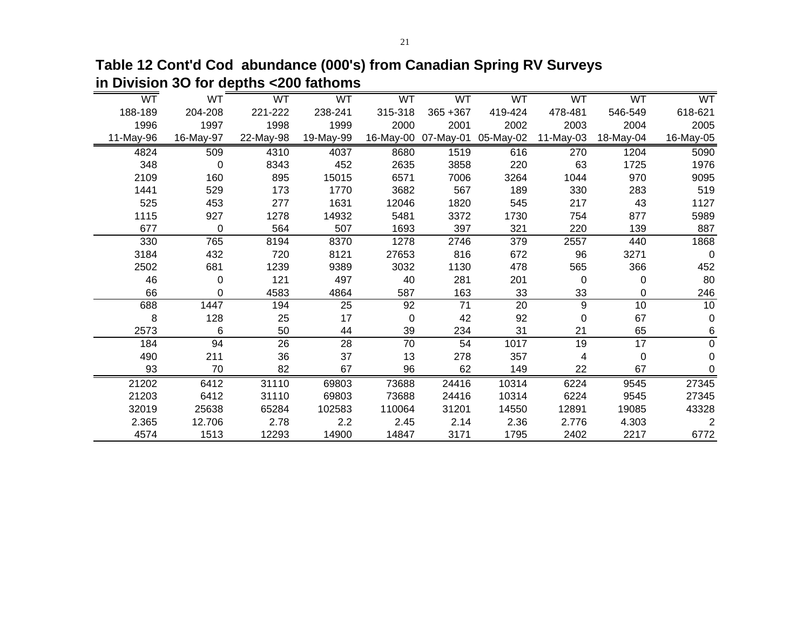**Table 12 Cont'd Cod abundance (000's) from Canadian Spring RV Surveys in Division 3O for depths <200 fathoms**

| <b>WT</b> | WT        | WT        | WT        | WT      | WT          | <b>WT</b>                     | WT          | WT        | WT          |
|-----------|-----------|-----------|-----------|---------|-------------|-------------------------------|-------------|-----------|-------------|
| 188-189   | 204-208   | 221-222   | 238-241   | 315-318 | $365 + 367$ | 419-424                       | 478-481     | 546-549   | 618-621     |
| 1996      | 1997      | 1998      | 1999      | 2000    | 2001        | 2002                          | 2003        | 2004      | 2005        |
| 11-May-96 | 16-May-97 | 22-May-98 | 19-May-99 |         |             | 16-May-00 07-May-01 05-May-02 | $11-May-03$ | 18-May-04 | 16-May-05   |
| 4824      | 509       | 4310      | 4037      | 8680    | 1519        | 616                           | 270         | 1204      | 5090        |
| 348       | 0         | 8343      | 452       | 2635    | 3858        | 220                           | 63          | 1725      | 1976        |
| 2109      | 160       | 895       | 15015     | 6571    | 7006        | 3264                          | 1044        | 970       | 9095        |
| 1441      | 529       | 173       | 1770      | 3682    | 567         | 189                           | 330         | 283       | 519         |
| 525       | 453       | 277       | 1631      | 12046   | 1820        | 545                           | 217         | 43        | 1127        |
| 1115      | 927       | 1278      | 14932     | 5481    | 3372        | 1730                          | 754         | 877       | 5989        |
| 677       | 0         | 564       | 507       | 1693    | 397         | 321                           | 220         | 139       | 887         |
| 330       | 765       | 8194      | 8370      | 1278    | 2746        | 379                           | 2557        | 440       | 1868        |
| 3184      | 432       | 720       | 8121      | 27653   | 816         | 672                           | 96          | 3271      | $\mathbf 0$ |
| 2502      | 681       | 1239      | 9389      | 3032    | 1130        | 478                           | 565         | 366       | 452         |
| 46        | 0         | 121       | 497       | 40      | 281         | 201                           | 0           | 0         | 80          |
| 66        | 0         | 4583      | 4864      | 587     | 163         | 33                            | 33          | $\Omega$  | 246         |
| 688       | 1447      | 194       | 25        | 92      | 71          | 20                            | 9           | 10        | 10          |
| 8         | 128       | 25        | 17        | 0       | 42          | 92                            | 0           | 67        | 0           |
| 2573      | 6         | 50        | 44        | 39      | 234         | 31                            | 21          | 65        | 6           |
| 184       | 94        | 26        | 28        | 70      | 54          | 1017                          | 19          | 17        | 0           |
| 490       | 211       | 36        | 37        | 13      | 278         | 357                           | 4           | 0         | 0           |
| 93        | 70        | 82        | 67        | 96      | 62          | 149                           | 22          | 67        | 0           |
| 21202     | 6412      | 31110     | 69803     | 73688   | 24416       | 10314                         | 6224        | 9545      | 27345       |
| 21203     | 6412      | 31110     | 69803     | 73688   | 24416       | 10314                         | 6224        | 9545      | 27345       |
| 32019     | 25638     | 65284     | 102583    | 110064  | 31201       | 14550                         | 12891       | 19085     | 43328       |
| 2.365     | 12.706    | 2.78      | 2.2       | 2.45    | 2.14        | 2.36                          | 2.776       | 4.303     | 2           |
| 4574      | 1513      | 12293     | 14900     | 14847   | 3171        | 1795                          | 2402        | 2217      | 6772        |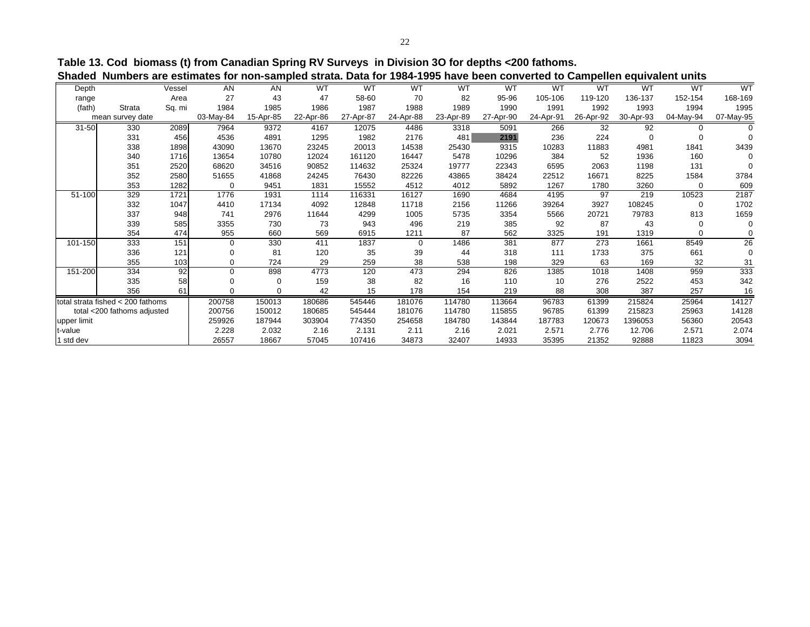**Table 13. Cod biomass (t) from Canadian Spring RV Surveys in Division 3O for depths <200 fathoms. Shaded Numbers are estimates for non-sampled strata. Data for 1984-1995 have been converted to Campellen equivalent units**

| . טיש<br>uw. Duw ivi<br><br><br>50001100117011001100<br><b>VUIIINVIIVII</b><br><b>UMMITAIVIII MIIII</b> |                                   |        |           |           |           |           |           |           |           |           |           |           |           |           |
|---------------------------------------------------------------------------------------------------------|-----------------------------------|--------|-----------|-----------|-----------|-----------|-----------|-----------|-----------|-----------|-----------|-----------|-----------|-----------|
| Depth                                                                                                   |                                   | Vessel | AN        | AN        | <b>WT</b> | <b>WT</b> | <b>WT</b> | <b>WT</b> | <b>WT</b> | <b>WT</b> | <b>WT</b> | <b>WT</b> | <b>WT</b> | <b>WT</b> |
| range                                                                                                   |                                   | Area   | 27        | 43        | 47        | 58-60     | 70        | 82        | 95-96     | 105-106   | 119-120   | 136-137   | 152-154   | 168-169   |
| (fath)                                                                                                  | <b>Strata</b>                     | Sq. mi | 1984      | 1985      | 1986      | 1987      | 1988      | 1989      | 1990      | 1991      | 1992      | 1993      | 1994      | 1995      |
|                                                                                                         | mean survey date                  |        | 03-May-84 | 15-Apr-85 | 22-Apr-86 | 27-Apr-87 | 24-Apr-88 | 23-Apr-89 | 27-Apr-90 | 24-Apr-91 | 26-Apr-92 | 30-Apr-93 | 04-May-94 | 07-May-95 |
| $31 - 50$                                                                                               | 330                               | 2089   | 7964      | 9372      | 4167      | 12075     | 4486      | 3318      | 5091      | 266       | 32        | 92        |           |           |
|                                                                                                         | 331                               | 456    | 4536      | 4891      | 1295      | 1982      | 2176      | 481       | 2191      | 236       | 224       | $\Omega$  |           |           |
|                                                                                                         | 338                               | 1898   | 43090     | 13670     | 23245     | 20013     | 14538     | 25430     | 9315      | 10283     | 11883     | 4981      | 1841      | 3439      |
|                                                                                                         | 340                               | 1716   | 13654     | 10780     | 12024     | 161120    | 16447     | 5478      | 10296     | 384       | 52        | 1936      | 160       |           |
|                                                                                                         | 351                               | 2520   | 68620     | 34516     | 90852     | 114632    | 25324     | 19777     | 22343     | 6595      | 2063      | 1198      | 131       |           |
|                                                                                                         | 352                               | 2580   | 51655     | 41868     | 24245     | 76430     | 82226     | 43865     | 38424     | 22512     | 16671     | 8225      | 1584      | 3784      |
|                                                                                                         | 353                               | 1282   | 0         | 9451      | 1831      | 15552     | 4512      | 4012      | 5892      | 1267      | 1780      | 3260      | 0         | 609       |
| 51-100                                                                                                  | 329                               | 1721   | 1776      | 1931      | 1114      | 116331    | 16127     | 1690      | 4684      | 4195      | 97        | 219       | 10523     | 2187      |
|                                                                                                         | 332                               | 1047   | 4410      | 17134     | 4092      | 12848     | 11718     | 2156      | 11266     | 39264     | 3927      | 108245    | $\Omega$  | 1702      |
|                                                                                                         | 337                               | 948    | 741       | 2976      | 11644     | 4299      | 1005      | 5735      | 3354      | 5566      | 20721     | 79783     | 813       | 1659      |
|                                                                                                         | 339                               | 585    | 3355      | 730       | 73        | 943       | 496       | 219       | 385       | 92        | 87        | 43        | $\Omega$  |           |
|                                                                                                         | 354                               | 474    | 955       | 660       | 569       | 6915      | 1211      | 87        | 562       | 3325      | 191       | 1319      | $\Omega$  | 0         |
| 101-150                                                                                                 | 333                               | 151    | 0         | 330       | 411       | 1837      | $\Omega$  | 1486      | 381       | 877       | 273       | 1661      | 8549      | 26        |
|                                                                                                         | 336                               | 121    | 0         | 81        | 120       | 35        | 39        | 44        | 318       | 111       | 1733      | 375       | 661       | $\Omega$  |
|                                                                                                         | 355                               | 103    | 0         | 724       | 29        | 259       | 38        | 538       | 198       | 329       | 63        | 169       | 32        | 31        |
| 151-200                                                                                                 | 334                               | 92     | 0         | 898       | 4773      | 120       | 473       | 294       | 826       | 1385      | 1018      | 1408      | 959       | 333       |
|                                                                                                         | 335                               | 58     | 0         |           | 159       | 38        | 82        | 16        | 110       | 10        | 276       | 2522      | 453       | 342       |
|                                                                                                         | 356                               | 61     | 0         |           | 42        | 15        | 178       | 154       | 219       | 88        | 308       | 387       | 257       | 16        |
|                                                                                                         | total strata fished < 200 fathoms |        | 200758    | 150013    | 180686    | 545446    | 181076    | 114780    | 113664    | 96783     | 61399     | 215824    | 25964     | 14127     |
|                                                                                                         | total <200 fathoms adjusted       |        | 200756    | 150012    | 180685    | 545444    | 181076    | 114780    | 115855    | 96785     | 61399     | 215823    | 25963     | 14128     |
| upper limit                                                                                             |                                   |        | 259926    | 187944    | 303904    | 774350    | 254658    | 184780    | 143844    | 187783    | 120673    | 1396053   | 56360     | 20543     |
| t-value                                                                                                 |                                   |        | 2.228     | 2.032     | 2.16      | 2.131     | 2.11      | 2.16      | 2.021     | 2.571     | 2.776     | 12.706    | 2.571     | 2.074     |
| 1 std dev                                                                                               |                                   |        | 26557     | 18667     | 57045     | 107416    | 34873     | 32407     | 14933     | 35395     | 21352     | 92888     | 11823     | 3094      |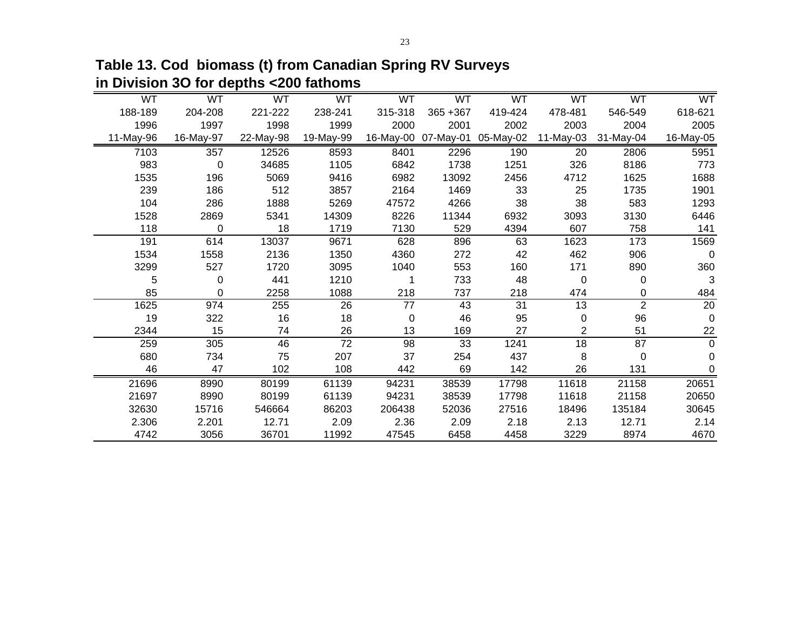WT WT WT WT WT WT WT WT WT WT188-189 204-208 221-222 238-241 315-318 365 +367 419-424 478-481 546-549 618-621618-621 1997 1998 1999 2000 2001 2002 2003 2004 200511-May-96 16-May-97 22-May-98 19-May-99 16-May-00 07-May-01 05-May-02 11-May-03 31-May-04 16-May-05 357 12526 8593 8401 2296 190 20 2806 5951 0 34685 1105 6842 1738 1251 326 8186 773 196 5069 9416 6982 13092 2456 4712 1625 1688 186 512 3857 2164 1469 33 25 1735 1901 286 1888 5269 47572 4266 38 38 583 1293 2869 5341 14309 8226 11344 6932 3093 3130 6446 0 18 1719 7130 529 4394 607 758 141 614 13037 9671 628 896 63 1623 173 1569 1558 2136 1350 4360 272 42 462 906 0 527 1720 3095 1040 553 160 171 890 360 0 441 1210 1 733 48 0 0 3 0 2258 1088 218 737 218 474 0 484 974 255 26 77 43 31 13 2 20 322 16 18 0 46 95 0 96 0 15 74 26 13 169 27 2 51 22 $\frac{22}{0}$  305 46 72 98 33 1241 18 87 0 734 75 207 37 254 437 8 0 0 47 102 108 442 69 142 26 131 0 8990 80199 61139 94231 38539 17798 11618 21158 20651 8990 80199 61139 94231 38539 17798 11618 21158 20650 15716 546664 86203 206438 52036 27516 18496 135184 306452.306 2.201 12.71 2.09 2.36 2.09 2.18 2.13 12.71 2.14 3056 36701 11992 47545 6458 4458 3229 8974 4670

**Table 13. Cod biomass (t) from Canadian Spring RV Surveys in Division 3O for depths <200 fathoms**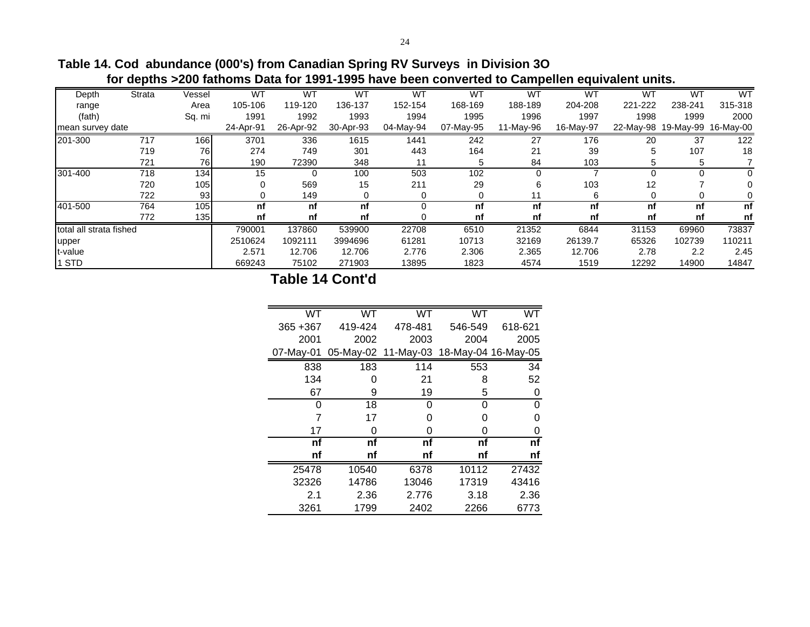**Table 14. Cod abundance (000's) from Canadian Spring RV Surveys in Division 3O for depths >200 fathoms Data for 1991-1995 have been converted to Campellen equivalent units.**

| Depth                   | <b>Strata</b> | Vessel | WT        | WT        | <b>WT</b> | <b>WT</b> | WT        | WT        | <b>WT</b> | WT      | <b>WT</b>                     | <b>WT</b> |
|-------------------------|---------------|--------|-----------|-----------|-----------|-----------|-----------|-----------|-----------|---------|-------------------------------|-----------|
| range                   |               | Area   | 105-106   | 119-120   | 136-137   | 152-154   | 168-169   | 188-189   | 204-208   | 221-222 | 238-241                       | 315-318   |
| (fath)                  |               | Sq. mi | 1991      | 1992      | 1993      | 1994      | 1995      | 1996      | 1997      | 1998    | 1999                          | 2000      |
| mean survey date        |               |        | 24-Apr-91 | 26-Apr-92 | 30-Apr-93 | 04-May-94 | 07-May-95 | 11-May-96 | 16-May-97 |         | 22-May-98 19-May-99 16-May-00 |           |
| 201-300                 | 717           | 166    | 3701      | 336       | 1615      | 1441      | 242       | 27        | 176       | 20      | 37                            | 122       |
|                         | 719           | 76     | 274       | 749       | 301       | 443       | 164       | 21        | 39        | 5       | 107                           | 18        |
|                         | 721           | 76     | 190       | 72390     | 348       |           |           | 84        | 103       | 5       |                               |           |
| 301-400                 | 718           | 134    | 15        |           | 100       | 503       | 102       | $\Omega$  |           |         |                               |           |
|                         | 720           | 105    | 0         | 569       | 15        | 211       | 29        | 6         | 103       | 12      |                               |           |
|                         | 722           | 93     | 0         | 149       |           |           |           | 11        | 6         |         |                               |           |
| 401-500                 | 764           | 105    | nf        | nf        | nf        | ი         | nf        | nf        | nf        | nf      | nf                            | nf        |
|                         | 772           | 135    | nf        | nf        | nf        |           | nf        | nf        | nf        | nf      | nf                            | nf        |
| total all strata fished |               |        | 790001    | 137860    | 539900    | 22708     | 6510      | 21352     | 6844      | 31153   | 69960                         | 73837     |
| upper                   |               |        | 2510624   | 1092111   | 3994696   | 61281     | 10713     | 32169     | 26139.7   | 65326   | 102739                        | 110211    |
| t-value                 |               |        | 2.571     | 12.706    | 12.706    | 2.776     | 2.306     | 2.365     | 12.706    | 2.78    | 2.2                           | 2.45      |
| STD                     |               |        | 669243    | 75102     | 271903    | 13895     | 1823      | 4574      | 1519      | 12292   | 14900                         | 14847     |

**Table 14 Cont'd**

| WT          | WT      | WT                                      | WT      | <b>WT</b> |
|-------------|---------|-----------------------------------------|---------|-----------|
| $365 + 367$ | 419-424 | 478-481                                 | 546-549 | 618-621   |
| 2001        | 2002    | 2003                                    | 2004    | 2005      |
| 07-May-01   |         | 05-May-02 11-May-03 18-May-04 16-May-05 |         |           |
| 838         | 183     | 114                                     | 553     | 34        |
| 134         | O       | 21                                      | 8       | 52        |
| 67          | 9       | 19                                      | 5       | 0         |
| 0           | 18      | 0                                       | 0       | 0         |
| 7           | 17      | 0                                       | O       | 0         |
| 17          | O       | 0                                       | O       | 0         |
| nf          | nf      | nf                                      | nf      | nf        |
| nf          | nf      | nf                                      | nf      | nf        |
| 25478       | 10540   | 6378                                    | 10112   | 27432     |
| 32326       | 14786   | 13046                                   | 17319   | 43416     |
| 2.1         | 2.36    | 2.776                                   | 3.18    | 2.36      |
| 3261        | 1799    | 2402                                    | 2266    | 6773      |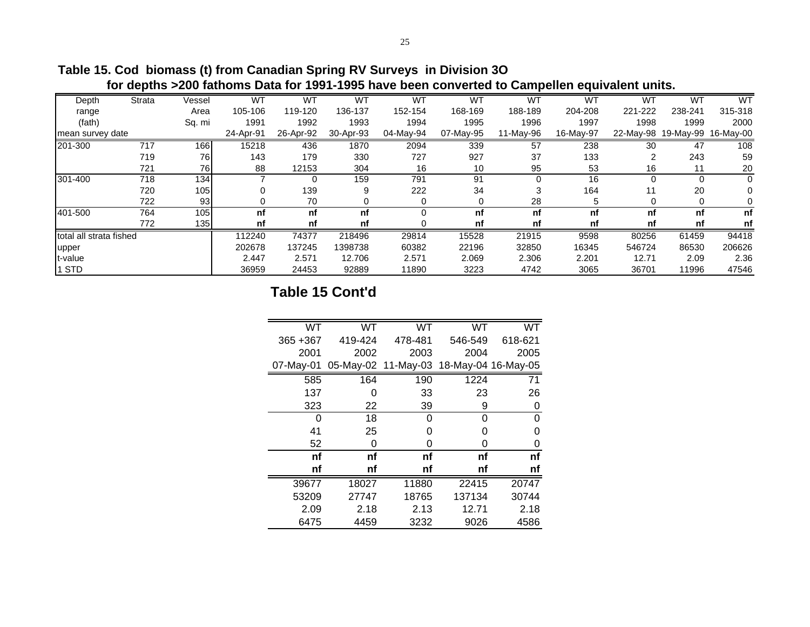|                         | TVI GODINIO ZEUD RANDING DAM TUL TUUT TUUU NATU NUUN UUNTUKU KU UMINDING UGU TAHTAN MINGI |        |           |           |           |           |           |           |           |         |                               |         |
|-------------------------|-------------------------------------------------------------------------------------------|--------|-----------|-----------|-----------|-----------|-----------|-----------|-----------|---------|-------------------------------|---------|
| Depth                   | <b>Strata</b>                                                                             | Vessel | WT        | WT        | WT        | <b>WT</b> | <b>WT</b> | WT        | WT        | WT      | W٦                            | WT      |
| range                   |                                                                                           | Area   | 105-106   | 119-120   | 136-137   | 152-154   | 168-169   | 188-189   | 204-208   | 221-222 | 238-241                       | 315-318 |
| (fath)                  |                                                                                           | Sq. mi | 1991      | 1992      | 1993      | 1994      | 1995      | 1996      | 1997      | 1998    | 1999                          | 2000    |
| mean survey date        |                                                                                           |        | 24-Apr-91 | 26-Apr-92 | 30-Apr-93 | 04-May-94 | 07-May-95 | 11-May-96 | 16-May-97 |         | 22-May-98 19-May-99 16-May-00 |         |
| 201-300                 | 717                                                                                       | 166    | 15218     | 436       | 1870      | 2094      | 339       | 57        | 238       | 30      | 47                            | 108     |
|                         | 719                                                                                       | 76     | 143       | 179       | 330       | 727       | 927       | 37        | 133       | 2       | 243                           | 59      |
|                         | 721                                                                                       | 76I    | 88        | 12153     | 304       | 16        | 10        | 95        | 53        | 16      | 11                            | 20      |
| 301-400                 | 718                                                                                       | 134    |           |           | 159       | 791       | 91        | $\Omega$  | 16        |         |                               |         |
|                         | 720                                                                                       | 105    |           | 139       | 9         | 222       | 34        | 3         | 164       | 11      | 20                            | 0       |
|                         | 722                                                                                       | 93     |           | 70        |           |           |           | 28        |           |         |                               |         |
| 401-500                 | 764                                                                                       | 105    | nf        | nf        | nf        |           | nf        | nf        | nf        | nf      | nf                            | nf      |
|                         | 772                                                                                       | 135    | nf        | nf        | nf        |           | nf        | nf        | nf        | nf      | nf                            | nf      |
| total all strata fished |                                                                                           |        | 112240    | 74377     | 218496    | 29814     | 15528     | 21915     | 9598      | 80256   | 61459                         | 94418   |
| upper                   |                                                                                           |        | 202678    | 137245    | 1398738   | 60382     | 22196     | 32850     | 16345     | 546724  | 86530                         | 206626  |
| t-value                 |                                                                                           |        | 2.447     | 2.571     | 12.706    | 2.571     | 2.069     | 2.306     | 2.201     | 12.71   | 2.09                          | 2.36    |
| <b>STD</b>              |                                                                                           |        | 36959     | 24453     | 92889     | 11890     | 3223      | 4742      | 3065      | 36701   | 11996                         | 47546   |

**Table 15. Cod biomass (t) from Canadian Spring RV Surveys in Division 3O**

 **for depths >200 fathoms Data for 1991-1995 have been converted to Campellen equivalent units.**

# **Table 15 Cont'd**

| WT          | WT      | WT                                      | <b>WT</b> | <b>WT</b> |
|-------------|---------|-----------------------------------------|-----------|-----------|
| $365 + 367$ | 419-424 | 478-481                                 | 546-549   | 618-621   |
| 2001        | 2002    | 2003                                    | 2004      | 2005      |
| 07-May-01   |         | 05-May-02 11-May-03 18-May-04 16-May-05 |           |           |
| 585         | 164     | 190                                     | 1224      | 71        |
| 137         | O       | 33                                      | 23        | 26        |
| 323         | 22      | 39                                      | 9         | 0         |
| 0           | 18      | 0                                       | 0         | 0         |
| 41          | 25      | 0                                       | Ω         | O         |
| 52          | 0       | ი                                       | ი         | 0         |
| nf          | nf      | nf                                      | nf        | nf        |
| nf          | nf      | nf                                      | nf        | nf        |
| 39677       | 18027   | 11880                                   | 22415     | 20747     |
| 53209       | 27747   | 18765                                   | 137134    | 30744     |
| 2.09        | 2.18    | 2.13                                    | 12.71     | 2.18      |
| 6475        | 4459    | 3232                                    | 9026      | 4586      |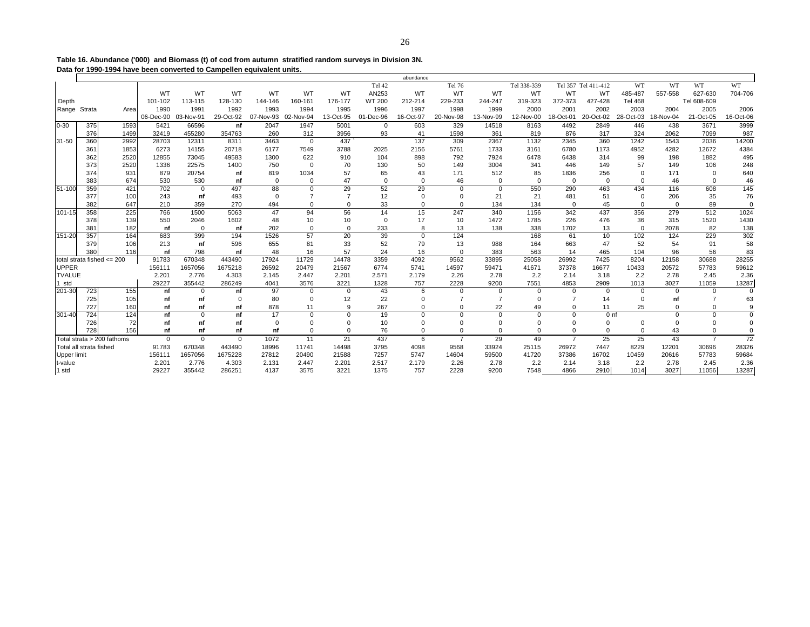**Table 16. Abundance ('000) and Biomass (t) of cod from autumn stratified random surveys in Division 3N. Data for 1990-1994 have been converted to Campellen equivalent units.**

|               |                         |                                |              |           |             |           |                |                |               | abundance   |                |                |             |                |                 |                |           |                |             |
|---------------|-------------------------|--------------------------------|--------------|-----------|-------------|-----------|----------------|----------------|---------------|-------------|----------------|----------------|-------------|----------------|-----------------|----------------|-----------|----------------|-------------|
|               |                         |                                |              |           |             |           |                |                | Tel 42        |             | Tel 76         |                | Tel 338-339 | Tel 357        | Tel 411-412     | WT             | <b>WT</b> | WT             | WT          |
|               |                         |                                | WT           | WT        | WT          | WT        | WT             | <b>WT</b>      | AN253         | WT          | WT             | <b>WT</b>      | WT          | WT             | WT              | 485-487        | 557-558   | 627-630        | 704-706     |
| Depth         |                         |                                | 101-102      | 113-115   | 128-130     | 144-146   | 160-161        | 176-177        | <b>WT 200</b> | 212-214     | 229-233        | 244-247        | 319-323     | 372-373        | 427-428         | <b>Tel 468</b> |           | Tel 608-609    |             |
| Range Strata  |                         | Area                           | 1990         | 1991      | 1992        | 1993      | 1994           | 1995           | 1996          | 1997        | 1998           | 1999           | 2000        | 2001           | 2002            | 2003           | 2004      | 2005           | 2006        |
|               |                         |                                | 06-Dec-90    | 03-Nov-91 | 29-Oct-92   | 07-Nov-93 | 02-Nov-94      | 13-Oct-95      | 01-Dec-96     | 16-Oct-97   | 20-Nov-98      | 13-Nov-99      | 12-Nov-00   | 18-Oct-01      | 20-Oct-02       | 28-Oct-03      | 18-Nov-04 | 21-Oct-05      | 16-Oct-06   |
| $0 - 30$      | 375                     | 1593                           | 5421         | 66596     | nf          | 2047      | 1947           | 5001           | $\mathbf{0}$  | 603         | 329            | 14518          | 8163        | 4492           | 2849            | 446            | 438       | 3671           | 3999        |
|               | 376                     | 1499                           | 32419        | 455280    | 354763      | 260       | 312            | 3956           | 93            | 41          | 1598           | 361            | 819         | 876            | 317             | 324            | 2062      | 7099           | 987         |
| 31-50         | 360                     | 2992                           | 28703        | 12311     | 8311        | 3463      | $\mathbf 0$    | 437            |               | 137         | 309            | 2367           | 1132        | 2345           | 360             | 1242           | 1543      | 2036           | 14200       |
|               | 361                     | 1853                           | 6273         | 14155     | 20718       | 6177      | 7549           | 3788           | 2025          | 2156        | 5761           | 1733           | 3161        | 6780           | 1173            | 4952           | 4282      | 12672          | 4384        |
|               | 362                     | 2520                           | 12855        | 73045     | 49583       | 1300      | 622            | 910            | 104           | 898         | 792            | 7924           | 6478        | 6438           | 314             | 99             | 198       | 1882           | 495         |
|               | 373                     | 2520                           | 1336         | 22575     | 1400        | 750       | $\mathbf 0$    | 70             | 130           | 50          | 149            | 3004           | 341         | 446            | 149             | 57             | 149       | 106            | 248         |
|               | 374                     | 931                            | 879          | 20754     | nf          | 819       | 1034           | 57             | 65            | 43          | 171            | 512            | 85          | 1836           | 256             | $\Omega$       | 171       | $\mathbf 0$    | 640         |
|               | 383                     | 674                            | 530          | 530       | nf          | $\Omega$  | $\Omega$       | 47             | $\mathbf 0$   | $\Omega$    | 46             | $\Omega$       | $\Omega$    | $\Omega$       | $\Omega$        | $\Omega$       | 46        | $\Omega$       | 46          |
| 51-100        | 359                     | 421                            | 702          | $\Omega$  | 497         | 88        | $\mathbf 0$    | 29             | 52            | 29          | $\Omega$       | $\mathbf 0$    | 550         | 290            | 463             | 434            | 116       | 608            | 145         |
|               | 377                     | 100                            | 243          | nf        | 493         | $\Omega$  | $\overline{7}$ | $\overline{7}$ | 12            | $\Omega$    | $\Omega$       | 21             | 21          | 481            | 51              | $\mathbf 0$    | 206       | 35             | 76          |
|               | 382                     | 647                            | 210          | 359       | 270         | 494       | $\Omega$       | $\Omega$       | 33            | $\Omega$    | $\Omega$       | 134            | 134         | $\Omega$       | 45              | $\Omega$       | $\Omega$  | 89             | $\Omega$    |
| 101-15        | 358                     | 225                            | 766          | 1500      | 5063        | 47        | 94             | 56             | 14            | 15          | 247            | 340            | 1156        | 342            | 437             | 356            | 279       | 512            | 1024        |
|               | 378                     | 139                            | 550          | 2046      | 1602        | 48        | 10             | 10             | $\mathbf 0$   | 17          | 10             | 1472           | 1785        | 226            | 476             | 36             | 315       | 1520           | 1430        |
|               | 381                     | 182                            | nf           | $\Omega$  | nf          | 202       | $\Omega$       | $\Omega$       | 233           | 8           | 13             | 138            | 338         | 1702           | 13              | $\Omega$       | 2078      | 82             | 138         |
| 151-20        | 357                     | 164                            | 683          | 399       | 194         | 1526      | 57             | 20             | 39            | $\mathbf 0$ | 124            |                | 168         | 61             | 10              | 102            | 124       | 229            | 302         |
|               | 379                     | 106                            | 213          | nf        | 596         | 655       | 81             | 33             | 52            | 79          | 13             | 988            | 164         | 663            | 47              | 52             | 54        | 91             | 58          |
|               | 380                     | 116                            | nf           | 798       | nf          | 48        | 16             | 57             | 24            | 16          | $\Omega$       | 383            | 563         | 14             | 465             | 104            | 96        | 56             | 83          |
|               |                         | total strata fished $\leq$ 200 | 91783        | 670348    | 443490      | 17924     | 11729          | 14478          | 3359          | 4092        | 9562           | 33895          | 25058       | 26992          | 7425            | 8204           | 12158     | 30688          | 28255       |
| <b>UPPER</b>  |                         |                                | 156111       | 1657056   | 1675218     | 26592     | 20479          | 21567          | 6774          | 5741        | 14597          | 59471          | 41671       | 37378          | 16677           | 10433          | 20572     | 57783          | 59612       |
| <b>TVALUE</b> |                         |                                | 2.201        | 2.776     | 4.303       | 2.145     | 2.447          | 2.201          | 2.571         | 2.179       | 2.26           | 2.78           | 2.2         | 2.14           | 3.18            | 2.2            | 2.78      | 2.45           | 2.36        |
| 1 std         |                         |                                | 29227        | 355442    | 286249      | 4041      | 3576           | 3221           | 1328          | 757         | 2228           | 9200           | 7551        | 4853           | 2909            | 1013           | 3027      | 11059          | 13287       |
| 201-30        | 723                     | 155                            | nf           |           | nf          | 97        | $\Omega$       | $\Omega$       | 43            |             | $\Omega$       | $\mathbf 0$    | $\Omega$    | $\Omega$       | $\Omega$        | $\Omega$       | $\Omega$  | $\Omega$       | $\Omega$    |
|               | 725                     | 105                            | nf           | nf        | $\Omega$    | 80        | $\Omega$       | 12             | 22            | C           |                | $\overline{7}$ |             |                | 14              | $\Omega$       | nf        | $\overline{7}$ | 63          |
|               | 727                     | 160                            | nf           | nf        | nf          | 878       | 11             | 9              | 267           | $\Omega$    | $\Omega$       | 22             | 49          | $\Omega$       | 11              | 25             | $\Omega$  | $\Omega$       | 9           |
| 301-40        | 724                     | 124                            | nf           | $\Omega$  | nf          | 17        | $\Omega$       | $\Omega$       | 19            | $\Omega$    | $\Omega$       | $\mathbf 0$    | $\Omega$    | $\Omega$       | 0 <sub>nt</sub> |                | $\Omega$  | $\Omega$       | $\mathbf 0$ |
|               | 726                     | 72                             | nf           | nf        | nf          | $\Omega$  | $\Omega$       | n              | 10            | O           | $\Omega$       | $\Omega$       |             | $\Omega$       | $\Omega$        | $\Omega$       | $\Omega$  | $\Omega$       | $\mathbf 0$ |
|               | 728                     | 156                            | nf           | nf        | nf          | nf        | $\Omega$       | $\Omega$       | 76            | $\Omega$    | $\Omega$       | $\Omega$       | $\Omega$    | $\Omega$       | $\mathbf 0$     | $\Omega$       | 43        | $\Omega$       | $\Omega$    |
|               |                         | Total strata > 200 fathoms     | $\mathbf{0}$ | $\Omega$  | $\mathbf 0$ | 1072      | 11             | 21             | 437           | 6           | $\overline{7}$ | 29             | 49          | $\overline{7}$ | 25              | 25             | 43        | $\overline{7}$ | 72          |
|               | Total all strata fished |                                | 91783        | 670348    | 443490      | 18996     | 11741          | 14498          | 3795          | 4098        | 9568           | 33924          | 25115       | 26972          | 7447            | 8229           | 12201     | 30696          | 28326       |
| Upper limit   |                         |                                | 156111       | 1657056   | 1675228     | 27812     | 20490          | 21588          | 7257          | 5747        | 14604          | 59500          | 41720       | 37386          | 16702           | 10459          | 20616     | 57783          | 59684       |
| t-value       |                         |                                | 2.201        | 2.776     | 4.303       | 2.131     | 2.447          | 2.201          | 2.517         | 2.179       | 2.26           | 2.78           | 2.2         | 2.14           | 3.18            | 2.2            | 2.78      | 2.45           | 2.36        |
| 1 std         |                         |                                | 29227        | 355442    | 286251      | 4137      | 3575           | 3221           | 1375          | 757         | 2228           | 9200           | 7548        | 4866           | 2910            | 1014           | 3027      | 11056          | 13287       |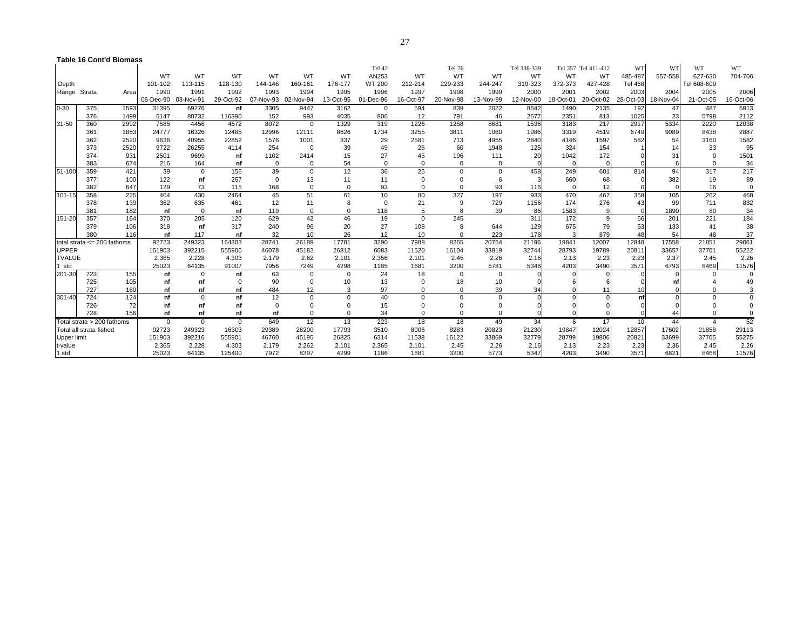#### **Table 16 Cont'd Biomass**

|               |                         |                                  |             |             |           |           |            |           | Tel 42      |           | Tel 76    |           | Tel 338-339 |           | Tel 357 Tel 411-412 | WT             | WT        | WT             | WT        |
|---------------|-------------------------|----------------------------------|-------------|-------------|-----------|-----------|------------|-----------|-------------|-----------|-----------|-----------|-------------|-----------|---------------------|----------------|-----------|----------------|-----------|
|               |                         |                                  | <b>WT</b>   | WT          | WT        | WT        | WT         | WT        | AN253       | WT        | WT        | <b>WT</b> | WT          | WT        | WT                  | 485-487        | 557-558   | 627-630        | 704-706   |
| Depth         |                         |                                  | 101-102     | 113-115     | 128-130   | 144-146   | 160-161    | 176-177   | WT 200      | 212-214   | 229-233   | 244-247   | 319-323     | 372-373   | 427-428             | <b>Tel 468</b> |           | Tel 608-609    |           |
| Range Strata  |                         | Area                             | 1990        | 1991        | 1992      | 1993      | 1994       | 1995      | 1996        | 1997      | 1998      | 1999      | 2000        | 2001      | 2002                | 2003           | 2004      | 2005           | 2006      |
|               |                         |                                  | 06-Dec-90   | 03-Nov-91   | 29-Oct-92 | 07-Nov-93 | 02-Nov-94  | 13-Oct-95 | 01-Dec-96   | 16-Oct-97 | 20-Nov-98 | 13-Nov-99 | 12-Nov-00   | 18-Oct-01 | 20-Oct-02           | 28-Oct-03      | 18-Nov-04 | 21-Oct-05      | 16-Oct-06 |
| $0 - 30$      | 375                     | 1593                             | 31395       | 69276       | nf        | 3305      | 9447       | 3162      | $\mathbf 0$ | 594       | 839       | 2022      | 8642        | 1490      | 2135                | 192            | 47        | 487            | 6913      |
|               | 376                     | 1499                             | 5147        | 80732       | 116390    | 152       | 993        | 4035      | 806         | 12        | 791       | 46        | 2677        | 2351      | 813                 | 1025           | 23        | 5798           | 2112      |
| 31-50         | 360                     | 2992                             | 7585        | 4456        | 4572      | 8072      | $^{\circ}$ | 1329      | 319         | 1226      | 1258      | 8681      | 1536        | 3183      | 217                 | 2917           | 5334      | 2220           | 12038     |
|               | 361                     | 1853                             | 24777       | 16326       | 12485     | 12996     | 12111      | 8626      | 1734        | 3255      | 3811      | 1060      | 1986        | 3319      | 4519                | 6749           | 9089      | 8438           | 2887      |
|               | 362                     | 2520                             | 9636        | 40955       | 22852     | 1576      | 1001       | 337       | 29          | 2581      | 713       | 4955      | 2840        | 4146      | 1597                | 582            | 54        | 3160           | 1582      |
|               | 373                     | 2520                             | 9722        | 26255       | 4114      | 254       | $\Omega$   | 39        | 49          | 26        | 60        | 1948      | 125         | 324       | 154                 |                | 14        | 33             | 95        |
|               | 374                     | 931                              | 2501        | 9699        | nf        | 1102      | 2414       | 15        | 27          | 45        | 196       | 111       | 20          | 1042      | 172                 |                | 31        | $\Omega$       | 1501      |
|               | 383                     | 674                              | 216         | 164         | nf        | $\Omega$  | $\Omega$   | 54        | $\Omega$    | $\Omega$  | $\Omega$  |           |             |           |                     |                |           |                | 34        |
| 51-100        | 359                     | 421                              | 39          | $\mathbf 0$ | 156       | 39        | $\Omega$   | 12        | 36          | 25        | $\Omega$  | $\Omega$  | 458         | 249       | 601                 | 814            | 94        | 317            | 217       |
|               | 377                     | 100                              | 122         | nf          | 257       | $\Omega$  | 13         | 11        | 11          | $\Omega$  |           | 6         |             | 660       | 68                  |                | 382       | 19             | 89        |
|               | 382                     | 647                              | 129         | 73          | 115       | 168       | $\Omega$   | $\Omega$  | 93          | $\Omega$  |           | 93        | 116         |           | 12                  |                |           | 16             | $\Omega$  |
| 101-15        | 358                     | 225                              | 404         | 430         | 2464      | 45        | 51         | 61        | 10          | 80        | 327       | 197       | 933         | 470       | 467                 | 358            | 105       | 262            | 468       |
|               | 378                     | 139                              | 362         | 635         | 461       | 12        | 11         | 8         | $\Omega$    | 21        | 9         | 729       | 1156        | 174       | 276                 | 43             | 99        | 711            | 832       |
|               | 381                     | 182                              | nf          | $\Omega$    | nf        | 119       | $\Omega$   |           | 118         |           |           | 39        | 86          | 1583      | $\mathbf{Q}$        |                | 1890      | 80             | 34        |
| 151-20        | 357                     | 164                              | 370         | 205         | 120       | 629       | 42         | 46        | 19          | $\Omega$  | 245       |           | 311         | 172       |                     | 66             | 201       | 221            | 184       |
|               | 379                     | 106                              | 318         | nf          | 317       | 240       | 96         | 20        | 27          | 108       | 8         | 644       | 129         | 675       | 79                  | 53             | 133       | 41             | 38        |
|               | 380                     | 116                              | nf          | 117         | nf        | 32        | 10         | 26        | 12          | 10        |           | 223       | 178         |           | 879                 | 48             | 54        | 48             | 37        |
|               |                         | Itotal strata $\leq$ 200 fathoms | 92723       | 249323      | 164303    | 28741     | 26189      | 17781     | 3290        | 7988      | 8265      | 20754     | 21196       | 19841     | 12007               | 12848          | 17558     | 21851          | 29061     |
| <b>UPPER</b>  |                         |                                  | 151903      | 392215      | 555906    | 46078     | 45182      | 26812     | 6083        | 11520     | 16104     | 33819     | 32744       | 28793     | 19789               | 20811          | 33657     | 37701          | 55222     |
| <b>TVALUE</b> |                         |                                  | 2.365       | 2.228       | 4.303     | 2.179     | 2.62       | 2.101     | 2.356       | 2.101     | 2.45      | 2.26      | 2.16        | 2.13      | 2.23                | 2.23           | 2.37      | 2.45           | 2.26      |
| 1 std         |                         |                                  | 25023       | 64135       | 91007     | 7956      | 7249       | 4298      | 1185        | 1681      | 3200      | 5781      | 5346        | 4203      | 3490                | 3571           | 6793      | 6469           | 11576     |
| 201-30        | 723                     | 155                              | nf          | $\Omega$    | nf        | 63        | $\Omega$   | $\Omega$  | 24          | 18        | $\Omega$  | $\Omega$  |             |           |                     |                |           | $\Omega$       |           |
|               | 725                     | 105                              | nf          | nf          | $\Omega$  | 90        | $\Omega$   | 10        | 13          | $\Omega$  | 18        | 10        |             |           |                     |                |           |                | 49        |
|               | 727                     | 160                              | nf          | nf          | nf        | 484       | 12         | 3         | 97          |           | ŋ         | 39        | 34          |           |                     | 10             |           |                |           |
| 301-40        | 724                     | 124                              | nf          | $\Omega$    | nf        | 12        | $\Omega$   | $\Omega$  | 40          | $\Omega$  |           |           |             |           |                     | nf             |           | $\Omega$       |           |
|               | 726                     | 72                               | nf          | nf          | nf        | $\Omega$  |            |           | 15          |           |           |           |             |           |                     |                |           |                |           |
|               | 728                     | 156                              | nf          | nf          | nf        | nf        |            |           | 34          |           |           |           |             |           |                     |                | 44        | $\Omega$       |           |
|               |                         | Total strata > 200 fathoms       | $\mathbf 0$ | $\Omega$    | $\Omega$  | 649       | 12         | 13        | 223         | 18        | 18        | 49        | 34          | 6         | 17                  | 10             | 44        | $\overline{4}$ | 52        |
|               | Total all strata fished |                                  | 92723       | 249323      | 16303     | 29389     | 26200      | 17793     | 3510        | 8006      | 8283      | 20823     | 21230       | 19847     | 12024               | 12857          | 17602     | 21858          | 29113     |
| Upper limit   |                         |                                  | 151903      | 392216      | 555901    | 46760     | 45195      | 26825     | 6314        | 11538     | 16122     | 33869     | 32779       | 28799     | 19806               | 20821          | 33699     | 37705          | 55275     |
| t-value       |                         |                                  | 2.365       | 2.228       | 4.303     | 2.179     | 2.262      | 2.101     | 2.365       | 2.101     | 2.45      | 2.26      | 2.16        | 2.13      | 2.23                | 2.23           | 2.36      | 2.45           | 2.26      |
| 1 std         |                         |                                  | 25023       | 64135       | 125400    | 7972      | 8397       | 4299      | 1186        | 1681      | 3200      | 5773      | 5347        | 4203      | 3490                | 3571           | 6821      | 6468           | 11576     |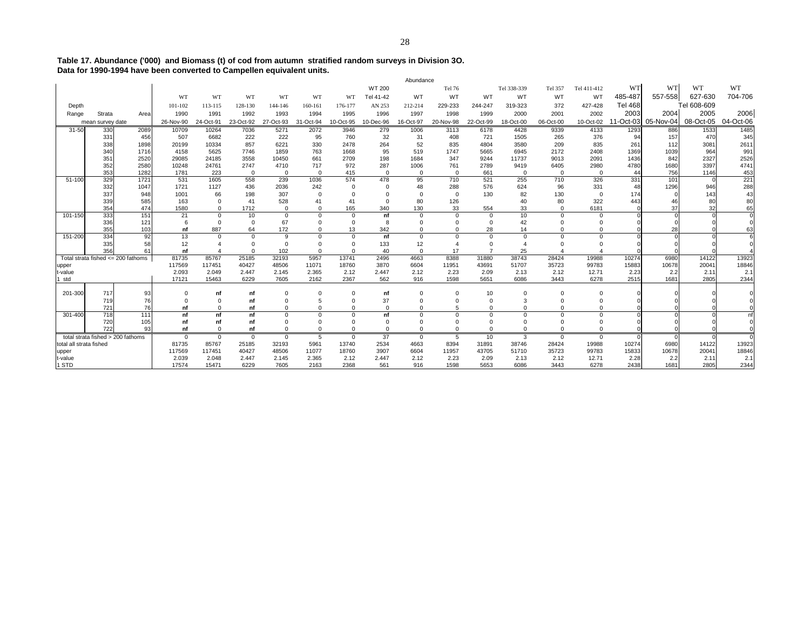**Table 17. Abundance ('000) and Biomass (t) of cod from autumn stratified random surveys in Division 3O. Data for 1990-1994 have been converted to Campellen equivalent units.** Abundance

|                         |                                    |              |                |                |                   |                   |                     |                   |                 | Abundance         |                 |              |                    |                 |                    |                |                     |              |                |
|-------------------------|------------------------------------|--------------|----------------|----------------|-------------------|-------------------|---------------------|-------------------|-----------------|-------------------|-----------------|--------------|--------------------|-----------------|--------------------|----------------|---------------------|--------------|----------------|
|                         |                                    |              |                |                |                   |                   |                     |                   | WT 200          |                   | Tel 76          |              | Tel 338-339        | Tel 357         | Tel 411-412        | WT             | <b>WT</b>           | WT           | WT             |
|                         |                                    |              | <b>WT</b>      | <b>WT</b>      | WT                | WT                | WT                  | <b>WT</b>         | Tel 41-42       | WT                | WT              | WT           | WT                 | WT              | WT                 | 485-487        | 557-558             | 627-630      | 704-706        |
| Depth                   |                                    |              | 101-102        | 113-115        | 128-130           | 144-146           | 160-161             | 176-177           | AN 253          | 212-214           | 229-233         | 244-247      | 319-323            | 372             | 427-428            | <b>Tel 468</b> |                     | Tel 608-609  |                |
| Range                   | Strata                             | Areal        | 1990           | 1991           | 1992              | 1993              | 1994                | 1995              | 1996            | 1997              | 1998            | 1999         | 2000               | 2001            | 2002               | 2003           | 2004                | 2005         | 2006           |
|                         | mean survey date                   |              | 26-Nov-90      | 24-Oct-91      | 23-Oct-92         | 27-Oct-93         | 31-Oct-94           | 10-Oct-95         | 10-Dec-96       | 16-Oct-97         | 20-Nov-98       | 22-Oct-99    | 18-Oct-00          | 06-Oct-00       | 10-Oct-02          |                | 11-Oct-03 05-Nov-04 | 08-Oct-05    | 04-Oct-06      |
| $31 - 50$               | 330                                | 2089         | 10709          | 10264          | 7036              | 5271              | 2072                | 3946              | 279             | 1006              | 3113            | 6178         | 4428               | 9339            | 4133               | 1293           | 886                 | 1533         | 1485           |
|                         | 331                                | 456          | 507            | 6682           | 222               | 222               | 95                  | 760               | 32              | 31                | 408             | 721          | 1505               | 265             | 376                | 94             | 157                 | 470          | 345            |
|                         | 338                                | 1898         | 20199          | 10334          | 857               | 6221              | 330                 | 2478              | 264             | 52                | 835             | 4804         | 3580               | 209             | 835                | 261            | 112                 | 3081         | 2611           |
|                         | 340                                | 1716         | 4158           | 5625           | 7746              | 1859              | 763                 | 1668              | 95              | 519               | 1747            | 5665         | 6945               | 2172            | 2408               | 1369           | 1039                | 964          | 991            |
|                         | 351                                | 2520         | 29085          | 24185          | 3558              | 10450             | 661                 | 2709              | 198             | 1684              | 347             | 9244         | 11737              | 9013            | 2091               | 1436           | 842                 | 2327         | 2526           |
|                         | 352                                | 2580         | 10248          | 24761          | 2747              | 4710              | 717                 | 972               | 287             | 1006              | 761             | 2789         | 9419               | 6405            | 2980               | 4780           | 1680<br>756         | 3397         | 4741           |
| 51-100                  | 353<br>329                         | 1282<br>1721 | 1781<br>531    | 223<br>1605    | $\Omega$<br>558   | $^{\circ}$<br>239 | $\mathbf 0$<br>1036 | 415<br>574        | $\Omega$<br>478 | $\mathbf 0$<br>95 | $\Omega$<br>710 | 661<br>521   | $\mathbf 0$<br>255 | $\Omega$<br>710 | $\mathbf 0$<br>326 | 44<br>331      | 101                 | 1146         | 453<br>221     |
|                         | 332                                | 1047         | 1721           | 1127           | 436               | 2036              | 242                 | $\Omega$          | $\Omega$        | 48                | 288             | 576          | 624                | 96              | 331                | 48             | 1296                | 946          | 288            |
|                         | 337                                | 948          | 1001           | 66             | 198               | 307               | $\mathbf 0$         | $\Omega$          |                 | $\Omega$          | $\mathbf 0$     | 130          | 82                 | 130             | $\mathbf 0$        | 174            |                     | 143          | 43             |
|                         | 339                                | 585          | 163            | $\Omega$       | 41                | 528               | 41                  | 41                | $\Omega$        | 80                | 126             |              | 40                 | 80              | 322                | 443            | 46                  | 80           | 80             |
|                         | 354                                | 474          | 1580           | $\Omega$       | 1712              | $\Omega$          | $\Omega$            | 165               | 340             | 130               | 33              | 554          | 33                 | $\Omega$        | 6181               |                | 37                  | 32           | 65             |
| 101-150                 | 333                                | 151          | 21             | $\Omega$       | 10                | $\mathbf 0$       | $\mathbf 0$         | $\mathbf 0$       | nf              | $\Omega$          | $\Omega$        | $\mathbf 0$  | 10                 | $\mathbf 0$     | $\mathbf 0$        |                |                     |              |                |
|                         | 336                                | 121          | 6              | $\Omega$       | $\Omega$          | 67                | $\Omega$            | $\Omega$          | 8               |                   | $\Omega$        | $\mathbf 0$  | 42                 | $\Omega$        | $\Omega$           |                |                     |              |                |
|                         | 355                                | 103          | nf             | 887            | 64                | 172               | $\mathbf 0$         | 13                | 342             | $\Omega$          | $\Omega$        | 28           | 14                 | $\Omega$        | $\Omega$           |                | 28                  |              | 63             |
| 151-200                 | 334                                | 92           | 13             | $\Omega$       | $\Omega$          | 9                 | $\Omega$            | $\Omega$          | nf              | $\Omega$          | $\Omega$        | $\Omega$     | $\Omega$           | $\Omega$        | $\Omega$           |                |                     |              |                |
|                         | 335                                | 58           | 12             |                | $\Omega$          | $\Omega$          | $\Omega$            | $\Omega$          | 133             | 12                |                 | $\Omega$     |                    | $\Omega$        |                    |                |                     |              |                |
|                         | 356                                | 61           | nf<br>81735    | 85767          | $\Omega$<br>25185 | 102<br>32193      | $\Omega$<br>5957    | $\Omega$<br>13741 | 40<br>2496      | $\Omega$<br>4663  | 17<br>8388      | 31880        | 25<br>38743        | 4<br>28424      | 19988              | 10274          | 6980                | 14122        |                |
| upper                   | Total strata fished <= 200 fathoms |              | 117569         | 117451         | 40427             | 48506             | 11071               | 18760             | 3870            | 6604              | 11951           | 43691        | 51707              | 35723           | 99783              | 15883          | 10678               | 20041        | 13923<br>18846 |
| t-value                 |                                    |              | 2.093          | 2.049          | 2.447             | 2.145             | 2.365               | 2.12              | 2.447           | 2.12              | 2.23            | 2.09         | 2.13               | 2.12            | 12.71              | 2.23           | 2.2                 | 2.11         | 2.1            |
| std                     |                                    |              | 17121          | 15463          | 6229              | 7605              | 2162                | 2367              | 562             | 916               | 1598            | 5651         | 6086               | 3443            | 6278               | 2515           | 1681                | 2805         | 2344           |
|                         |                                    |              |                |                |                   |                   |                     |                   |                 |                   |                 |              |                    |                 |                    |                |                     |              |                |
| 201-300                 | 717                                | 93           | $\Omega$       | nf             | nf                | $\Omega$          | $\Omega$            | $\Omega$          | nf              | $\Omega$          | $\Omega$        | 10           | $\Omega$           | $\Omega$        | $\mathbf 0$        |                |                     |              |                |
|                         | 719                                | 76           | $\Omega$       | $\Omega$       | nf                | $\Omega$          | 5                   | $\Omega$          | 37              | $\Omega$          | $\Omega$        | $^{\circ}$   | 3                  | $\Omega$        | $\Omega$           |                |                     |              |                |
|                         | 721                                | 76           | nf             | $\Omega$       | nf                | $\Omega$          | $\Omega$            | $\Omega$          | $\Omega$        | $\Omega$          | 5               | $\Omega$     | $\Omega$           | $\Omega$        | $\Omega$           |                |                     |              |                |
| 301-400                 | 718                                | 111          | nf             | nf             | nf                | $\Omega$          | $\Omega$            | $\Omega$          | nf              |                   |                 | $\Omega$     | $\Omega$           | $\Omega$        | $\Omega$           |                |                     |              | nf             |
|                         | 720                                | 105          | nf             | nf             | nf                | $\Omega$          | $\Omega$            | $\Omega$          | $\Omega$        |                   | $\Omega$        | $\Omega$     | $\Omega$           | $\Omega$        | $\Omega$           |                |                     |              |                |
|                         | 722                                | 93           | nf             | $\Omega$       | nf                | $\Omega$          | $\mathbf 0$         | $\Omega$          | $\Omega$        | $\mathbf{0}$      | $\Omega$        | $\Omega$     | $\mathbf 0$        | $\mathbf 0$     | $\Omega$           |                |                     |              |                |
|                         | total strata fished > 200 fathoms  |              | $\Omega$       | $\mathbf 0$    | $\mathbf{0}$      | $^{\circ}$        | 5                   | $\Omega$          | 37              | $^{\circ}$        | 5               | 10           | 3                  | $\mathbf{0}$    | $\mathbf 0$        | $\Omega$       | $\Omega$            |              | $\Omega$       |
| total all strata fished |                                    |              | 81735          | 85767          | 25185             | 32193             | 5961                | 13740             | 2534            | 4663              | 8394            | 31891        | 38746              | 28424           | 19988              | 10274          | 6980                | 14122        | 13923          |
| upper                   |                                    |              | 117569         | 117451         | 40427             | 48506             | 11077               | 18760             | 3907            | 6604              | 11957           | 43705        | 51710              | 35723           | 99783              | 15833          | 10678               | 20041        | 18846          |
| t-value<br>1 STD        |                                    |              | 2.039<br>17574 | 2.048<br>15471 | 2.447<br>6229     | 2.145<br>7605     | 2.365<br>2163       | 2.12<br>2368      | 2.447<br>561    | 2.12<br>916       | 2.23<br>1598    | 2.09<br>5653 | 2.13<br>6086       | 2.12<br>3443    | 12.71<br>6278      | 2.28<br>2438   | 2.2<br>1681         | 2.11<br>2805 | 2.1<br>2344    |
|                         |                                    |              |                |                |                   |                   |                     |                   |                 |                   |                 |              |                    |                 |                    |                |                     |              |                |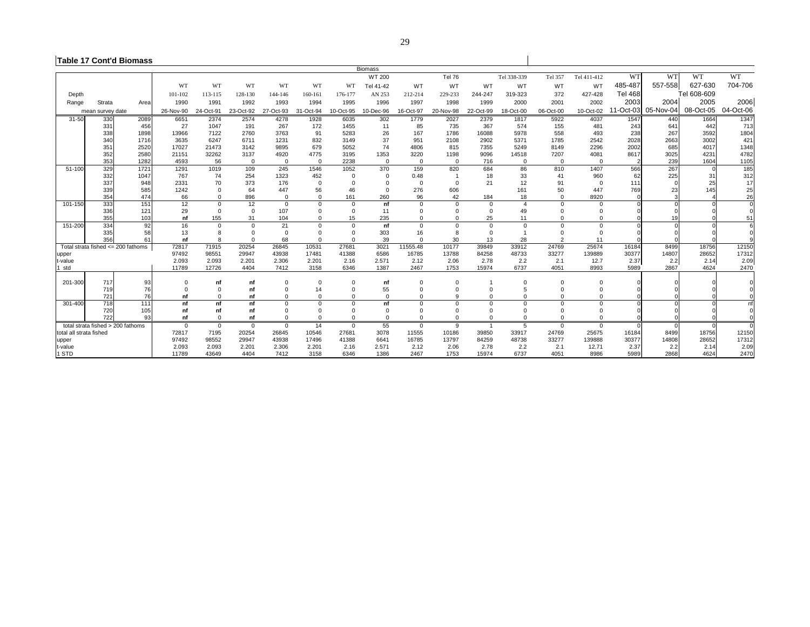#### **Table 17 Cont'd Biomass**

|                         |                                           |      |             |             |                      |              |             |             | <b>Biomass</b> |                      |             |                |                |                         |              |                |                     |             |             |
|-------------------------|-------------------------------------------|------|-------------|-------------|----------------------|--------------|-------------|-------------|----------------|----------------------|-------------|----------------|----------------|-------------------------|--------------|----------------|---------------------|-------------|-------------|
|                         |                                           |      |             |             |                      |              |             |             | WT 200         |                      | Tel 76      |                | Tel 338-339    | Tel 357                 | Tel 411-412  | WT             | WT                  | WT          | <b>WT</b>   |
|                         |                                           |      | WT          | WT          | WT                   | WT           | WT          | WT          | Tel 41-42      | WT                   | WT          | WT             | WT             | WT                      | WT           | 485-487        | 557-558             | 627-630     | 704-706     |
| Depth                   |                                           |      | 101-102     | 113-115     | 128-130              | 144-146      | 160-161     | 176-177     | AN 253         | 212-214              | 229-233     | 244-247        | 319-323        | 372                     | 427-428      | <b>Tel 468</b> |                     | Tel 608-609 |             |
| Range                   | Strata                                    | Area | 1990        | 1991        | 1992                 | 1993         | 1994        | 1995        | 1996           | 1997                 | 1998        | 1999           | 2000           | 2001                    | 2002         | 2003           | 2004                | 2005        | 2006        |
|                         | mean survey date                          |      | 26-Nov-90   | 24-Oct-91   | 23-Oct-92            | 27-Oct-93    | 31-Oct-94   | 10-Oct-95   | 10-Dec-96      | 16-Oct-97            | 20-Nov-98   | 22-Oct-99      | 18-Oct-00      | 06-Oct-00               | 10-Oct-02    |                | 11-Oct-03 05-Nov-04 | 08-Oct-05   | 04-Oct-06   |
| $31 - 50$               | 330                                       | 2089 | 6651        | 2374        | 2574                 | 4278         | 1928        | 6035        | 302            | 1779                 | 2027        | 2379           | 1817           | 5922                    | 4037         | 1547           | 440                 | 1664        | 1347        |
|                         | 331                                       | 456  | 27          | 1047        | 191                  | 267          | 172         | 1455        | 11             | 85                   | 735         | 367            | 574            | 155                     | 481          | 243            | 641                 | 442         | 713         |
|                         | 338                                       | 1898 | 13966       | 7122        | 2760                 | 3763         | 91          | 5283        | 26             | 167                  | 1786        | 16088          | 5978           | 558                     | 493          | 238            | 267                 | 3592        | 1804        |
|                         | 340                                       | 1716 | 3635        | 6247        | 6711                 | 1231         | 832         | 3149        | 37             | 951                  | 2108        | 2902           | 5371           | 1785                    | 2542         | 2028           | 2663                | 3002        | 421         |
|                         | 35'                                       | 2520 | 17027       | 21473       | 3142                 | 9895         | 679         | 5052        | 74             | 4806                 | 815         | 7355           | 5249           | 8149                    | 2296         | 2002           | 685                 | 4017        | 1348        |
|                         | 352                                       | 2580 | 21151       | 32262       | 3137                 | 4920         | 4775        | 3195        | 1353           | 3220                 | 1198        | 9096           | 14518          | 7207                    | 4081         | 8617           | 3025                | 4231        | 4782        |
|                         | 353                                       | 1282 | 4593        | 56          | $\overline{0}$       | $\mathbf{0}$ | $\Omega$    | 2238        | $\Omega$       | $\mathbf 0$          | $\Omega$    | 716            | $\mathbf 0$    | $\mathbf 0$             | $\mathbf 0$  |                | 239                 | 1604        | 1105        |
| 51-100                  | 329                                       | 1721 | 1291        | 1019        | 109                  | 245          | 1546        | 1052        | 370            | 159                  | 820         | 684            | 86             | 810                     | 1407         | 566            | 267                 |             | 185         |
|                         | 332                                       | 1047 | 767         | 74          | 254                  | 1323         | 452         | $\Omega$    | $\mathbf 0$    | 0.48                 |             | 18             | 33             | 41                      | 960          | 62             | 225                 | 31          | 312         |
|                         | 337                                       | 948  | 2331        | 70          | 373                  | 176          | $\Omega$    | $\Omega$    | $\Omega$       | $\Omega$             | $\Omega$    | 21             | 12             | 91                      | $\mathbf 0$  | 111            |                     | 25          | 17          |
|                         | 339                                       | 585  | 1242        | $\Omega$    | 64                   | 447          | 56          | 46          | $\Omega$       | 276                  | 606         |                | 161            | 50                      | 447          | 769            | 23                  | 145         | 25          |
|                         | 354                                       | 474  | 66          |             | 896                  | $\Omega$     | $\Omega$    | 161         | 260            | 96                   | 42          | 184            | 18             | $\Omega$                | 8920         |                |                     |             | 26          |
| 101-150                 | 333                                       | 151  | 12          | $\Omega$    | 12                   | $\mathbf{0}$ | $\mathbf 0$ | $\Omega$    | nf             | $\mathbf 0$          | $\Omega$    | $\mathbf 0$    | $\overline{4}$ | $\mathbf 0$             | $\mathbf 0$  |                |                     |             | $\Omega$    |
|                         | 336                                       | 121  | 29          | $\Omega$    | $\overline{0}$       | 107          | $\Omega$    | $\Omega$    | 11             | $\Omega$             | 0           | $\mathbf 0$    | 49             | $\Omega$                | $\Omega$     |                |                     |             |             |
|                         | 355                                       | 103  | nf          | 155         | 31                   | 104          | $\Omega$    | 15          | 235            | $\Omega$             | $\Omega$    | 25             | 11             | $\Omega$                | $\Omega$     |                |                     |             | 51          |
| 151-200                 | 334                                       | 92   | 16          |             | $\Omega$             | 21           | $\Omega$    | $\Omega$    | nf             | $\Omega$             | $\Omega$    | $\Omega$       | $\Omega$       | $\Omega$                | $\Omega$     |                |                     |             | 6           |
|                         | 335                                       | 58   | 13          |             | $\Omega$<br>$\Omega$ | $\Omega$     | $\Omega$    | $\Omega$    | 303            | 16                   | 8           | $\Omega$       |                | $\Omega$                | $\Omega$     |                |                     |             |             |
|                         | 356<br>Total strata fished <= 200 fathoms | 61   | nf<br>72817 | 71915       | 20254                | 68<br>26845  | 10531       | 27681       | 39<br>3021     | $\Omega$<br>11555.48 | 30<br>10177 | 13<br>39849    | 28<br>33912    | $\overline{2}$<br>24769 | 11<br>25674  | 16184          | 8499                | 18756       | 12150       |
|                         |                                           |      | 97492       | 98551       | 29947                | 43938        | 17481       | 41388       | 6586           | 16785                | 13788       | 84258          | 48733          | 33277                   | 139889       | 30377          | 14807               | 28652       | 17312       |
| upper<br>t-value        |                                           |      | 2.093       | 2.093       | 2.201                | 2.306        | 2.201       | 2.16        | 2.571          | 2.12                 | 2.06        | 2.78           | 2.2            | 2.1                     | 12.7         | 2.37           | 2.2                 | 2.14        | 2.09        |
| 1 std                   |                                           |      | 11789       | 12726       | 4404                 | 7412         | 3158        | 6346        | 1387           | 2467                 | 1753        | 15974          | 6737           | 4051                    | 8993         | 5989           | 2867                | 4624        | 2470        |
|                         |                                           |      |             |             |                      |              |             |             |                |                      |             |                |                |                         |              |                |                     |             |             |
| 201-300                 | 717                                       | 93   | $\Omega$    | nf          | nf                   | $\Omega$     | $\Omega$    | $\Omega$    | nf             | $\Omega$             | 0           |                | $\Omega$       | $\Omega$                | 0            |                |                     |             |             |
|                         | 719                                       | 76   | $\Omega$    | $\Omega$    | nf                   | $\Omega$     | 14          | $\Omega$    | 55             | $\Omega$             | $\Omega$    | $\Omega$       |                | $\Omega$                | $\Omega$     |                |                     |             |             |
|                         | 721                                       | 76   | nf          |             | nf                   | $\Omega$     | $\Omega$    | $\Omega$    | $\Omega$       | $\Omega$             | a           | $\Omega$       | $\Omega$       | $\Omega$                | $\Omega$     |                |                     |             |             |
| 301-400                 | 718                                       | 111  | nf          | nf          | nf                   | $\Omega$     | $\Omega$    | $\Omega$    | nf             | $\Omega$             |             | $\Omega$       | $\Omega$       | $\Omega$                | $\mathbf 0$  |                |                     |             | nf          |
|                         | 720                                       | 105  | nf          | nf          | nf                   | $\Omega$     | $\Omega$    | $\Omega$    | $\Omega$       | $\Omega$             | $\Omega$    | $\Omega$       | $\Omega$       | $\Omega$                | $\Omega$     |                |                     |             | $\mathbf 0$ |
|                         | 722                                       | 93   | nf          | $\mathbf 0$ | nf                   | $\mathbf 0$  | $\mathbf 0$ | $\mathbf 0$ | $\Omega$       | $\mathbf{0}$         | $\mathbf 0$ | $\mathbf 0$    | $\mathbf 0$    | $\mathbf 0$             | $\mathbf{0}$ |                |                     |             |             |
|                         | total strata fished > 200 fathoms         |      | $\mathbf 0$ | $\Omega$    | $^{\circ}$           | $\mathbf{0}$ | 14          | $\mathbf 0$ | 55             | $\mathbf{0}$         | 9           | $\overline{1}$ | 5              | $\mathbf{0}$            | $\mathbf{0}$ | $\Omega$       | $\Omega$            |             | $\Omega$    |
| total all strata fished |                                           |      | 72817       | 7195        | 20254                | 26845        | 10546       | 27681       | 3078           | 11555                | 10186       | 39850          | 33917          | 24769                   | 25675        | 16184          | 8499                | 18756       | 12150       |
| upper                   |                                           |      | 97492       | 98552       | 29947                | 43938        | 17496       | 41388       | 6641           | 16785                | 13797       | 84259          | 48738          | 33277                   | 139888       | 30377          | 14808               | 28652       | 17312       |
| t-value                 |                                           |      | 2.093       | 2.093       | 2.201                | 2.306        | 2.201       | 2.16        | 2.571          | 2.12                 | 2.06        | 2.78           | 2.2            | 2.1                     | 12.71        | 2.37           | 2.2                 | 2.14        | 2.09        |
| 1 STD                   |                                           |      | 11789       | 43649       | 4404                 | 7412         | 3158        | 6346        | 1386           | 2467                 | 1753        | 15974          | 6737           | 4051                    | 8986         | 5989           | 2868                | 4624        | 2470        |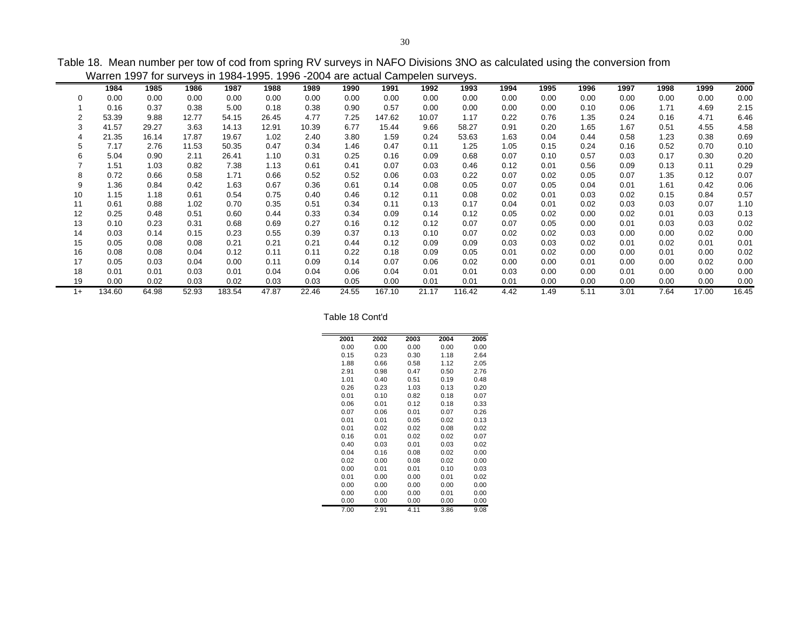Table 18. Mean number per tow of cod from spring RV surveys in NAFO Divisions 3NO as calculated using the conversion from

|      | Warren 1997 for surveys in 1984-1995. 1996 -2004 are actual Campelen surveys. |       |       |        |       |       |       |        |       |        |      |      |      |      |      |       |       |
|------|-------------------------------------------------------------------------------|-------|-------|--------|-------|-------|-------|--------|-------|--------|------|------|------|------|------|-------|-------|
|      | 1984                                                                          | 1985  | 1986  | 1987   | 1988  | 1989  | 1990  | 1991   | 1992  | 1993   | 1994 | 1995 | 1996 | 1997 | 1998 | 1999  | 2000  |
| 0    | 0.00                                                                          | 0.00  | 0.00  | 0.00   | 0.00  | 0.00  | 0.00  | 0.00   | 0.00  | 0.00   | 0.00 | 0.00 | 0.00 | 0.00 | 0.00 | 0.00  | 0.00  |
|      | 0.16                                                                          | 0.37  | 0.38  | 5.00   | 0.18  | 0.38  | 0.90  | 0.57   | 0.00  | 0.00   | 0.00 | 0.00 | 0.10 | 0.06 | 1.71 | 4.69  | 2.15  |
| 2    | 53.39                                                                         | 9.88  | 12.77 | 54.15  | 26.45 | 4.77  | 7.25  | 147.62 | 10.07 | 1.17   | 0.22 | 0.76 | 1.35 | 0.24 | 0.16 | 4.71  | 6.46  |
| 3    | 41.57                                                                         | 29.27 | 3.63  | 14.13  | 12.91 | 10.39 | 6.77  | 15.44  | 9.66  | 58.27  | 0.91 | 0.20 | 1.65 | 1.67 | 0.51 | 4.55  | 4.58  |
| 4    | 21.35                                                                         | 16.14 | 17.87 | 19.67  | 1.02  | 2.40  | 3.80  | 1.59   | 0.24  | 53.63  | 1.63 | 0.04 | 0.44 | 0.58 | 1.23 | 0.38  | 0.69  |
| 5    | 7.17                                                                          | 2.76  | 11.53 | 50.35  | 0.47  | 0.34  | 1.46  | 0.47   | 0.11  | 1.25   | 1.05 | 0.15 | 0.24 | 0.16 | 0.52 | 0.70  | 0.10  |
| 6    | 5.04                                                                          | 0.90  | 2.11  | 26.41  | 1.10  | 0.31  | 0.25  | 0.16   | 0.09  | 0.68   | 0.07 | 0.10 | 0.57 | 0.03 | 0.17 | 0.30  | 0.20  |
|      | 1.51                                                                          | 1.03  | 0.82  | 7.38   | 1.13  | 0.61  | 0.41  | 0.07   | 0.03  | 0.46   | 0.12 | 0.01 | 0.56 | 0.09 | 0.13 | 0.11  | 0.29  |
| 8    | 0.72                                                                          | 0.66  | 0.58  | 1.71   | 0.66  | 0.52  | 0.52  | 0.06   | 0.03  | 0.22   | 0.07 | 0.02 | 0.05 | 0.07 | 1.35 | 0.12  | 0.07  |
| 9    | 1.36                                                                          | 0.84  | 0.42  | 1.63   | 0.67  | 0.36  | 0.61  | 0.14   | 0.08  | 0.05   | 0.07 | 0.05 | 0.04 | 0.01 | 1.61 | 0.42  | 0.06  |
| 10   | 1.15                                                                          | 1.18  | 0.61  | 0.54   | 0.75  | 0.40  | 0.46  | 0.12   | 0.11  | 0.08   | 0.02 | 0.01 | 0.03 | 0.02 | 0.15 | 0.84  | 0.57  |
| 11   | 0.61                                                                          | 0.88  | 1.02  | 0.70   | 0.35  | 0.51  | 0.34  | 0.11   | 0.13  | 0.17   | 0.04 | 0.01 | 0.02 | 0.03 | 0.03 | 0.07  | 1.10  |
| 12   | 0.25                                                                          | 0.48  | 0.51  | 0.60   | 0.44  | 0.33  | 0.34  | 0.09   | 0.14  | 0.12   | 0.05 | 0.02 | 0.00 | 0.02 | 0.01 | 0.03  | 0.13  |
| 13   | 0.10                                                                          | 0.23  | 0.31  | 0.68   | 0.69  | 0.27  | 0.16  | 0.12   | 0.12  | 0.07   | 0.07 | 0.05 | 0.00 | 0.01 | 0.03 | 0.03  | 0.02  |
| 14   | 0.03                                                                          | 0.14  | 0.15  | 0.23   | 0.55  | 0.39  | 0.37  | 0.13   | 0.10  | 0.07   | 0.02 | 0.02 | 0.03 | 0.00 | 0.00 | 0.02  | 0.00  |
| 15   | 0.05                                                                          | 0.08  | 0.08  | 0.21   | 0.21  | 0.21  | 0.44  | 0.12   | 0.09  | 0.09   | 0.03 | 0.03 | 0.02 | 0.01 | 0.02 | 0.01  | 0.01  |
| 16   | 0.08                                                                          | 0.08  | 0.04  | 0.12   | 0.11  | 0.11  | 0.22  | 0.18   | 0.09  | 0.05   | 0.01 | 0.02 | 0.00 | 0.00 | 0.01 | 0.00  | 0.02  |
| 17   | 0.05                                                                          | 0.03  | 0.04  | 0.00   | 0.11  | 0.09  | 0.14  | 0.07   | 0.06  | 0.02   | 0.00 | 0.00 | 0.01 | 0.00 | 0.00 | 0.02  | 0.00  |
| 18   | 0.01                                                                          | 0.01  | 0.03  | 0.01   | 0.04  | 0.04  | 0.06  | 0.04   | 0.01  | 0.01   | 0.03 | 0.00 | 0.00 | 0.01 | 0.00 | 0.00  | 0.00  |
| 19   | 0.00                                                                          | 0.02  | 0.03  | 0.02   | 0.03  | 0.03  | 0.05  | 0.00   | 0.01  | 0.01   | 0.01 | 0.00 | 0.00 | 0.00 | 0.00 | 0.00  | 0.00  |
| $1+$ | 134.60                                                                        | 64.98 | 52.93 | 183.54 | 47.87 | 22.46 | 24.55 | 167.10 | 21.17 | 116.42 | 4.42 | 1.49 | 5.11 | 3.01 | 7.64 | 17.00 | 16.45 |

Table 18 Cont'd

| 2001 | 2002 | 2003 | 2004 | 2005 |
|------|------|------|------|------|
| 0.00 | 0.00 | 0.00 | 0.00 | 0.00 |
| 0.15 | 0.23 | 0.30 | 1.18 | 2.64 |
| 1.88 | 0.66 | 0.58 | 1.12 | 2.05 |
| 2.91 | 0.98 | 0.47 | 0.50 | 2.76 |
| 1.01 | 0.40 | 0.51 | 0.19 | 0.48 |
| 0.26 | 0.23 | 1.03 | 0.13 | 0.20 |
| 0.01 | 0.10 | 0.82 | 0.18 | 0.07 |
| 0.06 | 0.01 | 0.12 | 0.18 | 0.33 |
| 0.07 | 0.06 | 0.01 | 0.07 | 0.26 |
| 0.01 | 0.01 | 0.05 | 0.02 | 0.13 |
| 0.01 | 0.02 | 0.02 | 0.08 | 0.02 |
| 0.16 | 0.01 | 0.02 | 0.02 | 0.07 |
| 0.40 | 0.03 | 0.01 | 0.03 | 0.02 |
| 0.04 | 0.16 | 0.08 | 0.02 | 0.00 |
| 0.02 | 0.00 | 0.08 | 0.02 | 0.00 |
| 0.00 | 0.01 | 0.01 | 0.10 | 0.03 |
| 0.01 | 0.00 | 0.00 | 0.01 | 0.02 |
| 0.00 | 0.00 | 0.00 | 0.00 | 0.00 |
| 0.00 | 0.00 | 0.00 | 0.01 | 0.00 |
| 0.00 | 0.00 | 0.00 | 0.00 | 0.00 |
| 7.00 | 2.91 | 4.11 | 3.86 | 9.08 |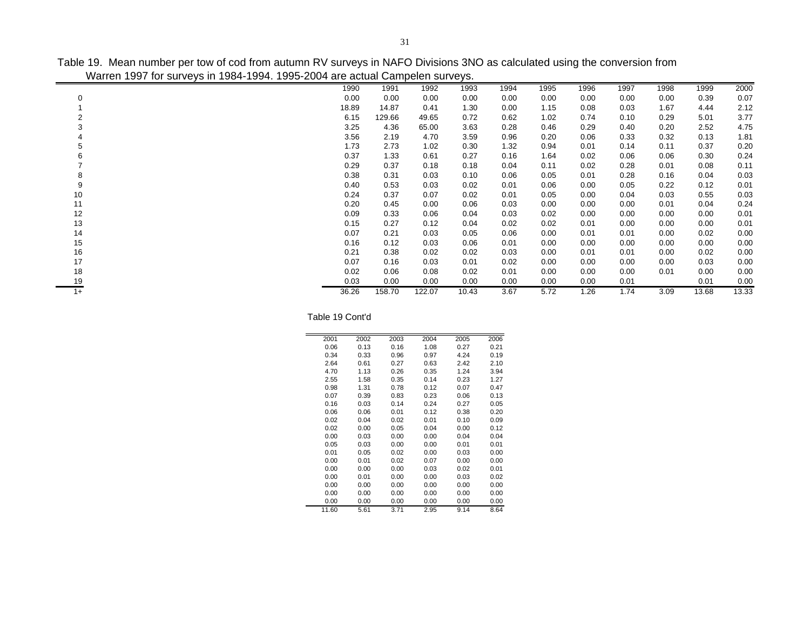Table 19. Mean number per tow of cod from autumn RV surveys in NAFO Divisions 3NO as calculated using the conversion from Warren 1997 for surveys in 1984-1994. 1995-2004 are actual Campelen surveys.

|          | <b>Than on Too, Tor barroyo in Too F Too 1. Too 200 F and ablacir barripolon barroyo.</b> |       |        |        |       |      |      |      |      |      |       |       |
|----------|-------------------------------------------------------------------------------------------|-------|--------|--------|-------|------|------|------|------|------|-------|-------|
|          |                                                                                           | 1990  | 1991   | 1992   | 1993  | 1994 | 1995 | 1996 | 1997 | 1998 | 1999  | 2000  |
| $\Omega$ |                                                                                           | 0.00  | 0.00   | 0.00   | 0.00  | 0.00 | 0.00 | 0.00 | 0.00 | 0.00 | 0.39  | 0.07  |
|          |                                                                                           | 18.89 | 14.87  | 0.41   | 1.30  | 0.00 | 1.15 | 0.08 | 0.03 | 1.67 | 4.44  | 2.12  |
|          |                                                                                           | 6.15  | 129.66 | 49.65  | 0.72  | 0.62 | 1.02 | 0.74 | 0.10 | 0.29 | 5.01  | 3.77  |
|          |                                                                                           | 3.25  | 4.36   | 65.00  | 3.63  | 0.28 | 0.46 | 0.29 | 0.40 | 0.20 | 2.52  | 4.75  |
|          |                                                                                           | 3.56  | 2.19   | 4.70   | 3.59  | 0.96 | 0.20 | 0.06 | 0.33 | 0.32 | 0.13  | 1.81  |
|          |                                                                                           | 1.73  | 2.73   | 1.02   | 0.30  | 1.32 | 0.94 | 0.01 | 0.14 | 0.11 | 0.37  | 0.20  |
|          |                                                                                           | 0.37  | 1.33   | 0.61   | 0.27  | 0.16 | 1.64 | 0.02 | 0.06 | 0.06 | 0.30  | 0.24  |
|          |                                                                                           | 0.29  | 0.37   | 0.18   | 0.18  | 0.04 | 0.11 | 0.02 | 0.28 | 0.01 | 0.08  | 0.11  |
| 8        |                                                                                           | 0.38  | 0.31   | 0.03   | 0.10  | 0.06 | 0.05 | 0.01 | 0.28 | 0.16 | 0.04  | 0.03  |
| 9        |                                                                                           | 0.40  | 0.53   | 0.03   | 0.02  | 0.01 | 0.06 | 0.00 | 0.05 | 0.22 | 0.12  | 0.01  |
| 10       |                                                                                           | 0.24  | 0.37   | 0.07   | 0.02  | 0.01 | 0.05 | 0.00 | 0.04 | 0.03 | 0.55  | 0.03  |
| 11       |                                                                                           | 0.20  | 0.45   | 0.00   | 0.06  | 0.03 | 0.00 | 0.00 | 0.00 | 0.01 | 0.04  | 0.24  |
| 12       |                                                                                           | 0.09  | 0.33   | 0.06   | 0.04  | 0.03 | 0.02 | 0.00 | 0.00 | 0.00 | 0.00  | 0.01  |
| 13       |                                                                                           | 0.15  | 0.27   | 0.12   | 0.04  | 0.02 | 0.02 | 0.01 | 0.00 | 0.00 | 0.00  | 0.01  |
| 14       |                                                                                           | 0.07  | 0.21   | 0.03   | 0.05  | 0.06 | 0.00 | 0.01 | 0.01 | 0.00 | 0.02  | 0.00  |
| 15       |                                                                                           | 0.16  | 0.12   | 0.03   | 0.06  | 0.01 | 0.00 | 0.00 | 0.00 | 0.00 | 0.00  | 0.00  |
| 16       |                                                                                           | 0.21  | 0.38   | 0.02   | 0.02  | 0.03 | 0.00 | 0.01 | 0.01 | 0.00 | 0.02  | 0.00  |
| 17       |                                                                                           | 0.07  | 0.16   | 0.03   | 0.01  | 0.02 | 0.00 | 0.00 | 0.00 | 0.00 | 0.03  | 0.00  |
| 18       |                                                                                           | 0.02  | 0.06   | 0.08   | 0.02  | 0.01 | 0.00 | 0.00 | 0.00 | 0.01 | 0.00  | 0.00  |
| 19       |                                                                                           | 0.03  | 0.00   | 0.00   | 0.00  | 0.00 | 0.00 | 0.00 | 0.01 |      | 0.01  | 0.00  |
| $1+$     |                                                                                           | 36.26 | 158.70 | 122.07 | 10.43 | 3.67 | 5.72 | 1.26 | 1.74 | 3.09 | 13.68 | 13.33 |

Table 19 Cont'd

| 2001  | 2002 | 2003 | 2004 | 2005 | 2006 |
|-------|------|------|------|------|------|
| 0.06  | 0.13 | 0.16 | 1.08 | 0.27 | 0.21 |
| 0.34  | 0.33 | 0.96 | 0.97 | 4.24 | 0.19 |
| 2.64  | 0.61 | 0.27 | 0.63 | 2.42 | 2.10 |
| 4.70  | 1.13 | 0.26 | 0.35 | 1.24 | 3.94 |
| 2.55  | 1.58 | 0.35 | 0.14 | 0.23 | 1.27 |
| 0.98  | 1.31 | 0.78 | 0.12 | 0.07 | 0.47 |
| 0.07  | 0.39 | 0.83 | 0.23 | 0.06 | 0.13 |
| 0.16  | 0.03 | 0.14 | 0.24 | 0.27 | 0.05 |
| 0.06  | 0.06 | 0.01 | 0.12 | 0.38 | 0.20 |
| 0.02  | 0.04 | 0.02 | 0.01 | 0.10 | 0.09 |
| 0.02  | 0.00 | 0.05 | 0.04 | 0.00 | 0.12 |
| 0.00  | 0.03 | 0.00 | 0.00 | 0.04 | 0.04 |
| 0.05  | 0.03 | 0.00 | 0.00 | 0.01 | 0.01 |
| 0.01  | 0.05 | 0.02 | 0.00 | 0.03 | 0.00 |
| 0.00  | 0.01 | 0.02 | 0.07 | 0.00 | 0.00 |
| 0.00  | 0.00 | 0.00 | 0.03 | 0.02 | 0.01 |
| 0.00  | 0.01 | 0.00 | 0.00 | 0.03 | 0.02 |
| 0.00  | 0.00 | 0.00 | 0.00 | 0.00 | 0.00 |
| 0.00  | 0.00 | 0.00 | 0.00 | 0.00 | 0.00 |
| 0.00  | 0.00 | 0.00 | 0.00 | 0.00 | 0.00 |
| 11.60 | 5.61 | 3.71 | 2.95 | 9.14 | 8.64 |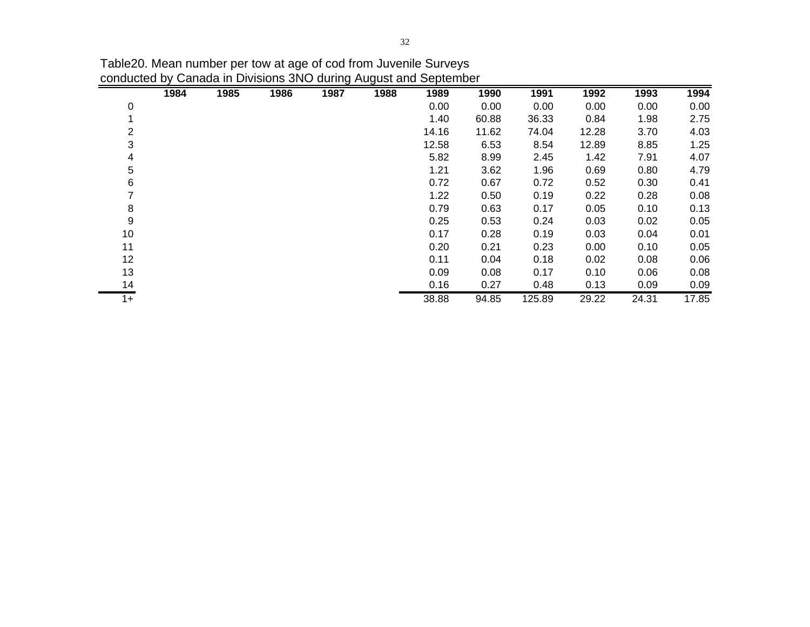|      | 1984 | 1985 | 1986 | 1987 | 1988 | 1989  | 1990  | 1991   | 1992  | 1993  | 1994  |
|------|------|------|------|------|------|-------|-------|--------|-------|-------|-------|
| 0    |      |      |      |      |      | 0.00  | 0.00  | 0.00   | 0.00  | 0.00  | 0.00  |
|      |      |      |      |      |      | 1.40  | 60.88 | 36.33  | 0.84  | 1.98  | 2.75  |
| 2    |      |      |      |      |      | 14.16 | 11.62 | 74.04  | 12.28 | 3.70  | 4.03  |
| 3    |      |      |      |      |      | 12.58 | 6.53  | 8.54   | 12.89 | 8.85  | 1.25  |
| 4    |      |      |      |      |      | 5.82  | 8.99  | 2.45   | 1.42  | 7.91  | 4.07  |
| 5    |      |      |      |      |      | 1.21  | 3.62  | 1.96   | 0.69  | 0.80  | 4.79  |
| 6    |      |      |      |      |      | 0.72  | 0.67  | 0.72   | 0.52  | 0.30  | 0.41  |
|      |      |      |      |      |      | 1.22  | 0.50  | 0.19   | 0.22  | 0.28  | 0.08  |
| 8    |      |      |      |      |      | 0.79  | 0.63  | 0.17   | 0.05  | 0.10  | 0.13  |
| 9    |      |      |      |      |      | 0.25  | 0.53  | 0.24   | 0.03  | 0.02  | 0.05  |
| 10   |      |      |      |      |      | 0.17  | 0.28  | 0.19   | 0.03  | 0.04  | 0.01  |
| 11   |      |      |      |      |      | 0.20  | 0.21  | 0.23   | 0.00  | 0.10  | 0.05  |
| 12   |      |      |      |      |      | 0.11  | 0.04  | 0.18   | 0.02  | 0.08  | 0.06  |
| 13   |      |      |      |      |      | 0.09  | 0.08  | 0.17   | 0.10  | 0.06  | 0.08  |
| 14   |      |      |      |      |      | 0.16  | 0.27  | 0.48   | 0.13  | 0.09  | 0.09  |
| $1+$ |      |      |      |      |      | 38.88 | 94.85 | 125.89 | 29.22 | 24.31 | 17.85 |

Table20. Mean number per tow at age of cod from Juvenile Surveys conducted by Canada in Divisions 3NO during August and September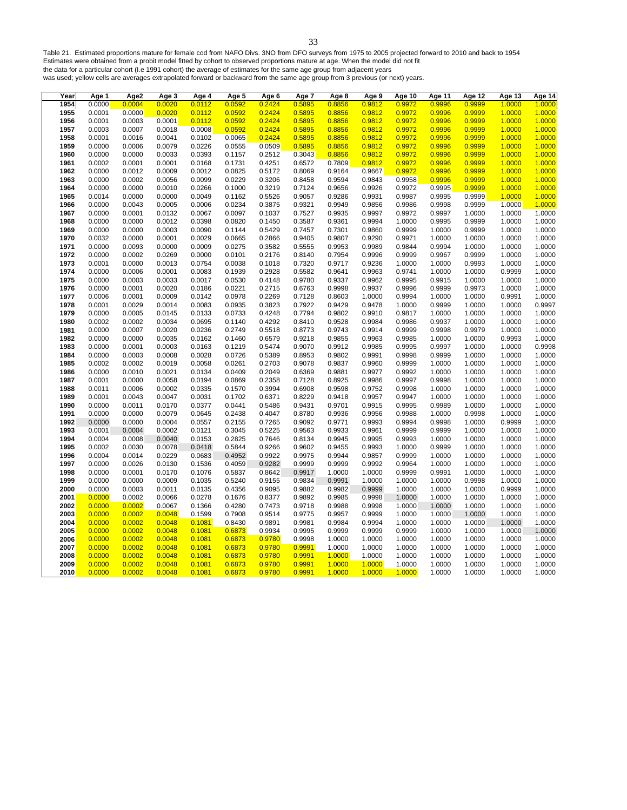Table 21. Estimated proportions mature for female cod from NAFO Divs. 3NO from DFO surveys from 1975 to 2005 projected forward to 2010 and back to 1954 Estimates were obtained from a probit model fitted by cohort to observed proportions mature at age. When the model did not fit the data for a particular cohort (I.e 1991 cohort) the average of estimates for the same age group from adjacent years

was used; yellow cells are averages extrapolated forward or backward from the same age group from 3 previous (or next) years.

| Year | Age 1  | Age2   | Age 3  | Age 4  | Age 5  | Age 6  | Age 7  | Age 8  | Age 9  | Age 10 | Age 11 | Age 12 | Age 13 | Age 14 |
|------|--------|--------|--------|--------|--------|--------|--------|--------|--------|--------|--------|--------|--------|--------|
| 1954 | 0.0000 | 0.0004 | 0.0020 | 0.0112 | 0.0592 | 0.2424 | 0.5895 | 0.8856 | 0.9812 | 0.9972 | 0.9996 | 0.9999 | 1.0000 | 1.0000 |
| 1955 | 0.0001 | 0.0000 | 0.0020 | 0.0112 | 0.0592 | 0.2424 | 0.5895 | 0.8856 | 0.9812 | 0.9972 | 0.9996 | 0.9999 | 1.0000 | 1.0000 |
| 1956 | 0.0001 | 0.0003 | 0.0001 | 0.0112 | 0.0592 | 0.2424 | 0.5895 | 0.8856 | 0.9812 | 0.9972 | 0.9996 | 0.9999 | 1.0000 | 1.0000 |
| 1957 | 0.0003 | 0.0007 | 0.0018 | 0.0008 | 0.0592 | 0.2424 | 0.5895 | 0.8856 | 0.9812 | 0.9972 | 0.9996 | 0.9999 | 1.0000 | 1.0000 |
| 1958 | 0.0001 | 0.0016 | 0.0041 | 0.0102 | 0.0065 | 0.2424 | 0.5895 | 0.8856 | 0.9812 | 0.9972 | 0.9996 | 0.9999 | 1.0000 | 1.0000 |
| 1959 | 0.0000 | 0.0006 | 0.0079 | 0.0226 | 0.0555 | 0.0509 | 0.5895 | 0.8856 | 0.9812 | 0.9972 | 0.9996 | 0.9999 | 1.0000 |        |
| 1960 | 0.0000 | 0.0000 | 0.0033 | 0.0393 | 0.1157 | 0.2512 | 0.3043 | 0.8856 | 0.9812 | 0.9972 | 0.9996 | 0.9999 | 1.0000 | 1.0000 |
| 1961 | 0.0002 | 0.0001 | 0.0001 | 0.0168 | 0.1731 | 0.4251 | 0.6572 | 0.7809 | 0.9812 | 0.9972 | 0.9996 | 0.9999 | 1.0000 | 1.0000 |
|      | 0.0000 | 0.0012 | 0.0009 | 0.0012 | 0.0825 |        | 0.8069 | 0.9164 | 0.9667 | 0.9972 | 0.9996 | 0.9999 | 1.0000 |        |
| 1962 |        |        |        |        |        | 0.5172 |        |        |        |        |        |        |        | 1.0000 |
| 1963 | 0.0000 | 0.0002 | 0.0056 | 0.0099 | 0.0229 | 0.3206 | 0.8458 | 0.9594 | 0.9843 | 0.9958 | 0.9996 | 0.9999 | 1.0000 | 1.0000 |
| 1964 | 0.0000 | 0.0000 | 0.0010 | 0.0266 | 0.1000 | 0.3219 | 0.7124 | 0.9656 | 0.9926 | 0.9972 | 0.9995 | 0.9999 | 1.0000 | 1.0000 |
| 1965 | 0.0014 | 0.0000 | 0.0000 | 0.0049 | 0.1162 | 0.5526 | 0.9057 | 0.9286 | 0.9931 | 0.9987 | 0.9995 | 0.9999 | 1.0000 | 1.0000 |
| 1966 | 0.0000 | 0.0043 | 0.0005 | 0.0006 | 0.0234 | 0.3875 | 0.9321 | 0.9949 | 0.9856 | 0.9986 | 0.9998 | 0.9999 | 1.0000 |        |
| 1967 | 0.0000 | 0.0001 | 0.0132 | 0.0067 | 0.0097 | 0.1037 | 0.7527 | 0.9935 | 0.9997 | 0.9972 | 0.9997 | 1.0000 | 1.0000 | 1.0000 |
| 1968 | 0.0000 | 0.0000 | 0.0012 | 0.0398 | 0.0820 | 0.1450 | 0.3587 | 0.9361 | 0.9994 | 1.0000 | 0.9995 | 0.9999 | 1.0000 | 1.0000 |
| 1969 | 0.0000 | 0.0000 | 0.0003 | 0.0090 | 0.1144 | 0.5429 | 0.7457 | 0.7301 | 0.9860 | 0.9999 | 1.0000 | 0.9999 | 1.0000 | 1.0000 |
| 1970 | 0.0032 | 0.0000 | 0.0001 | 0.0029 | 0.0665 | 0.2866 | 0.9405 | 0.9807 | 0.9290 | 0.9971 | 1.0000 | 1.0000 | 1.0000 | 1.0000 |
| 1971 | 0.0000 | 0.0093 | 0.0000 | 0.0009 | 0.0275 | 0.3582 | 0.5555 | 0.9953 | 0.9989 | 0.9844 | 0.9994 | 1.0000 | 1.0000 | 1.0000 |
| 1972 | 0.0000 | 0.0002 | 0.0269 | 0.0000 | 0.0101 | 0.2176 | 0.8140 | 0.7954 | 0.9996 | 0.9999 | 0.9967 | 0.9999 | 1.0000 | 1.0000 |
| 1973 | 0.0001 | 0.0000 | 0.0013 | 0.0754 | 0.0038 | 0.1018 | 0.7320 | 0.9717 | 0.9236 | 1.0000 | 1.0000 | 0.9993 | 1.0000 | 1.0000 |
| 1974 | 0.0000 | 0.0006 | 0.0001 | 0.0083 | 0.1939 | 0.2928 | 0.5582 | 0.9641 | 0.9963 | 0.9741 | 1.0000 | 1.0000 | 0.9999 | 1.0000 |
| 1975 | 0.0000 | 0.0003 | 0.0033 | 0.0017 | 0.0530 | 0.4148 | 0.9780 | 0.9337 | 0.9962 | 0.9995 | 0.9915 | 1.0000 | 1.0000 | 1.0000 |
|      |        |        |        |        |        |        |        |        |        |        |        |        |        |        |
| 1976 | 0.0000 | 0.0001 | 0.0020 | 0.0186 | 0.0221 | 0.2715 | 0.6763 | 0.9998 | 0.9937 | 0.9996 | 0.9999 | 0.9973 | 1.0000 | 1.0000 |
| 1977 | 0.0006 | 0.0001 | 0.0009 | 0.0142 | 0.0978 | 0.2269 | 0.7128 | 0.8603 | 1.0000 | 0.9994 | 1.0000 | 1.0000 | 0.9991 | 1.0000 |
| 1978 | 0.0001 | 0.0029 | 0.0014 | 0.0083 | 0.0935 | 0.3823 | 0.7922 | 0.9429 | 0.9478 | 1.0000 | 0.9999 | 1.0000 | 1.0000 | 0.9997 |
| 1979 | 0.0000 | 0.0005 | 0.0145 | 0.0133 | 0.0733 | 0.4248 | 0.7794 | 0.9802 | 0.9910 | 0.9817 | 1.0000 | 1.0000 | 1.0000 | 1.0000 |
| 1980 | 0.0002 | 0.0002 | 0.0034 | 0.0695 | 0.1140 | 0.4292 | 0.8410 | 0.9528 | 0.9984 | 0.9986 | 0.9937 | 1.0000 | 1.0000 | 1.0000 |
| 1981 | 0.0000 | 0.0007 | 0.0020 | 0.0236 | 0.2749 | 0.5518 | 0.8773 | 0.9743 | 0.9914 | 0.9999 | 0.9998 | 0.9979 | 1.0000 | 1.0000 |
| 1982 | 0.0000 | 0.0000 | 0.0035 | 0.0162 | 0.1460 | 0.6579 | 0.9218 | 0.9855 | 0.9963 | 0.9985 | 1.0000 | 1.0000 | 0.9993 | 1.0000 |
| 1983 | 0.0000 | 0.0001 | 0.0003 | 0.0163 | 0.1219 | 0.5474 | 0.9070 | 0.9912 | 0.9985 | 0.9995 | 0.9997 | 1.0000 | 1.0000 | 0.9998 |
| 1984 | 0.0000 | 0.0003 | 0.0008 | 0.0028 | 0.0726 | 0.5389 | 0.8953 | 0.9802 | 0.9991 | 0.9998 | 0.9999 | 1.0000 | 1.0000 | 1.0000 |
| 1985 | 0.0002 | 0.0002 | 0.0019 | 0.0058 | 0.0261 | 0.2703 | 0.9078 | 0.9837 | 0.9960 | 0.9999 | 1.0000 | 1.0000 | 1.0000 | 1.0000 |
| 1986 | 0.0000 | 0.0010 | 0.0021 | 0.0134 | 0.0409 | 0.2049 | 0.6369 | 0.9881 | 0.9977 | 0.9992 | 1.0000 | 1.0000 | 1.0000 | 1.0000 |
| 1987 | 0.0001 | 0.0000 | 0.0058 | 0.0194 | 0.0869 | 0.2358 | 0.7128 | 0.8925 | 0.9986 | 0.9997 | 0.9998 | 1.0000 | 1.0000 | 1.0000 |
| 1988 | 0.0011 | 0.0006 | 0.0002 | 0.0335 | 0.1570 | 0.3994 | 0.6908 | 0.9598 | 0.9752 | 0.9998 | 1.0000 | 1.0000 | 1.0000 | 1.0000 |
| 1989 | 0.0001 | 0.0043 | 0.0047 | 0.0031 | 0.1702 | 0.6371 | 0.8229 | 0.9418 | 0.9957 | 0.9947 | 1.0000 | 1.0000 | 1.0000 | 1.0000 |
| 1990 | 0.0000 | 0.0011 | 0.0170 | 0.0377 | 0.0441 | 0.5486 | 0.9431 | 0.9701 | 0.9915 | 0.9995 | 0.9989 | 1.0000 | 1.0000 | 1.0000 |
| 1991 | 0.0000 | 0.0000 | 0.0079 | 0.0645 | 0.2438 | 0.4047 | 0.8780 | 0.9936 | 0.9956 | 0.9988 | 1.0000 | 0.9998 | 1.0000 | 1.0000 |
| 1992 | 0.0000 | 0.0000 | 0.0004 | 0.0557 | 0.2155 | 0.7265 | 0.9092 | 0.9771 | 0.9993 | 0.9994 | 0.9998 | 1.0000 | 0.9999 | 1.0000 |
|      |        |        |        |        |        |        |        |        |        |        |        |        |        |        |
| 1993 | 0.0001 | 0.0004 | 0.0002 | 0.0121 | 0.3045 | 0.5225 | 0.9563 | 0.9933 | 0.9961 | 0.9999 | 0.9999 | 1.0000 | 1.0000 | 1.0000 |
| 1994 | 0.0004 | 0.0008 | 0.0040 | 0.0153 | 0.2825 | 0.7646 | 0.8134 | 0.9945 | 0.9995 | 0.9993 | 1.0000 | 1.0000 | 1.0000 | 1.0000 |
| 1995 | 0.0002 | 0.0030 | 0.0078 | 0.0418 | 0.5844 | 0.9266 | 0.9602 | 0.9455 | 0.9993 | 1.0000 | 0.9999 | 1.0000 | 1.0000 | 1.0000 |
| 1996 | 0.0004 | 0.0014 | 0.0229 | 0.0683 | 0.4952 | 0.9922 | 0.9975 | 0.9944 | 0.9857 | 0.9999 | 1.0000 | 1.0000 | 1.0000 | 1.0000 |
| 1997 | 0.0000 | 0.0026 | 0.0130 | 0.1536 | 0.4059 | 0.9282 | 0.9999 | 0.9999 | 0.9992 | 0.9964 | 1.0000 | 1.0000 | 1.0000 | 1.0000 |
| 1998 | 0.0000 | 0.0001 | 0.0170 | 0.1076 | 0.5837 | 0.8642 | 0.9917 | 1.0000 | 1.0000 | 0.9999 | 0.9991 | 1.0000 | 1.0000 | 1.0000 |
| 1999 | 0.0000 | 0.0000 | 0.0009 | 0.1035 | 0.5240 | 0.9155 | 0.9834 | 0.9991 | 1.0000 | 1.0000 | 1.0000 | 0.9998 | 1.0000 | 1.0000 |
| 2000 | 0.0000 | 0.0003 | 0.0011 | 0.0135 | 0.4356 | 0.9095 | 0.9882 | 0.9982 | 0.9999 | 1.0000 | 1.0000 | 1.0000 | 0.9999 | 1.0000 |
| 2001 | 0.0000 | 0.0002 | 0.0066 | 0.0278 | 0.1676 | 0.8377 | 0.9892 | 0.9985 | 0.9998 | 1.0000 | 1.0000 | 1.0000 | 1.0000 | 1.0000 |
| 2002 | 0.0000 | 0.0002 | 0.0067 | 0.1366 | 0.4280 | 0.7473 | 0.9718 | 0.9988 | 0.9998 | 1.0000 | 1.0000 | 1.0000 | 1.0000 | 1.0000 |
| 2003 | 0.0000 | 0.0002 | 0.0048 | 0.1599 | 0.7908 | 0.9514 | 0.9775 | 0.9957 | 0.9999 | 1.0000 | 1.0000 | 1.0000 | 1.0000 | 1.0000 |
| 2004 | 0.0000 | 0.0002 | 0.0048 | 0.1081 | 0.8430 | 0.9891 | 0.9981 | 0.9984 | 0.9994 | 1.0000 | 1.0000 | 1.0000 | 1.0000 | 1.0000 |
| 2005 | 0.0000 | 0.0002 | 0.0048 | 0.1081 | 0.6873 | 0.9934 | 0.9995 | 0.9999 | 0.9999 | 0.9999 | 1.0000 | 1.0000 | 1.0000 | 1.0000 |
| 2006 | 0.0000 | 0.0002 | 0.0048 | 0.1081 | 0.6873 | 0.9780 | 0.9998 | 1.0000 | 1.0000 | 1.0000 | 1.0000 | 1.0000 | 1.0000 | 1.0000 |
| 2007 | 0.0000 | 0.0002 | 0.0048 | 0.1081 |        | 0.9780 | 0.9991 |        |        |        |        |        |        | 1.0000 |
|      |        |        |        |        | 0.6873 |        |        | 1.0000 | 1.0000 | 1.0000 | 1.0000 | 1.0000 | 1.0000 |        |
| 2008 | 0.0000 | 0.0002 | 0.0048 | 0.1081 | 0.6873 | 0.9780 | 0.9991 | 1.0000 | 1.0000 | 1.0000 | 1.0000 | 1.0000 | 1.0000 | 1.0000 |
| 2009 | 0.0000 | 0.0002 | 0.0048 | 0.1081 | 0.6873 | 0.9780 | 0.9991 | 1.0000 | 1.0000 | 1.0000 | 1.0000 | 1.0000 | 1.0000 | 1.0000 |
| 2010 | 0.0000 | 0.0002 | 0.0048 | 0.1081 | 0.6873 | 0.9780 | 0.9991 | 1.0000 | 1.0000 | 1.0000 | 1.0000 | 1.0000 | 1.0000 | 1.0000 |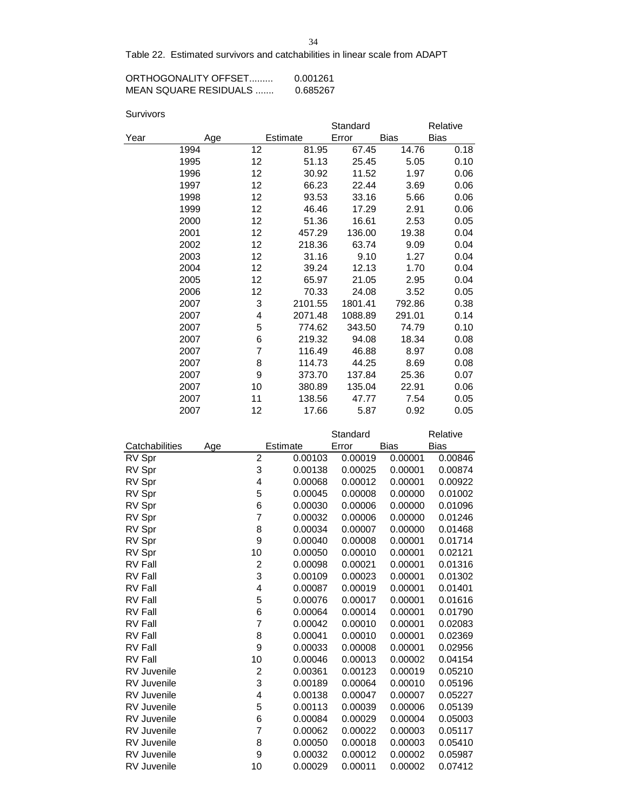Table 22. Estimated survivors and catchabilities in linear scale from ADAPT

| ORTHOGONALITY OFFSET  | 0.001261 |
|-----------------------|----------|
| MEAN SOUARE RESIDUALS | 0.685267 |

| Survivors |  |
|-----------|--|
|           |  |

|      |      |    |          | Standard          |             | Relative    |
|------|------|----|----------|-------------------|-------------|-------------|
| Year | Age  |    | Estimate | Error             | <b>Bias</b> | <b>Bias</b> |
|      | 1994 | 12 | 81.95    | 67.45             | 14.76       | 0.18        |
|      | 1995 | 12 | 51.13    | 25.45             | 5.05        | 0.10        |
|      | 1996 | 12 | 30.92    | 11.52             | 1.97        | 0.06        |
|      | 1997 | 12 | 66.23    | 22.44             | 3.69        | 0.06        |
|      | 1998 | 12 | 93.53    | 33.16             | 5.66        | 0.06        |
|      | 1999 | 12 | 46.46    | 17.29             | 2.91        | 0.06        |
|      | 2000 | 12 | 51.36    | 16.61             | 2.53        | 0.05        |
|      | 2001 | 12 | 457.29   | 136.00            | 19.38       | 0.04        |
|      | 2002 | 12 | 218.36   | 63.74             | 9.09        | 0.04        |
|      | 2003 | 12 | 31.16    | 9.10              | 1.27        | 0.04        |
|      | 2004 | 12 | 39.24    | 12.13             | 1.70        | 0.04        |
|      | 2005 | 12 | 65.97    | 21.05             | 2.95        | 0.04        |
|      | 2006 | 12 | 70.33    | 24.08             | 3.52        | 0.05        |
|      | 2007 | 3  | 2101.55  | 1801.41           | 792.86      | 0.38        |
|      | 2007 | 4  | 2071.48  | 1088.89           | 291.01      | 0.14        |
|      | 2007 | 5  | 774.62   | 343.50            | 74.79       | 0.10        |
|      | 2007 | 6  | 219.32   | 94.08             | 18.34       | 0.08        |
|      | 2007 | 7  | 116.49   | 46.88             | 8.97        | 0.08        |
|      | 2007 | 8  | 114.73   | 44.25             | 8.69        | 0.08        |
|      | 2007 | 9  | 373.70   | 137.84            | 25.36       | 0.07        |
|      | 2007 | 10 | 380.89   | 135.04            | 22.91       | 0.06        |
|      | 2007 | 11 | 138.56   | 47.77             | 7.54        | 0.05        |
|      | 2007 | 12 | 17.66    | 5.87              | 0.92        | 0.05        |
|      |      |    |          | $O(1 + \epsilon)$ |             | $D = 1 - 1$ |

|                    |                         |          | Standard |         | Relative    |
|--------------------|-------------------------|----------|----------|---------|-------------|
| Catchabilities     | Age                     | Estimate | Error    | Bias    | <b>Bias</b> |
| RV Spr             | $\overline{c}$          | 0.00103  | 0.00019  | 0.00001 | 0.00846     |
| RV Spr             | 3                       | 0.00138  | 0.00025  | 0.00001 | 0.00874     |
| RV Spr             | 4                       | 0.00068  | 0.00012  | 0.00001 | 0.00922     |
| RV Spr             | 5                       | 0.00045  | 0.00008  | 0.00000 | 0.01002     |
| RV Spr             | 6                       | 0.00030  | 0.00006  | 0.00000 | 0.01096     |
| RV Spr             | 7                       | 0.00032  | 0.00006  | 0.00000 | 0.01246     |
| RV Spr             | 8                       | 0.00034  | 0.00007  | 0.00000 | 0.01468     |
| RV Spr             | 9                       | 0.00040  | 0.00008  | 0.00001 | 0.01714     |
| RV Spr             | 10                      | 0.00050  | 0.00010  | 0.00001 | 0.02121     |
| <b>RV Fall</b>     | $\overline{\mathbf{c}}$ | 0.00098  | 0.00021  | 0.00001 | 0.01316     |
| <b>RV Fall</b>     | 3                       | 0.00109  | 0.00023  | 0.00001 | 0.01302     |
| <b>RV Fall</b>     | 4                       | 0.00087  | 0.00019  | 0.00001 | 0.01401     |
| <b>RV Fall</b>     | 5                       | 0.00076  | 0.00017  | 0.00001 | 0.01616     |
| <b>RV Fall</b>     | 6                       | 0.00064  | 0.00014  | 0.00001 | 0.01790     |
| RV Fall            | 7                       | 0.00042  | 0.00010  | 0.00001 | 0.02083     |
| <b>RV Fall</b>     | 8                       | 0.00041  | 0.00010  | 0.00001 | 0.02369     |
| <b>RV Fall</b>     | 9                       | 0.00033  | 0.00008  | 0.00001 | 0.02956     |
| <b>RV Fall</b>     | 10                      | 0.00046  | 0.00013  | 0.00002 | 0.04154     |
| <b>RV</b> Juvenile | 2                       | 0.00361  | 0.00123  | 0.00019 | 0.05210     |
| <b>RV Juvenile</b> | 3                       | 0.00189  | 0.00064  | 0.00010 | 0.05196     |
| <b>RV</b> Juvenile | 4                       | 0.00138  | 0.00047  | 0.00007 | 0.05227     |
| <b>RV Juvenile</b> | 5                       | 0.00113  | 0.00039  | 0.00006 | 0.05139     |
| <b>RV</b> Juvenile | 6                       | 0.00084  | 0.00029  | 0.00004 | 0.05003     |
| <b>RV Juvenile</b> | 7                       | 0.00062  | 0.00022  | 0.00003 | 0.05117     |
| <b>RV Juvenile</b> | 8                       | 0.00050  | 0.00018  | 0.00003 | 0.05410     |
| <b>RV Juvenile</b> | 9                       | 0.00032  | 0.00012  | 0.00002 | 0.05987     |
| <b>RV Juvenile</b> | 10                      | 0.00029  | 0.00011  | 0.00002 | 0.07412     |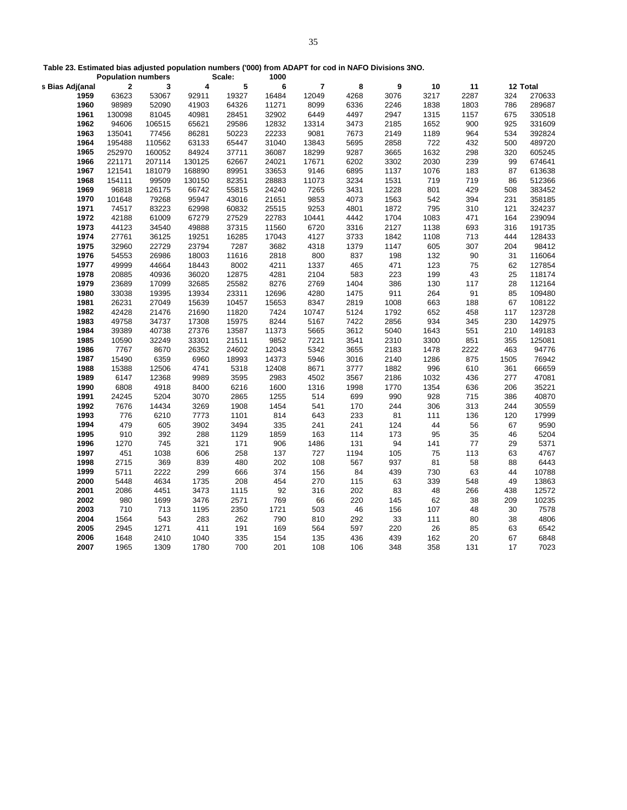**Table 23. Estimated bias adjusted population numbers ('000) from ADAPT for cod in NAFO Divisions 3NO.** 

|                 | <b>Population numbers</b> |        |             | Scale:      | 1000        |                         |           |            |      |          |          |              |
|-----------------|---------------------------|--------|-------------|-------------|-------------|-------------------------|-----------|------------|------|----------|----------|--------------|
| s Bias Adj(anal | $\bf{2}$                  | 3      | 4           | 5           | 6           | $\overline{\mathbf{r}}$ | 8         | 9          | 10   | 11       |          | 12 Total     |
| 1959            | 63623                     | 53067  | 92911       | 19327       | 16484       | 12049                   | 4268      | 3076       | 3217 | 2287     | 324      | 270633       |
| 1960            | 98989                     | 52090  | 41903       | 64326       | 11271       | 8099                    | 6336      | 2246       | 1838 | 1803     | 786      | 289687       |
| 1961            | 130098                    | 81045  | 40981       | 28451       | 32902       | 6449                    | 4497      | 2947       | 1315 | 1157     | 675      | 330518       |
| 1962            | 94606                     | 106515 | 65621       | 29586       | 12832       | 13314                   | 3473      | 2185       | 1652 | 900      | 925      | 331609       |
| 1963            | 135041                    | 77456  | 86281       | 50223       | 22233       | 9081                    | 7673      | 2149       | 1189 | 964      | 534      | 392824       |
| 1964            | 195488                    | 110562 | 63133       | 65447       | 31040       | 13843                   | 5695      | 2858       | 722  | 432      | 500      | 489720       |
| 1965            | 252970                    | 160052 | 84924       | 37711       | 36087       | 18299                   | 9287      | 3665       | 1632 | 298      | 320      | 605245       |
| 1966            | 221171                    | 207114 | 130125      | 62667       | 24021       | 17671                   | 6202      | 3302       | 2030 | 239      | 99       | 674641       |
| 1967            | 121541                    | 181079 | 168890      | 89951       | 33653       | 9146                    | 6895      | 1137       | 1076 | 183      | 87       | 613638       |
| 1968            | 154111                    | 99509  | 130150      | 82351       | 28883       | 11073                   | 3234      | 1531       | 719  | 719      | 86       | 512366       |
| 1969            | 96818                     | 126175 | 66742       | 55815       | 24240       | 7265                    | 3431      | 1228       | 801  | 429      | 508      | 383452       |
| 1970            | 101648                    | 79268  | 95947       | 43016       | 21651       | 9853                    | 4073      | 1563       | 542  | 394      | 231      | 358185       |
| 1971            | 74517                     | 83223  | 62998       | 60832       | 25515       | 9253                    | 4801      | 1872       | 795  | 310      | 121      | 324237       |
| 1972            | 42188                     | 61009  | 67279       | 27529       | 22783       | 10441                   | 4442      | 1704       | 1083 | 471      | 164      | 239094       |
| 1973            | 44123                     | 34540  | 49888       | 37315       | 11560       | 6720                    | 3316      | 2127       | 1138 | 693      | 316      | 191735       |
| 1974            | 27761                     | 36125  | 19251       | 16285       | 17043       | 4127                    | 3733      | 1842       | 1108 | 713      | 444      | 128433       |
| 1975            | 32960                     | 22729  | 23794       | 7287        | 3682        | 4318                    | 1379      | 1147       | 605  | 307      | 204      | 98412        |
| 1976            | 54553                     | 26986  | 18003       | 11616       | 2818        | 800                     | 837       | 198        | 132  | 90       | 31       | 116064       |
| 1977            | 49999                     | 44664  | 18443       | 8002        | 4211        | 1337                    | 465       | 471        | 123  | 75       | 62       | 127854       |
| 1978            | 20885                     | 40936  | 36020       | 12875       | 4281        | 2104                    | 583       | 223        | 199  | 43       | 25       | 118174       |
| 1979            | 23689                     | 17099  | 32685       | 25582       | 8276        | 2769                    | 1404      | 386        | 130  | 117      | 28       | 112164       |
| 1980            | 33038                     | 19395  | 13934       | 23311       | 12696       | 4280                    | 1475      | 911        | 264  | 91       | 85       | 109480       |
| 1981            | 26231                     | 27049  | 15639       | 10457       | 15653       | 8347                    | 2819      | 1008       | 663  | 188      | 67       | 108122       |
| 1982            | 42428                     | 21476  | 21690       | 11820       | 7424        | 10747                   | 5124      | 1792       | 652  | 458      | 117      | 123728       |
| 1983            | 49758                     | 34737  | 17308       | 15975       | 8244        | 5167                    | 7422      | 2856       | 934  | 345      | 230      | 142975       |
| 1984            | 39389                     | 40738  | 27376       | 13587       | 11373       | 5665                    | 3612      | 5040       | 1643 | 551      | 210      | 149183       |
| 1985            | 10590                     | 32249  | 33301       | 21511       | 9852        | 7221                    | 3541      | 2310       | 3300 | 851      | 355      | 125081       |
| 1986            | 7767                      | 8670   | 26352       | 24602       | 12043       | 5342                    | 3655      | 2183       | 1478 | 2222     | 463      | 94776        |
| 1987            | 15490                     | 6359   | 6960        | 18993       | 14373       | 5946                    | 3016      | 2140       | 1286 | 875      | 1505     | 76942        |
| 1988            | 15388                     | 12506  | 4741        | 5318        | 12408       | 8671                    | 3777      | 1882       | 996  | 610      | 361      | 66659        |
| 1989            | 6147                      | 12368  | 9989        | 3595        | 2983        | 4502                    | 3567      | 2186       | 1032 | 436      | 277      | 47081        |
| 1990            | 6808                      | 4918   | 8400        | 6216        | 1600        | 1316                    | 1998      | 1770       | 1354 | 636      | 206      | 35221        |
| 1991            | 24245                     | 5204   | 3070        | 2865        | 1255        | 514                     | 699       | 990        | 928  | 715      | 386      | 40870        |
| 1992            | 7676                      | 14434  | 3269        | 1908        | 1454        | 541                     | 170       | 244        | 306  | 313      | 244      | 30559        |
| 1993            | 776                       | 6210   | 7773        | 1101        | 814         | 643                     | 233       | 81         | 111  | 136      | 120      | 17999        |
| 1994            | 479                       | 605    | 3902        | 3494        | 335         | 241                     | 241       | 124        | 44   | 56       | 67       | 9590         |
| 1995            | 910                       | 392    | 288         | 1129        | 1859        | 163                     | 114       | 173        | 95   | 35       | 46       | 5204         |
| 1996            | 1270                      | 745    | 321         | 171         | 906         | 1486                    | 131       | 94         | 141  | 77       | 29       | 5371         |
| 1997            | 451                       | 1038   | 606         | 258         | 137         | 727                     | 1194      | 105        | 75   | 113      | 63       | 4767         |
| 1998            | 2715                      | 369    | 839         | 480         | 202         | 108                     | 567       | 937        | 81   | 58       | 88       | 6443         |
| 1999            | 5711                      | 2222   | 299         | 666         | 374         | 156                     | 84        | 439        | 730  | 63       | 44       | 10788        |
| 2000            | 5448                      | 4634   | 1735        | 208         | 454         | 270                     | 115       | 63         | 339  | 548      | 49       | 13863        |
| 2001            | 2086                      | 4451   | 3473        | 1115        | 92          | 316                     | 202       | 83         | 48   | 266      | 438      | 12572        |
| 2002            | 980                       | 1699   | 3476        | 2571        | 769         | 66                      | 220       | 145        | 62   | 38       | 209      | 10235        |
| 2003            |                           | 713    |             |             |             |                         |           |            | 107  |          |          |              |
| 2004            | 710<br>1564               | 543    | 1195<br>283 | 2350<br>262 | 1721<br>790 | 503<br>810              | 46<br>292 | 156<br>33  | 111  | 48<br>80 | 30<br>38 | 7578<br>4806 |
|                 |                           | 1271   | 411         |             |             |                         |           |            |      |          |          | 6542         |
| 2005            | 2945                      |        |             | 191         | 169         | 564                     | 597       | 220<br>439 | 26   | 85       | 63       |              |
| 2006            | 1648                      | 2410   | 1040        | 335         | 154         | 135                     | 436       |            | 162  | 20       | 67       | 6848         |
| 2007            | 1965                      | 1309   | 1780        | 700         | 201         | 108                     | 106       | 348        | 358  | 131      | 17       | 7023         |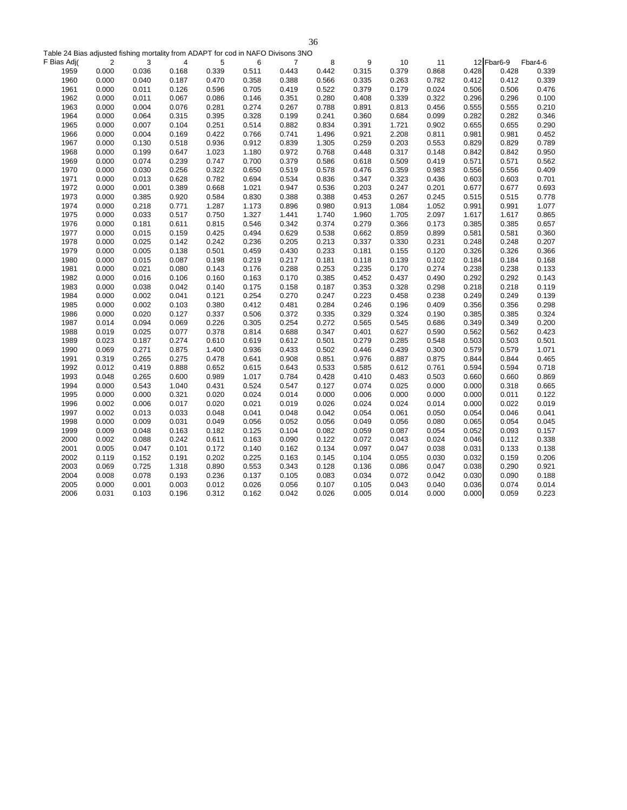Table 24 Bias adjusted fishing mortality from ADAPT for cod in NAFO Divisons 3NO

| F Bias Adj( | $\overline{2}$ | 3     | 4     | 5     | 6     | $\overline{7}$ | 8     | 9     | 10    | 11    |       | 12 Fbar6-9 | Fbar4-6 |
|-------------|----------------|-------|-------|-------|-------|----------------|-------|-------|-------|-------|-------|------------|---------|
| 1959        | 0.000          | 0.036 | 0.168 | 0.339 | 0.511 | 0.443          | 0.442 | 0.315 | 0.379 | 0.868 | 0.428 | 0.428      | 0.339   |
| 1960        | 0.000          | 0.040 | 0.187 | 0.470 | 0.358 | 0.388          | 0.566 | 0.335 | 0.263 | 0.782 | 0.412 | 0.412      | 0.339   |
| 1961        | 0.000          | 0.011 | 0.126 | 0.596 | 0.705 | 0.419          | 0.522 | 0.379 | 0.179 | 0.024 | 0.506 | 0.506      | 0.476   |
| 1962        | 0.000          | 0.011 | 0.067 | 0.086 | 0.146 | 0.351          | 0.280 | 0.408 | 0.339 | 0.322 | 0.296 | 0.296      | 0.100   |
| 1963        | 0.000          | 0.004 | 0.076 | 0.281 | 0.274 | 0.267          | 0.788 | 0.891 | 0.813 | 0.456 | 0.555 | 0.555      | 0.210   |
| 1964        | 0.000          | 0.064 | 0.315 | 0.395 | 0.328 | 0.199          | 0.241 | 0.360 | 0.684 | 0.099 | 0.282 | 0.282      | 0.346   |
| 1965        | 0.000          | 0.007 | 0.104 | 0.251 | 0.514 | 0.882          | 0.834 | 0.391 | 1.721 | 0.902 | 0.655 | 0.655      | 0.290   |
| 1966        | 0.000          | 0.004 | 0.169 | 0.422 | 0.766 | 0.741          | 1.496 | 0.921 | 2.208 | 0.811 | 0.981 | 0.981      | 0.452   |
| 1967        | 0.000          | 0.130 | 0.518 | 0.936 | 0.912 | 0.839          | 1.305 | 0.259 | 0.203 | 0.553 | 0.829 | 0.829      | 0.789   |
| 1968        | 0.000          | 0.199 | 0.647 | 1.023 | 1.180 | 0.972          | 0.768 | 0.448 | 0.317 | 0.148 | 0.842 | 0.842      | 0.950   |
| 1969        | 0.000          | 0.074 | 0.239 | 0.747 | 0.700 | 0.379          | 0.586 | 0.618 | 0.509 | 0.419 | 0.571 | 0.571      | 0.562   |
| 1970        | 0.000          | 0.030 | 0.256 | 0.322 | 0.650 | 0.519          | 0.578 | 0.476 | 0.359 | 0.983 | 0.556 | 0.556      | 0.409   |
| 1971        | 0.000          | 0.013 | 0.628 | 0.782 | 0.694 | 0.534          | 0.836 | 0.347 | 0.323 | 0.436 | 0.603 | 0.603      | 0.701   |
| 1972        | 0.000          | 0.001 | 0.389 | 0.668 | 1.021 | 0.947          | 0.536 | 0.203 | 0.247 | 0.201 | 0.677 | 0.677      | 0.693   |
| 1973        | 0.000          | 0.385 | 0.920 | 0.584 | 0.830 | 0.388          | 0.388 | 0.453 | 0.267 | 0.245 | 0.515 | 0.515      | 0.778   |
| 1974        | 0.000          | 0.218 | 0.771 | 1.287 | 1.173 | 0.896          | 0.980 | 0.913 | 1.084 | 1.052 | 0.991 | 0.991      | 1.077   |
| 1975        | 0.000          | 0.033 | 0.517 | 0.750 | 1.327 | 1.441          | 1.740 | 1.960 | 1.705 | 2.097 | 1.617 | 1.617      | 0.865   |
| 1976        | 0.000          | 0.181 | 0.611 | 0.815 | 0.546 | 0.342          | 0.374 | 0.279 | 0.366 | 0.173 | 0.385 | 0.385      | 0.657   |
| 1977        | 0.000          | 0.015 | 0.159 | 0.425 | 0.494 | 0.629          | 0.538 | 0.662 | 0.859 | 0.899 | 0.581 | 0.581      | 0.360   |
| 1978        | 0.000          | 0.025 | 0.142 | 0.242 | 0.236 | 0.205          | 0.213 | 0.337 | 0.330 | 0.231 | 0.248 | 0.248      | 0.207   |
| 1979        | 0.000          | 0.005 | 0.138 | 0.501 | 0.459 | 0.430          | 0.233 | 0.181 | 0.155 | 0.120 | 0.326 | 0.326      | 0.366   |
| 1980        | 0.000          | 0.015 | 0.087 | 0.198 | 0.219 | 0.217          | 0.181 | 0.118 | 0.139 | 0.102 | 0.184 | 0.184      | 0.168   |
| 1981        | 0.000          | 0.021 | 0.080 | 0.143 | 0.176 | 0.288          | 0.253 | 0.235 | 0.170 | 0.274 | 0.238 | 0.238      | 0.133   |
| 1982        | 0.000          | 0.016 | 0.106 | 0.160 | 0.163 | 0.170          | 0.385 | 0.452 | 0.437 | 0.490 | 0.292 | 0.292      | 0.143   |
| 1983        | 0.000          | 0.038 | 0.042 | 0.140 | 0.175 | 0.158          | 0.187 | 0.353 | 0.328 | 0.298 | 0.218 | 0.218      | 0.119   |
| 1984        | 0.000          | 0.002 | 0.041 | 0.121 | 0.254 | 0.270          | 0.247 | 0.223 | 0.458 | 0.238 | 0.249 | 0.249      | 0.139   |
| 1985        | 0.000          | 0.002 | 0.103 | 0.380 | 0.412 | 0.481          | 0.284 | 0.246 | 0.196 | 0.409 | 0.356 | 0.356      | 0.298   |
| 1986        | 0.000          | 0.020 | 0.127 | 0.337 | 0.506 | 0.372          | 0.335 | 0.329 | 0.324 | 0.190 | 0.385 | 0.385      | 0.324   |
| 1987        | 0.014          | 0.094 | 0.069 | 0.226 | 0.305 | 0.254          | 0.272 | 0.565 | 0.545 | 0.686 | 0.349 | 0.349      | 0.200   |
| 1988        | 0.019          | 0.025 | 0.077 | 0.378 | 0.814 | 0.688          | 0.347 | 0.401 | 0.627 | 0.590 | 0.562 | 0.562      | 0.423   |
| 1989        | 0.023          | 0.187 | 0.274 | 0.610 | 0.619 | 0.612          | 0.501 | 0.279 | 0.285 | 0.548 | 0.503 | 0.503      | 0.501   |
| 1990        | 0.069          | 0.271 | 0.875 | 1.400 | 0.936 | 0.433          | 0.502 | 0.446 | 0.439 | 0.300 | 0.579 | 0.579      | 1.071   |
| 1991        | 0.319          | 0.265 | 0.275 | 0.478 | 0.641 | 0.908          | 0.851 | 0.976 | 0.887 | 0.875 | 0.844 | 0.844      | 0.465   |
| 1992        | 0.012          | 0.419 | 0.888 | 0.652 | 0.615 | 0.643          | 0.533 | 0.585 | 0.612 | 0.761 | 0.594 | 0.594      | 0.718   |
| 1993        | 0.048          | 0.265 | 0.600 | 0.989 | 1.017 | 0.784          | 0.428 | 0.410 | 0.483 | 0.503 | 0.660 | 0.660      | 0.869   |
| 1994        | 0.000          | 0.543 | 1.040 | 0.431 | 0.524 | 0.547          | 0.127 | 0.074 | 0.025 | 0.000 | 0.000 | 0.318      | 0.665   |
| 1995        | 0.000          | 0.000 | 0.321 | 0.020 | 0.024 | 0.014          | 0.000 | 0.006 | 0.000 | 0.000 | 0.000 | 0.011      | 0.122   |
| 1996        | 0.002          | 0.006 | 0.017 | 0.020 | 0.021 | 0.019          | 0.026 | 0.024 | 0.024 | 0.014 | 0.000 | 0.022      | 0.019   |
| 1997        | 0.002          | 0.013 | 0.033 | 0.048 | 0.041 | 0.048          | 0.042 | 0.054 | 0.061 | 0.050 | 0.054 | 0.046      | 0.041   |
| 1998        | 0.000          | 0.009 | 0.031 | 0.049 | 0.056 | 0.052          | 0.056 | 0.049 | 0.056 | 0.080 | 0.065 | 0.054      | 0.045   |
| 1999        | 0.009          | 0.048 | 0.163 | 0.182 | 0.125 | 0.104          | 0.082 | 0.059 | 0.087 | 0.054 | 0.052 | 0.093      | 0.157   |
| 2000        | 0.002          | 0.088 | 0.242 | 0.611 | 0.163 | 0.090          | 0.122 | 0.072 | 0.043 | 0.024 | 0.046 | 0.112      | 0.338   |
| 2001        | 0.005          | 0.047 | 0.101 | 0.172 | 0.140 | 0.162          | 0.134 | 0.097 | 0.047 | 0.038 | 0.031 | 0.133      | 0.138   |
| 2002        | 0.119          | 0.152 | 0.191 | 0.202 | 0.225 | 0.163          | 0.145 | 0.104 | 0.055 | 0.030 | 0.032 | 0.159      | 0.206   |
| 2003        | 0.069          | 0.725 | 1.318 | 0.890 | 0.553 | 0.343          | 0.128 | 0.136 | 0.086 | 0.047 | 0.038 | 0.290      | 0.921   |
| 2004        | 0.008          | 0.078 | 0.193 | 0.236 | 0.137 | 0.105          | 0.083 | 0.034 | 0.072 | 0.042 | 0.030 | 0.090      | 0.188   |
| 2005        | 0.000          | 0.001 | 0.003 | 0.012 | 0.026 | 0.056          | 0.107 | 0.105 | 0.043 | 0.040 | 0.036 | 0.074      | 0.014   |
| 2006        | 0.031          | 0.103 | 0.196 | 0.312 | 0.162 | 0.042          | 0.026 | 0.005 | 0.014 | 0.000 | 0.000 | 0.059      | 0.223   |
|             |                |       |       |       |       |                |       |       |       |       |       |            |         |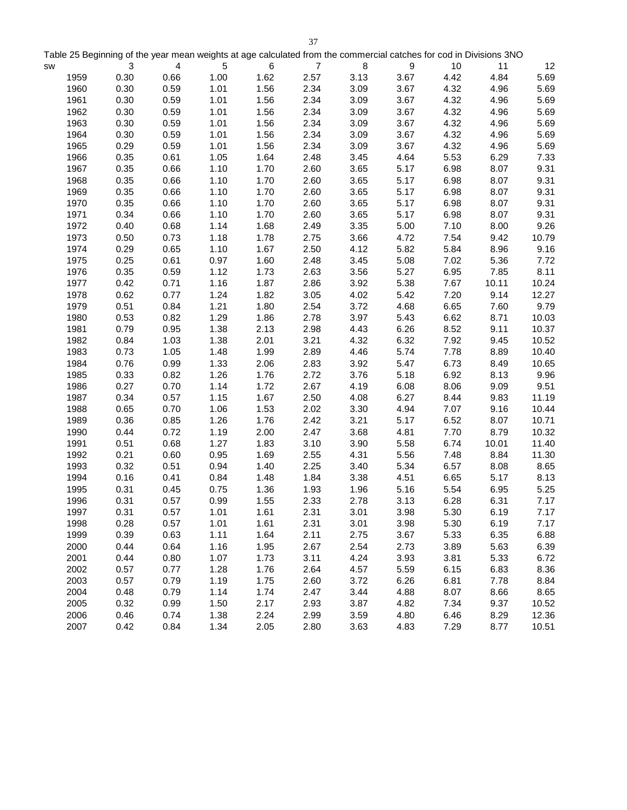|           |      |                                                                                                                    |      |      |       | 37             |      |      |      |       |       |
|-----------|------|--------------------------------------------------------------------------------------------------------------------|------|------|-------|----------------|------|------|------|-------|-------|
|           |      | Table 25 Beginning of the year mean weights at age calculated from the commercial catches for cod in Divisions 3NO |      |      |       |                |      |      |      |       |       |
| <b>SW</b> |      | 3                                                                                                                  | 4    | 5    | $\,6$ | $\overline{7}$ | 8    | 9    | 10   | 11    | 12    |
|           | 1959 | 0.30                                                                                                               | 0.66 | 1.00 | 1.62  | 2.57           | 3.13 | 3.67 | 4.42 | 4.84  | 5.69  |
|           | 1960 | 0.30                                                                                                               | 0.59 | 1.01 | 1.56  | 2.34           | 3.09 | 3.67 | 4.32 | 4.96  | 5.69  |
|           | 1961 | 0.30                                                                                                               | 0.59 | 1.01 | 1.56  | 2.34           | 3.09 | 3.67 | 4.32 | 4.96  | 5.69  |
|           | 1962 | 0.30                                                                                                               | 0.59 | 1.01 | 1.56  | 2.34           | 3.09 | 3.67 | 4.32 | 4.96  | 5.69  |
|           | 1963 | 0.30                                                                                                               | 0.59 | 1.01 | 1.56  | 2.34           | 3.09 | 3.67 | 4.32 | 4.96  | 5.69  |
|           | 1964 | 0.30                                                                                                               | 0.59 | 1.01 | 1.56  | 2.34           | 3.09 | 3.67 | 4.32 | 4.96  | 5.69  |
|           | 1965 | 0.29                                                                                                               | 0.59 | 1.01 | 1.56  | 2.34           | 3.09 | 3.67 | 4.32 | 4.96  | 5.69  |
|           | 1966 | 0.35                                                                                                               | 0.61 | 1.05 | 1.64  | 2.48           | 3.45 | 4.64 | 5.53 | 6.29  | 7.33  |
|           | 1967 | 0.35                                                                                                               | 0.66 | 1.10 | 1.70  | 2.60           | 3.65 | 5.17 | 6.98 | 8.07  | 9.31  |
|           | 1968 | 0.35                                                                                                               | 0.66 | 1.10 | 1.70  | 2.60           | 3.65 | 5.17 | 6.98 | 8.07  | 9.31  |
|           | 1969 | 0.35                                                                                                               | 0.66 | 1.10 | 1.70  | 2.60           | 3.65 | 5.17 | 6.98 | 8.07  | 9.31  |
|           | 1970 | 0.35                                                                                                               | 0.66 | 1.10 | 1.70  | 2.60           | 3.65 | 5.17 | 6.98 | 8.07  | 9.31  |
|           | 1971 | 0.34                                                                                                               | 0.66 | 1.10 | 1.70  | 2.60           | 3.65 | 5.17 | 6.98 | 8.07  | 9.31  |
|           | 1972 | 0.40                                                                                                               | 0.68 | 1.14 | 1.68  | 2.49           | 3.35 | 5.00 | 7.10 | 8.00  | 9.26  |
|           | 1973 | 0.50                                                                                                               | 0.73 | 1.18 | 1.78  | 2.75           | 3.66 | 4.72 | 7.54 | 9.42  | 10.79 |
|           | 1974 | 0.29                                                                                                               | 0.65 | 1.10 | 1.67  | 2.50           | 4.12 | 5.82 | 5.84 | 8.96  | 9.16  |
|           | 1975 | 0.25                                                                                                               | 0.61 | 0.97 | 1.60  | 2.48           | 3.45 | 5.08 | 7.02 | 5.36  | 7.72  |
|           | 1976 | 0.35                                                                                                               | 0.59 | 1.12 | 1.73  | 2.63           | 3.56 | 5.27 | 6.95 | 7.85  | 8.11  |
|           | 1977 | 0.42                                                                                                               | 0.71 | 1.16 | 1.87  | 2.86           | 3.92 | 5.38 | 7.67 | 10.11 | 10.24 |
|           | 1978 | 0.62                                                                                                               | 0.77 | 1.24 | 1.82  | 3.05           | 4.02 | 5.42 | 7.20 | 9.14  | 12.27 |
|           | 1979 | 0.51                                                                                                               | 0.84 | 1.21 | 1.80  | 2.54           | 3.72 | 4.68 | 6.65 | 7.60  | 9.79  |
|           | 1980 | 0.53                                                                                                               | 0.82 | 1.29 | 1.86  | 2.78           | 3.97 | 5.43 | 6.62 | 8.71  | 10.03 |
|           | 1981 | 0.79                                                                                                               | 0.95 | 1.38 | 2.13  | 2.98           | 4.43 | 6.26 | 8.52 | 9.11  | 10.37 |
|           | 1982 | 0.84                                                                                                               | 1.03 | 1.38 | 2.01  | 3.21           | 4.32 | 6.32 | 7.92 | 9.45  | 10.52 |
|           | 1983 | 0.73                                                                                                               | 1.05 | 1.48 | 1.99  | 2.89           | 4.46 | 5.74 | 7.78 | 8.89  | 10.40 |
|           | 1984 | 0.76                                                                                                               | 0.99 | 1.33 | 2.06  | 2.83           | 3.92 | 5.47 | 6.73 | 8.49  | 10.65 |
|           | 1985 | 0.33                                                                                                               | 0.82 | 1.26 | 1.76  | 2.72           | 3.76 | 5.18 | 6.92 | 8.13  | 9.96  |
|           | 1986 | 0.27                                                                                                               | 0.70 | 1.14 | 1.72  | 2.67           | 4.19 | 6.08 | 8.06 | 9.09  | 9.51  |
|           | 1987 | 0.34                                                                                                               | 0.57 | 1.15 | 1.67  | 2.50           | 4.08 | 6.27 | 8.44 | 9.83  | 11.19 |
|           | 1988 | 0.65                                                                                                               | 0.70 | 1.06 | 1.53  | 2.02           | 3.30 | 4.94 | 7.07 | 9.16  | 10.44 |
|           | 1989 | 0.36                                                                                                               | 0.85 | 1.26 | 1.76  | 2.42           | 3.21 | 5.17 | 6.52 | 8.07  | 10.71 |
|           | 1990 | 0.44                                                                                                               | 0.72 | 1.19 | 2.00  | 2.47           | 3.68 | 4.81 | 7.70 | 8.79  | 10.32 |
|           | 1991 | 0.51                                                                                                               | 0.68 | 1.27 | 1.83  | 3.10           | 3.90 | 5.58 | 6.74 | 10.01 | 11.40 |
|           | 1992 | 0.21                                                                                                               | 0.60 | 0.95 | 1.69  | 2.55           | 4.31 | 5.56 | 7.48 | 8.84  | 11.30 |
|           | 1993 | 0.32                                                                                                               | 0.51 | 0.94 | 1.40  | 2.25           | 3.40 | 5.34 | 6.57 | 8.08  | 8.65  |
|           | 1994 | 0.16                                                                                                               | 0.41 | 0.84 | 1.48  | 1.84           | 3.38 | 4.51 | 6.65 | 5.17  | 8.13  |
|           | 1995 | 0.31                                                                                                               | 0.45 | 0.75 | 1.36  | 1.93           | 1.96 | 5.16 | 5.54 | 6.95  | 5.25  |
|           | 1996 | 0.31                                                                                                               | 0.57 | 0.99 | 1.55  | 2.33           | 2.78 | 3.13 | 6.28 | 6.31  | 7.17  |
|           | 1997 | 0.31                                                                                                               | 0.57 | 1.01 | 1.61  | 2.31           | 3.01 | 3.98 | 5.30 | 6.19  | 7.17  |
|           | 1998 | 0.28                                                                                                               | 0.57 | 1.01 | 1.61  | 2.31           | 3.01 | 3.98 | 5.30 | 6.19  | 7.17  |
|           | 1999 | 0.39                                                                                                               | 0.63 | 1.11 | 1.64  | 2.11           | 2.75 | 3.67 | 5.33 | 6.35  | 6.88  |
|           | 2000 | 0.44                                                                                                               | 0.64 | 1.16 | 1.95  | 2.67           | 2.54 | 2.73 | 3.89 | 5.63  | 6.39  |
|           | 2001 | 0.44                                                                                                               | 0.80 | 1.07 | 1.73  | 3.11           | 4.24 | 3.93 | 3.81 | 5.33  | 6.72  |
|           | 2002 | 0.57                                                                                                               | 0.77 | 1.28 | 1.76  | 2.64           | 4.57 | 5.59 | 6.15 | 6.83  | 8.36  |
|           | 2003 | 0.57                                                                                                               | 0.79 | 1.19 | 1.75  | 2.60           | 3.72 | 6.26 | 6.81 | 7.78  | 8.84  |

2004 0.48 0.79 1.14 1.74 2.47 3.44 4.88 8.07 8.66 8.65 2005 0.32 0.99 1.50 2.17 2.93 3.87 4.82 7.34 9.37 10.52 2006 0.46 0.74 1.38 2.24 2.99 3.59 4.80 6.46 8.29 12.36 2007 0.42 0.84 1.34 2.05 2.80 3.63 4.83 7.29 8.77 10.51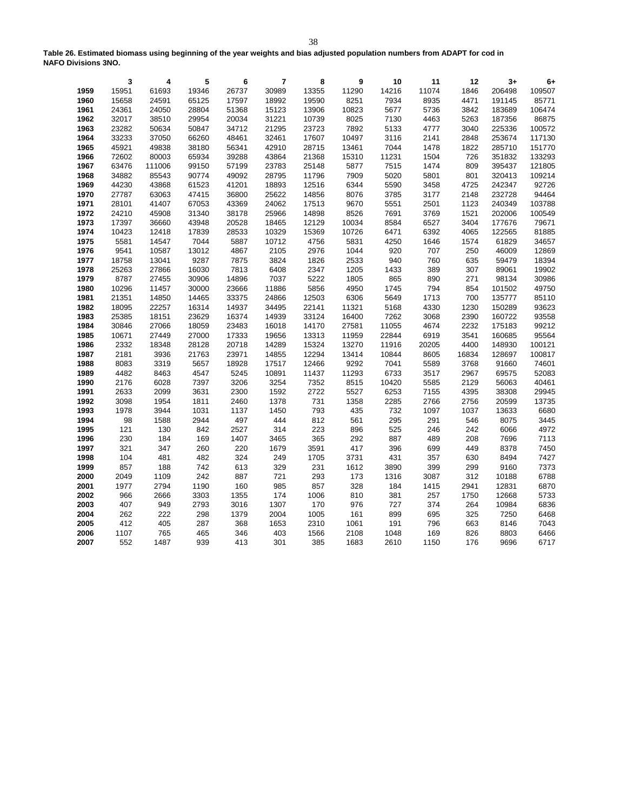**Table 26. Estimated biomass using beginning of the year weights and bias adjusted population numbers from ADAPT for cod in NAFO Divisions 3NO.**

|              | 3           | 4          | 5          | 6          | 7           | 8            | 9            | 10          | 11         | 12         | $3+$         | $6+$         |
|--------------|-------------|------------|------------|------------|-------------|--------------|--------------|-------------|------------|------------|--------------|--------------|
| 1959         | 15951       | 61693      | 19346      | 26737      | 30989       | 13355        | 11290        | 14216       | 11074      | 1846       | 206498       | 109507       |
| 1960         | 15658       | 24591      | 65125      | 17597      | 18992       | 19590        | 8251         | 7934        | 8935       | 4471       | 191145       | 85771        |
| 1961         | 24361       | 24050      | 28804      | 51368      | 15123       | 13906        | 10823        | 5677        | 5736       | 3842       | 183689       | 106474       |
| 1962         | 32017       | 38510      | 29954      | 20034      | 31221       | 10739        | 8025         | 7130        | 4463       | 5263       | 187356       | 86875        |
| 1963         | 23282       | 50634      | 50847      | 34712      | 21295       | 23723        | 7892         | 5133        | 4777       | 3040       | 225336       | 100572       |
| 1964         | 33233       | 37050      | 66260      | 48461      | 32461       | 17607        | 10497        | 3116        | 2141       | 2848       | 253674       | 117130       |
| 1965         | 45921       | 49838      | 38180      | 56341      | 42910       | 28715        | 13461        | 7044        | 1478       | 1822       | 285710       | 151770       |
| 1966         | 72602       | 80003      | 65934      | 39288      | 43864       | 21368        | 15310        | 11231       | 1504       | 726        | 351832       | 133293       |
| 1967         | 63476       | 111006     | 99150      | 57199      | 23783       | 25148        | 5877         | 7515        | 1474       | 809        | 395437       | 121805       |
| 1968         | 34882       | 85543      | 90774      | 49092      | 28795       | 11796        | 7909         | 5020        | 5801       | 801        | 320413       | 109214       |
| 1969         | 44230       | 43868      | 61523      | 41201      | 18893       | 12516        | 6344         | 5590        | 3458       | 4725       | 242347       | 92726        |
| 1970         | 27787       | 63063      | 47415      | 36800      | 25622       | 14856        | 8076         | 3785        | 3177       | 2148       | 232728       | 94464        |
| 1971         | 28101       | 41407      | 67053      | 43369      | 24062       | 17513        | 9670         | 5551        | 2501       | 1123       | 240349       | 103788       |
| 1972         | 24210       | 45908      | 31340      | 38178      | 25966       | 14898        | 8526         | 7691        | 3769       | 1521       | 202006       | 100549       |
| 1973         | 17397       | 36660      | 43948      | 20528      | 18465       | 12129        | 10034        | 8584        | 6527       | 3404       | 177676       | 79671        |
| 1974         | 10423       | 12418      | 17839      | 28533      | 10329       | 15369        | 10726        | 6471        | 6392       | 4065       | 122565       | 81885        |
| 1975         | 5581        | 14547      | 7044       | 5887       | 10712       | 4756         | 5831         | 4250        | 1646       | 1574       | 61829        | 34657        |
| 1976         | 9541        | 10587      | 13012      | 4867       | 2105        | 2976         | 1044         | 920         | 707        | 250        | 46009        | 12869        |
| 1977         | 18758       | 13041      | 9287       | 7875       | 3824        | 1826         | 2533         | 940         | 760        | 635        | 59479        | 18394        |
| 1978         | 25263       | 27866      | 16030      | 7813       | 6408        | 2347         | 1205         | 1433        | 389        | 307        | 89061        | 19902        |
| 1979         | 8787        | 27455      | 30906      | 14896      | 7037        | 5222         | 1805         | 865         | 890        | 271        | 98134        | 30986        |
| 1980         | 10296       | 11457      | 30000      | 23666      | 11886       | 5856         | 4950         | 1745        | 794        | 854        | 101502       | 49750        |
| 1981         | 21351       | 14850      | 14465      | 33375      | 24866       | 12503        | 6306         | 5649        | 1713       | 700        | 135777       | 85110        |
| 1982         | 18095       | 22257      | 16314      | 14937      | 34495       | 22141        | 11321        | 5168        | 4330       | 1230       | 150289       | 93623        |
| 1983         | 25385       | 18151      | 23629      | 16374      | 14939       | 33124        | 16400        | 7262        | 3068       | 2390       | 160722       | 93558        |
| 1984         | 30846       | 27066      | 18059      | 23483      | 16018       | 14170        | 27581        | 11055       | 4674       | 2232       | 175183       | 99212        |
| 1985         | 10671       | 27449      | 27000      | 17333      | 19656       | 13313        | 11959        | 22844       | 6919       | 3541       | 160685       | 95564        |
| 1986         | 2332        | 18348      | 28128      | 20718      | 14289       | 15324        | 13270        | 11916       | 20205      | 4400       | 148930       | 100121       |
| 1987         | 2181        | 3936       | 21763      | 23971      | 14855       | 12294        | 13414        | 10844       | 8605       | 16834      | 128697       | 100817       |
| 1988         | 8083        | 3319       | 5657       | 18928      | 17517       | 12466        | 9292         | 7041        | 5589       | 3768       | 91660        | 74601        |
| 1989         | 4482        | 8463       | 4547       | 5245       | 10891       | 11437        | 11293        | 6733        | 3517       | 2967       | 69575        | 52083        |
| 1990         | 2176        | 6028       | 7397       | 3206       | 3254        | 7352         | 8515         | 10420       | 5585       | 2129       | 56063        | 40461        |
| 1991         | 2633        | 2099       | 3631       | 2300       | 1592        | 2722         | 5527         | 6253        | 7155       | 4395       | 38308        | 29945        |
| 1992         | 3098        | 1954       | 1811       | 2460       | 1378        | 731          | 1358         | 2285        | 2766       | 2756       | 20599        | 13735        |
| 1993         | 1978        | 3944       | 1031       | 1137       | 1450        | 793          | 435          | 732         | 1097       | 1037       | 13633        | 6680         |
| 1994         | 98          | 1588       | 2944       | 497        | 444         | 812          | 561          | 295         | 291        | 546        | 8075         | 3445         |
| 1995         | 121         | 130        | 842        | 2527       | 314         | 223          | 896          | 525         | 246        | 242        | 6066         | 4972         |
| 1996         | 230         | 184        | 169        | 1407       | 3465        | 365          | 292          | 887         | 489        | 208        | 7696         | 7113         |
| 1997         | 321         | 347        | 260        | 220        | 1679        | 3591         | 417          | 396         | 699        | 449        | 8378         | 7450         |
| 1998<br>1999 | 104<br>857  | 481<br>188 | 482<br>742 | 324<br>613 | 249<br>329  | 1705<br>231  | 3731<br>1612 | 431<br>3890 | 357<br>399 | 630<br>299 | 8494<br>9160 | 7427<br>7373 |
| 2000         | 2049        | 1109       | 242        | 887        | 721         | 293          | 173          | 1316        | 3087       | 312        | 10188        | 6788         |
| 2001         |             |            |            |            |             |              | 328          | 184         | 1415       | 2941       | 12831        | 6870         |
| 2002         |             |            |            |            |             |              |              |             |            |            |              |              |
| 2003         | 1977        | 2794       | 1190       | 160        | 985         | 857          |              |             |            |            |              |              |
|              | 966         | 2666       | 3303       | 1355       | 174         | 1006         | 810          | 381         | 257        | 1750       | 12668        | 5733         |
|              | 407         | 949        | 2793       | 3016       | 1307        | 170          | 976          | 727         | 374        | 264        | 10984        | 6836         |
| 2004         | 262         | 222        | 298        | 1379       | 2004        | 1005         | 161          | 899         | 695        | 325        | 7250         | 6468         |
| 2005<br>2006 | 412<br>1107 | 405<br>765 | 287<br>465 | 368<br>346 | 1653<br>403 | 2310<br>1566 | 1061<br>2108 | 191<br>1048 | 796<br>169 | 663<br>826 | 8146<br>8803 | 7043<br>6466 |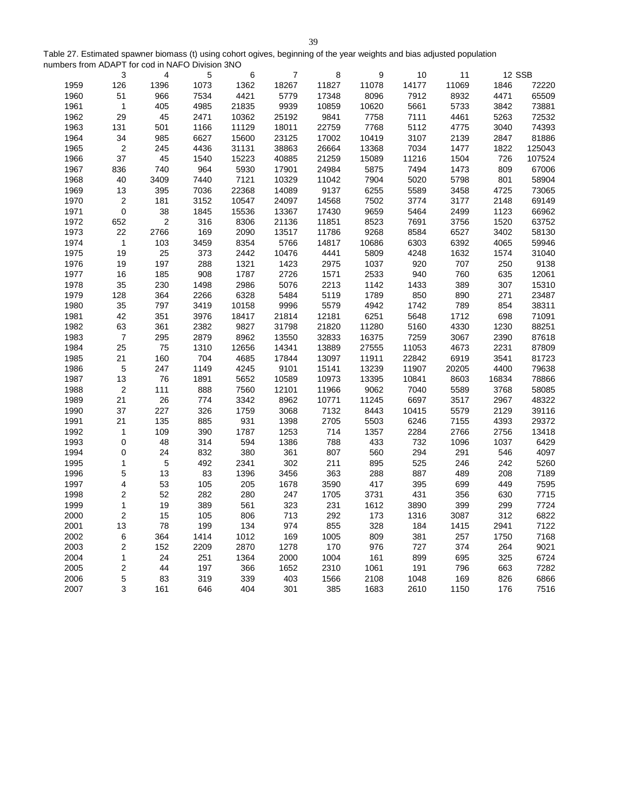Table 27. Estimated spawner biomass (t) using cohort ogives, beginning of the year weights and bias adjusted population numbers from ADAPT for cod in NAFO Division 3NO

|      | 3              | 4              | 5    | 6     | $\overline{7}$ | 8     | 9     | 10    | 11    | 12 SSB |        |
|------|----------------|----------------|------|-------|----------------|-------|-------|-------|-------|--------|--------|
| 1959 | 126            | 1396           | 1073 | 1362  | 18267          | 11827 | 11078 | 14177 | 11069 | 1846   | 72220  |
| 1960 | 51             | 966            | 7534 | 4421  | 5779           | 17348 | 8096  | 7912  | 8932  | 4471   | 65509  |
| 1961 | $\mathbf{1}$   | 405            | 4985 | 21835 | 9939           | 10859 | 10620 | 5661  | 5733  | 3842   | 73881  |
| 1962 | 29             | 45             | 2471 | 10362 | 25192          | 9841  | 7758  | 7111  | 4461  | 5263   | 72532  |
| 1963 | 131            | 501            | 1166 | 11129 | 18011          | 22759 | 7768  | 5112  | 4775  | 3040   | 74393  |
| 1964 | 34             | 985            | 6627 | 15600 | 23125          | 17002 | 10419 | 3107  | 2139  | 2847   | 81886  |
| 1965 | $\overline{c}$ | 245            | 4436 | 31131 | 38863          | 26664 | 13368 | 7034  | 1477  | 1822   | 125043 |
| 1966 | 37             | 45             | 1540 | 15223 | 40885          | 21259 | 15089 | 11216 | 1504  | 726    | 107524 |
| 1967 | 836            | 740            | 964  | 5930  | 17901          | 24984 | 5875  | 7494  | 1473  | 809    | 67006  |
| 1968 | 40             | 3409           | 7440 | 7121  | 10329          | 11042 | 7904  | 5020  | 5798  | 801    | 58904  |
| 1969 | 13             | 395            | 7036 | 22368 | 14089          | 9137  | 6255  | 5589  | 3458  | 4725   | 73065  |
| 1970 | $\overline{c}$ | 181            | 3152 | 10547 | 24097          | 14568 | 7502  | 3774  | 3177  | 2148   | 69149  |
| 1971 | $\pmb{0}$      | 38             | 1845 | 15536 | 13367          | 17430 | 9659  | 5464  | 2499  | 1123   | 66962  |
| 1972 | 652            | $\overline{2}$ | 316  | 8306  | 21136          | 11851 | 8523  | 7691  | 3756  | 1520   | 63752  |
| 1973 | 22             | 2766           | 169  | 2090  | 13517          | 11786 | 9268  | 8584  | 6527  | 3402   | 58130  |
| 1974 | $\mathbf{1}$   | 103            | 3459 | 8354  | 5766           | 14817 | 10686 | 6303  | 6392  | 4065   | 59946  |
| 1975 | 19             | 25             | 373  | 2442  | 10476          | 4441  | 5809  | 4248  | 1632  | 1574   | 31040  |
| 1976 | 19             | 197            | 288  | 1321  | 1423           | 2975  | 1037  | 920   | 707   | 250    | 9138   |
| 1977 | 16             | 185            | 908  | 1787  | 2726           | 1571  | 2533  | 940   | 760   | 635    | 12061  |
| 1978 | 35             | 230            | 1498 | 2986  | 5076           | 2213  | 1142  | 1433  | 389   | 307    | 15310  |
| 1979 | 128            | 364            | 2266 | 6328  | 5484           | 5119  | 1789  | 850   | 890   | 271    | 23487  |
| 1980 | 35             | 797            | 3419 | 10158 | 9996           | 5579  | 4942  | 1742  | 789   | 854    | 38311  |
| 1981 | 42             | 351            | 3976 | 18417 | 21814          | 12181 | 6251  | 5648  | 1712  | 698    | 71091  |
| 1982 | 63             | 361            | 2382 | 9827  | 31798          | 21820 | 11280 | 5160  | 4330  | 1230   | 88251  |
| 1983 | $\overline{7}$ | 295            | 2879 | 8962  | 13550          | 32833 | 16375 | 7259  | 3067  | 2390   | 87618  |
| 1984 | 25             | 75             | 1310 | 12656 | 14341          | 13889 | 27555 | 11053 | 4673  | 2231   | 87809  |
| 1985 | 21             | 160            | 704  | 4685  | 17844          | 13097 | 11911 | 22842 | 6919  | 3541   | 81723  |
| 1986 | 5              | 247            | 1149 | 4245  | 9101           | 15141 | 13239 | 11907 | 20205 | 4400   | 79638  |
| 1987 | 13             | 76             | 1891 | 5652  | 10589          | 10973 | 13395 | 10841 | 8603  | 16834  | 78866  |
| 1988 | $\overline{2}$ | 111            | 888  | 7560  | 12101          | 11966 | 9062  | 7040  | 5589  | 3768   | 58085  |
| 1989 | 21             | 26             | 774  | 3342  | 8962           | 10771 | 11245 | 6697  | 3517  | 2967   | 48322  |
| 1990 | 37             | 227            | 326  | 1759  | 3068           | 7132  | 8443  | 10415 | 5579  | 2129   | 39116  |
| 1991 | 21             | 135            | 885  | 931   | 1398           | 2705  | 5503  | 6246  | 7155  | 4393   | 29372  |
| 1992 | $\mathbf{1}$   | 109            | 390  | 1787  | 1253           | 714   | 1357  | 2284  | 2766  | 2756   | 13418  |
| 1993 | $\mathbf 0$    | 48             | 314  | 594   | 1386           | 788   | 433   | 732   | 1096  | 1037   | 6429   |
| 1994 | 0              | 24             | 832  | 380   | 361            | 807   | 560   | 294   | 291   | 546    | 4097   |
| 1995 | $\mathbf{1}$   | 5              | 492  | 2341  | 302            | 211   | 895   | 525   | 246   | 242    | 5260   |
| 1996 | 5              | 13             | 83   | 1396  | 3456           | 363   | 288   | 887   | 489   | 208    | 7189   |
| 1997 | 4              | 53             | 105  | 205   | 1678           | 3590  | 417   | 395   | 699   | 449    | 7595   |
| 1998 | $\overline{c}$ | 52             | 282  | 280   | 247            | 1705  | 3731  | 431   | 356   | 630    | 7715   |
| 1999 | $\mathbf{1}$   | 19             | 389  | 561   | 323            | 231   | 1612  | 3890  | 399   | 299    | 7724   |
| 2000 | 2              | 15             | 105  | 806   | 713            | 292   | 173   | 1316  | 3087  | 312    | 6822   |
| 2001 | 13             | 78             | 199  | 134   | 974            | 855   | 328   | 184   | 1415  | 2941   | 7122   |
| 2002 | 6              | 364            | 1414 | 1012  | 169            | 1005  | 809   | 381   | 257   | 1750   | 7168   |
| 2003 | $\overline{c}$ | 152            | 2209 | 2870  | 1278           | 170   | 976   | 727   | 374   | 264    | 9021   |
| 2004 | $\mathbf{1}$   | 24             | 251  | 1364  | 2000           | 1004  | 161   | 899   | 695   | 325    | 6724   |
| 2005 | $\overline{c}$ | 44             | 197  | 366   | 1652           | 2310  | 1061  | 191   | 796   | 663    | 7282   |
| 2006 | 5              | 83             | 319  | 339   | 403            | 1566  | 2108  | 1048  | 169   | 826    | 6866   |
| 2007 | 3              | 161            | 646  | 404   | 301            | 385   | 1683  | 2610  | 1150  | 176    | 7516   |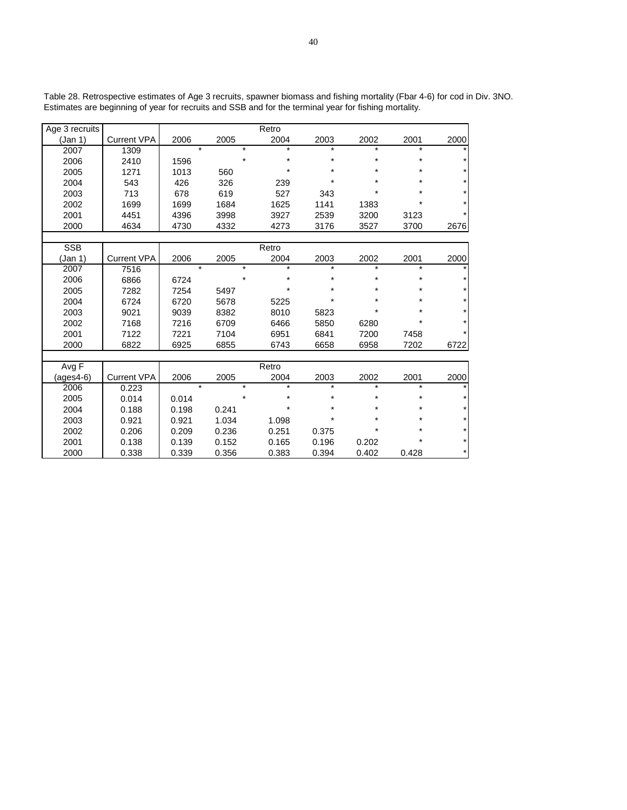| Age 3 recruits |                    |         |         | Retro   |         |         |         |         |
|----------------|--------------------|---------|---------|---------|---------|---------|---------|---------|
| (Jan 1)        | <b>Current VPA</b> | 2006    | 2005    | 2004    | 2003    | 2002    | 2001    | 2000    |
| 2007           | 1309               | $\star$ | $\star$ | $\star$ | $\star$ | $\star$ | $\star$ | $\star$ |
| 2006           | 2410               | 1596    | $\star$ | $\star$ | $\star$ | $\star$ | $\star$ | $\star$ |
| 2005           | 1271               | 1013    | 560     | $\star$ | $\star$ |         | $\star$ |         |
| 2004           | 543                | 426     | 326     | 239     | $\star$ | $\star$ |         |         |
| 2003           | 713                | 678     | 619     | 527     | 343     |         |         |         |
| 2002           | 1699               | 1699    | 1684    | 1625    | 1141    | 1383    |         |         |
| 2001           | 4451               | 4396    | 3998    | 3927    | 2539    | 3200    | 3123    | $\star$ |
| 2000           | 4634               | 4730    | 4332    | 4273    | 3176    | 3527    | 3700    | 2676    |
|                |                    |         |         |         |         |         |         |         |
| <b>SSB</b>     |                    |         |         | Retro   |         |         |         |         |
| (Jan 1)        | <b>Current VPA</b> | 2006    | 2005    | 2004    | 2003    | 2002    | 2001    | 2000    |
| 2007           | 7516               | $\star$ | $\star$ | $\star$ | $\star$ | $\star$ | $\star$ | $\star$ |
| 2006           | 6866               | 6724    | $\star$ | $\star$ | $\star$ | $\star$ | $\star$ | $\star$ |
| 2005           | 7282               | 7254    | 5497    | $\star$ | $\star$ | $\star$ | $\star$ |         |
| 2004           | 6724               | 6720    | 5678    | 5225    | $\star$ | ÷       | $\star$ |         |
| 2003           | 9021               | 9039    | 8382    | 8010    | 5823    |         |         |         |
| 2002           | 7168               | 7216    | 6709    | 6466    | 5850    | 6280    | $\star$ |         |
| 2001           | 7122               | 7221    | 7104    | 6951    | 6841    | 7200    | 7458    | $\star$ |
| 2000           | 6822               | 6925    | 6855    | 6743    | 6658    | 6958    | 7202    | 6722    |
|                |                    |         |         |         |         |         |         |         |
| Avg F          |                    |         |         | Retro   |         |         |         |         |
| $(ages4-6)$    | <b>Current VPA</b> | 2006    | 2005    | 2004    | 2003    | 2002    | 2001    | 2000    |
| 2006           | 0.223              | $\star$ | $\star$ | $\star$ | $\star$ | $\star$ | $\star$ |         |
| 2005           | 0.014              | 0.014   | $\star$ | $\star$ | $\star$ | *       | $\star$ |         |
| 2004           | 0.188              | 0.198   | 0.241   | $\star$ | $\star$ | $\star$ | $\star$ |         |
| 2003           | 0.921              | 0.921   | 1.034   | 1.098   | $\star$ |         |         |         |
| 2002           | 0.206              | 0.209   | 0.236   | 0.251   | 0.375   | *       | ÷       |         |
| 2001           | 0.138              | 0.139   | 0.152   | 0.165   | 0.196   | 0.202   | $\star$ | $\star$ |
| 2000           | 0.338              | 0.339   | 0.356   | 0.383   | 0.394   | 0.402   | 0.428   | $\star$ |

Table 28. Retrospective estimates of Age 3 recruits, spawner biomass and fishing mortality (Fbar 4-6) for cod in Div. 3NO. Estimates are beginning of year for recruits and SSB and for the terminal year for fishing mortality.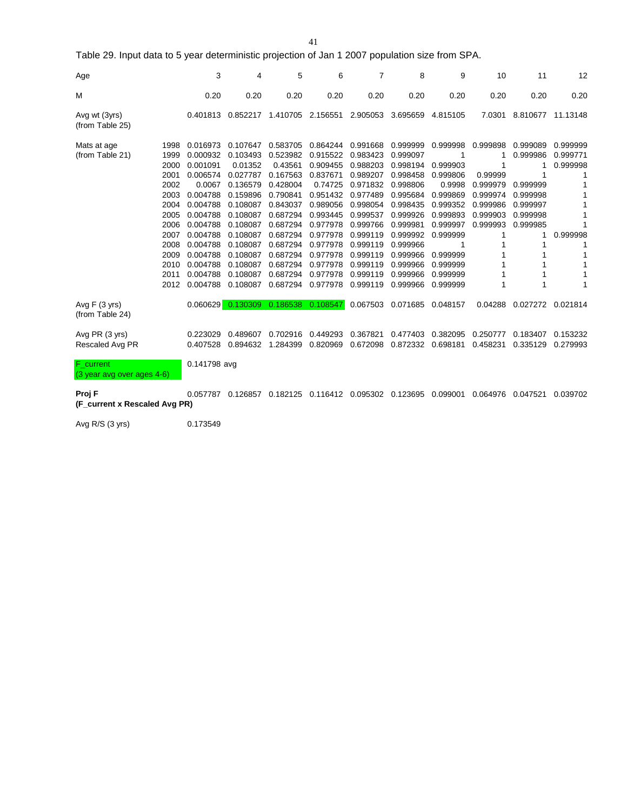41

Table 29. Input data to 5 year deterministic projection of Jan 1 2007 population size from SPA.

| Age                                     |                                                                                                                      | 3                                                                                                                                                                              | 4                                                                                                                                                                               | 5                                                                                                                                                                               | 6                                                                                                                                                                               | $\overline{7}$                                                                                                                                                                   | 8                                                                                                                                                                                | 9                                                                                                                                                           | 10                                                                                   | 11                                                                                         | 12                                           |
|-----------------------------------------|----------------------------------------------------------------------------------------------------------------------|--------------------------------------------------------------------------------------------------------------------------------------------------------------------------------|---------------------------------------------------------------------------------------------------------------------------------------------------------------------------------|---------------------------------------------------------------------------------------------------------------------------------------------------------------------------------|---------------------------------------------------------------------------------------------------------------------------------------------------------------------------------|----------------------------------------------------------------------------------------------------------------------------------------------------------------------------------|----------------------------------------------------------------------------------------------------------------------------------------------------------------------------------|-------------------------------------------------------------------------------------------------------------------------------------------------------------|--------------------------------------------------------------------------------------|--------------------------------------------------------------------------------------------|----------------------------------------------|
| M                                       |                                                                                                                      | 0.20                                                                                                                                                                           | 0.20                                                                                                                                                                            | 0.20                                                                                                                                                                            | 0.20                                                                                                                                                                            | 0.20                                                                                                                                                                             | 0.20                                                                                                                                                                             | 0.20                                                                                                                                                        | 0.20                                                                                 | 0.20                                                                                       | 0.20                                         |
| Avg wt (3yrs)<br>(from Table 25)        |                                                                                                                      | 0.401813                                                                                                                                                                       | 0.852217                                                                                                                                                                        | 1.410705                                                                                                                                                                        | 2.156551                                                                                                                                                                        | 2.905053                                                                                                                                                                         | 3.695659                                                                                                                                                                         | 4.815105                                                                                                                                                    | 7.0301                                                                               | 8.810677                                                                                   | 11.13148                                     |
| Mats at age<br>(from Table 21)          | 1998<br>1999<br>2000<br>2001<br>2002<br>2003<br>2004<br>2005<br>2006<br>2007<br>2008<br>2009<br>2010<br>2011<br>2012 | 0.016973<br>0.000932<br>0.001091<br>0.006574<br>0.0067<br>0.004788<br>0.004788<br>0.004788<br>0.004788<br>0.004788<br>0.004788<br>0.004788<br>0.004788<br>0.004788<br>0.004788 | 0.107647<br>0.103493<br>0.01352<br>0.027787<br>0.136579<br>0.159896<br>0.108087<br>0.108087<br>0.108087<br>0.108087<br>0.108087<br>0.108087<br>0.108087<br>0.108087<br>0.108087 | 0.583705<br>0.523982<br>0.43561<br>0.167563<br>0.428004<br>0.790841<br>0.843037<br>0.687294<br>0.687294<br>0.687294<br>0.687294<br>0.687294<br>0.687294<br>0.687294<br>0.687294 | 0.864244<br>0.915522<br>0.909455<br>0.837671<br>0.74725<br>0.951432<br>0.989056<br>0.993445<br>0.977978<br>0.977978<br>0.977978<br>0.977978<br>0.977978<br>0.977978<br>0.977978 | 0.991668<br>0.983423<br>0.988203<br>0.989207<br>0.971832<br>0.977489<br>0.998054<br>0.999537<br>0.999766<br>0.999119<br>0.999119<br>0.999119<br>0.999119<br>0.999119<br>0.999119 | 0.999999<br>0.999097<br>0.998194<br>0.998458<br>0.998806<br>0.995684<br>0.998435<br>0.999926<br>0.999981<br>0.999992<br>0.999966<br>0.999966<br>0.999966<br>0.999966<br>0.999966 | 0.999998<br>0.999903<br>0.999806<br>0.9998<br>0.999869<br>0.999352<br>0.999893<br>0.999997<br>0.999999<br>1<br>0.999999<br>0.999999<br>0.999999<br>0.999999 | 0.999898<br>0.99999<br>0.999979<br>0.999974<br>0.999986<br>0.999903<br>0.999993<br>1 | 0.999089<br>0.999986<br>1<br>0.999999<br>0.999998<br>0.999997<br>0.999998<br>0.999985<br>1 | 0.999999<br>0.999771<br>0.999998<br>0.999998 |
| Avg $F(3$ yrs)<br>(from Table 24)       |                                                                                                                      |                                                                                                                                                                                | $0.060629$ 0.130309                                                                                                                                                             | 0.186538                                                                                                                                                                        | 0.108547                                                                                                                                                                        |                                                                                                                                                                                  | 0.067503 0.071685 0.048157                                                                                                                                                       |                                                                                                                                                             | 0.04288                                                                              | 0.027272                                                                                   | 0.021814                                     |
| Avg PR (3 yrs)<br>Rescaled Avg PR       |                                                                                                                      | 0.223029<br>0.407528                                                                                                                                                           | 0.489607<br>0.894632                                                                                                                                                            | 0.702916<br>1.284399                                                                                                                                                            | 0.449293<br>0.820969                                                                                                                                                            | 0.367821<br>0.672098                                                                                                                                                             | 0.477403<br>0.872332                                                                                                                                                             | 0.382095<br>0.698181                                                                                                                                        | 0.250777<br>0.458231                                                                 | 0.183407<br>0.335129                                                                       | 0.153232<br>0.279993                         |
| F_current<br>(3 year avg over ages 4-6) |                                                                                                                      | 0.141798 avg                                                                                                                                                                   |                                                                                                                                                                                 |                                                                                                                                                                                 |                                                                                                                                                                                 |                                                                                                                                                                                  |                                                                                                                                                                                  |                                                                                                                                                             |                                                                                      |                                                                                            |                                              |
| Proj F<br>(F current x Rescaled Avg PR) |                                                                                                                      | 0.057787                                                                                                                                                                       | 0.126857                                                                                                                                                                        | 0.182125                                                                                                                                                                        | 0.116412 0.095302                                                                                                                                                               |                                                                                                                                                                                  | 0.123695                                                                                                                                                                         | 0.099001                                                                                                                                                    | 0.064976                                                                             | 0.047521                                                                                   | 0.039702                                     |

Avg R/S (3 yrs) 0.173549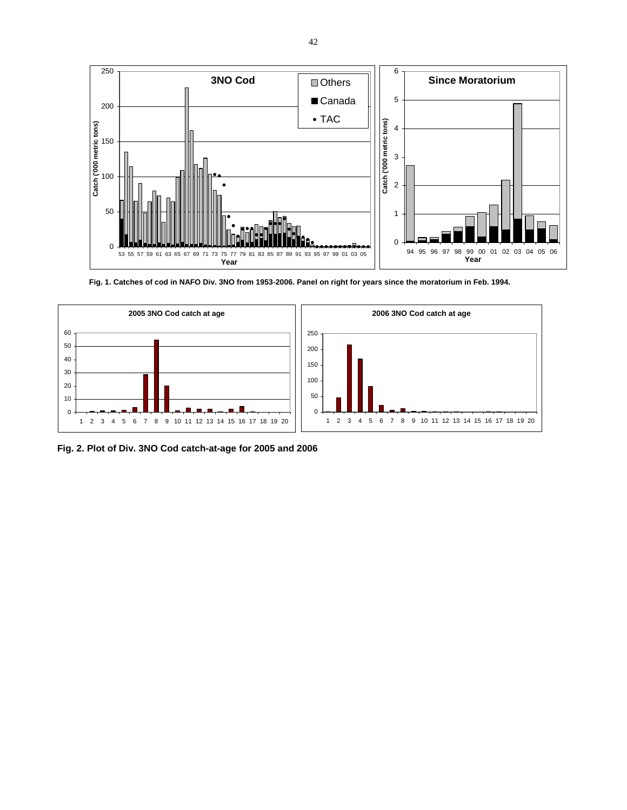

**Fig. 1. Catches of cod in NAFO Div. 3NO from 1953-2006. Panel on right for years since the moratorium in Feb. 1994.**



**Fig. 2. Plot of Div. 3NO Cod catch-at-age for 2005 and 2006**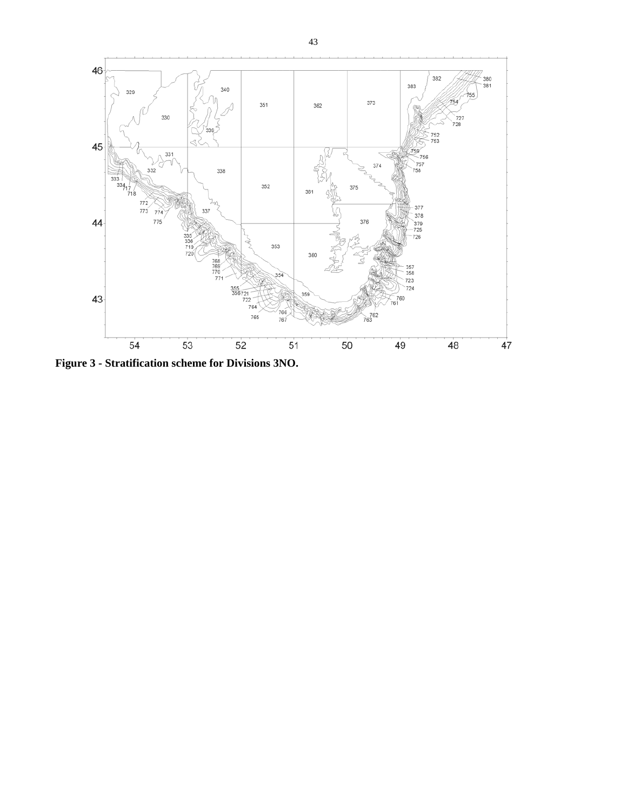

**Figure 3 - Stratification scheme for Divisions 3NO.**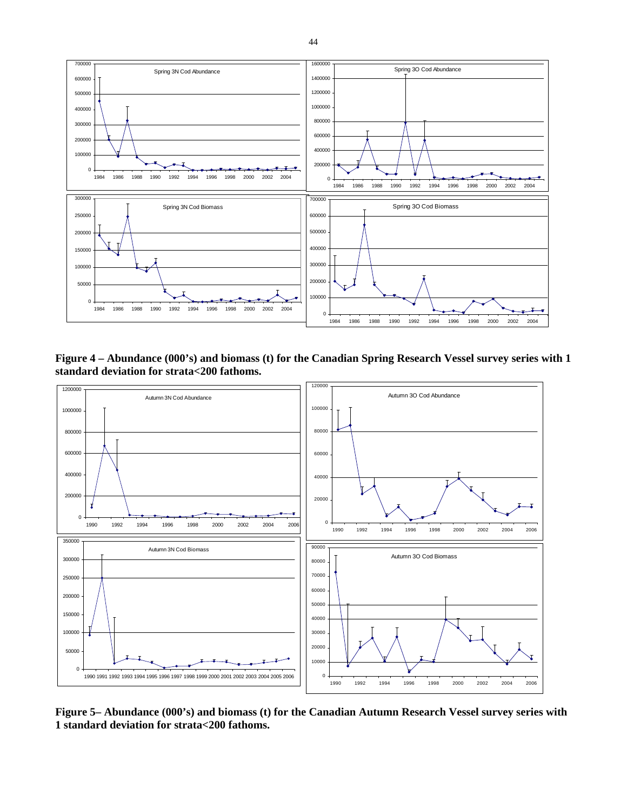

**Figure 4 – Abundance (000's) and biomass (t) for the Canadian Spring Research Vessel survey series with 1 standard deviation for strata<200 fathoms.** 



**Figure 5– Abundance (000's) and biomass (t) for the Canadian Autumn Research Vessel survey series with 1 standard deviation for strata<200 fathoms.**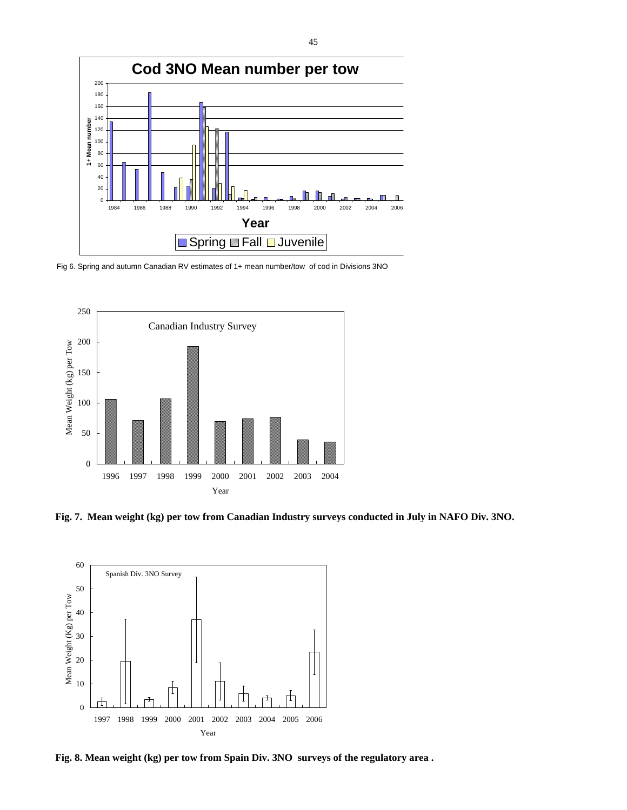

Fig 6. Spring and autumn Canadian RV estimates of 1+ mean number/tow of cod in Divisions 3NO



**Fig. 7. Mean weight (kg) per tow from Canadian Industry surveys conducted in July in NAFO Div. 3NO.** 



**Fig. 8. Mean weight (kg) per tow from Spain Div. 3NO surveys of the regulatory area .**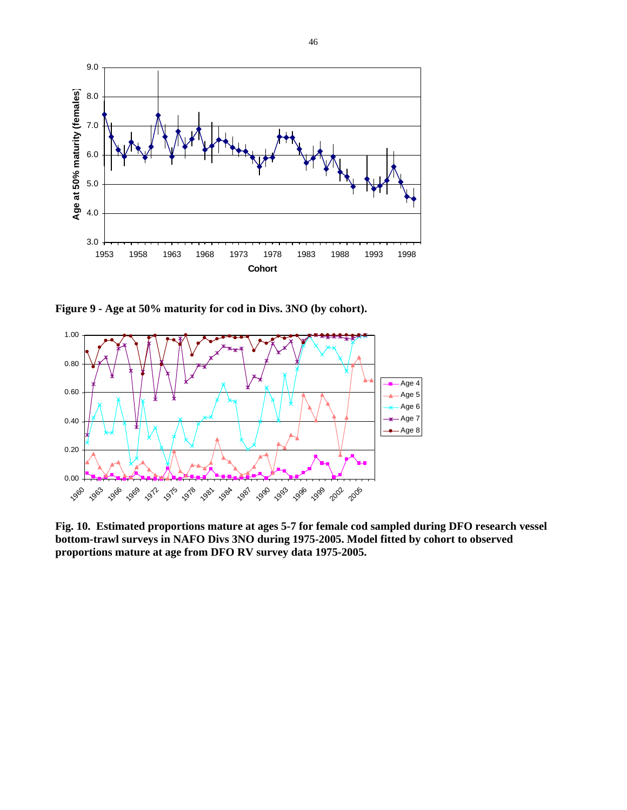

**Figure 9 - Age at 50% maturity for cod in Divs. 3NO (by cohort).** 



**Fig. 10. Estimated proportions mature at ages 5-7 for female cod sampled during DFO research vessel bottom-trawl surveys in NAFO Divs 3NO during 1975-2005. Model fitted by cohort to observed proportions mature at age from DFO RV survey data 1975-2005.**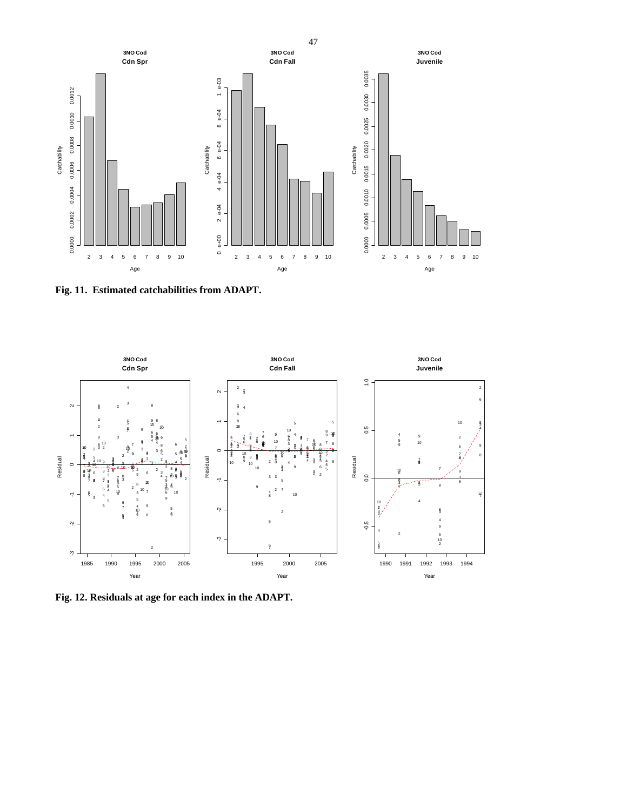

**Fig. 11. Estimated catchabilities from ADAPT.** 



**Fig. 12. Residuals at age for each index in the ADAPT.**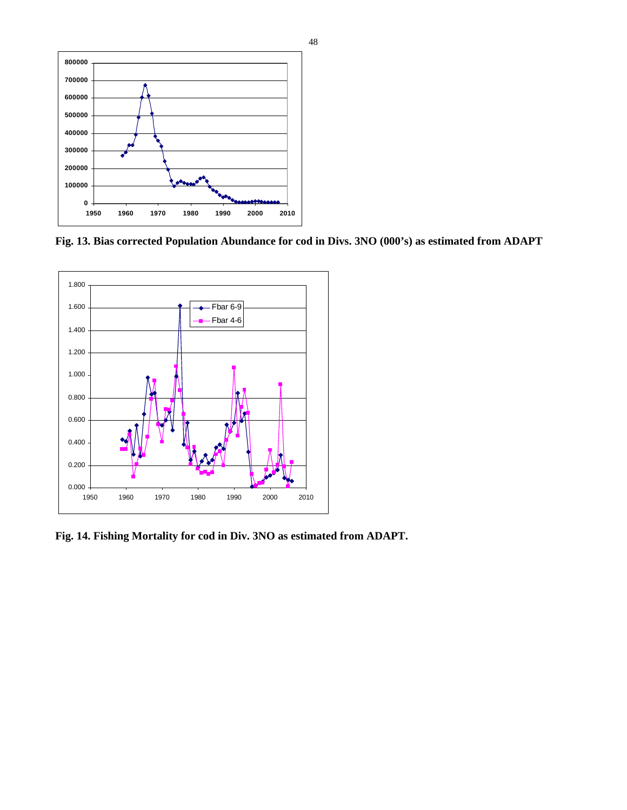

**Fig. 13. Bias corrected Population Abundance for cod in Divs. 3NO (000's) as estimated from ADAPT** 



**Fig. 14. Fishing Mortality for cod in Div. 3NO as estimated from ADAPT.**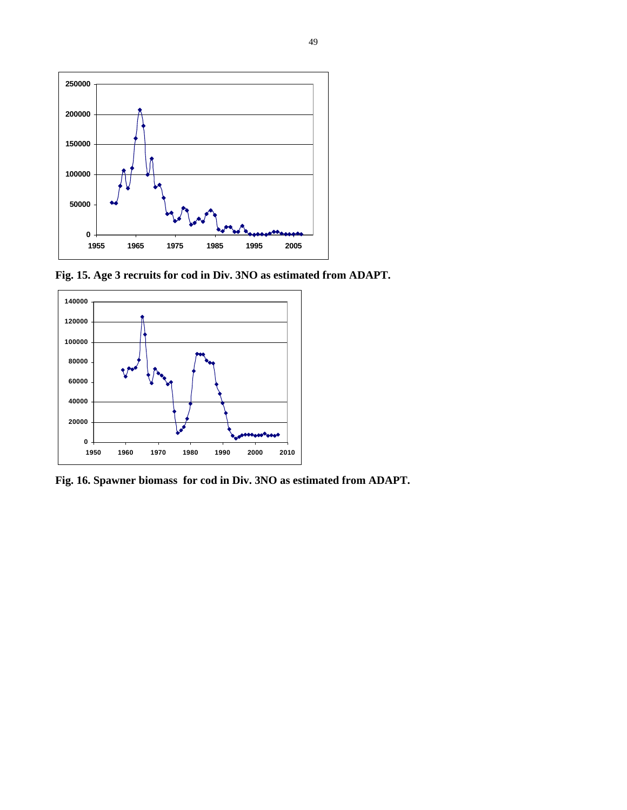

**Fig. 15. Age 3 recruits for cod in Div. 3NO as estimated from ADAPT.** 



**Fig. 16. Spawner biomass for cod in Div. 3NO as estimated from ADAPT.**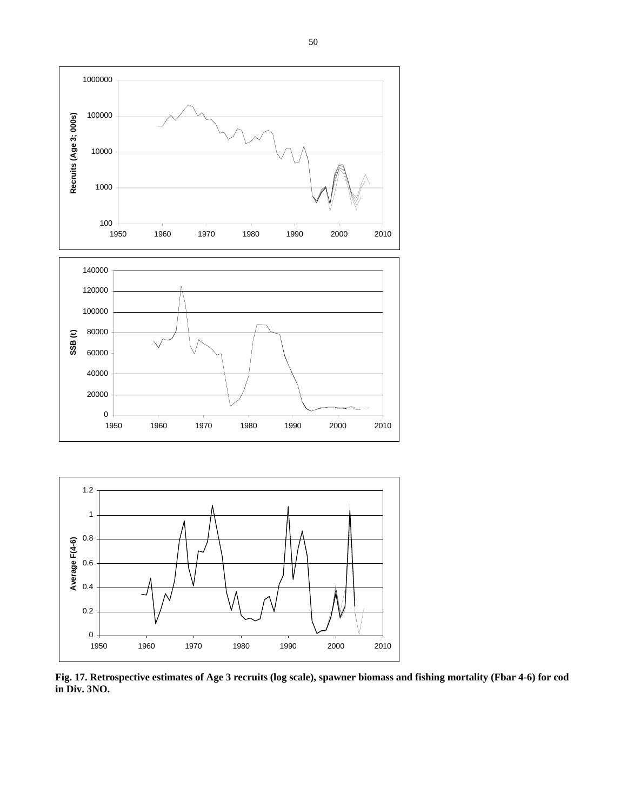



**Fig. 17. Retrospective estimates of Age 3 recruits (log scale), spawner biomass and fishing mortality (Fbar 4-6) for cod in Div. 3NO.**